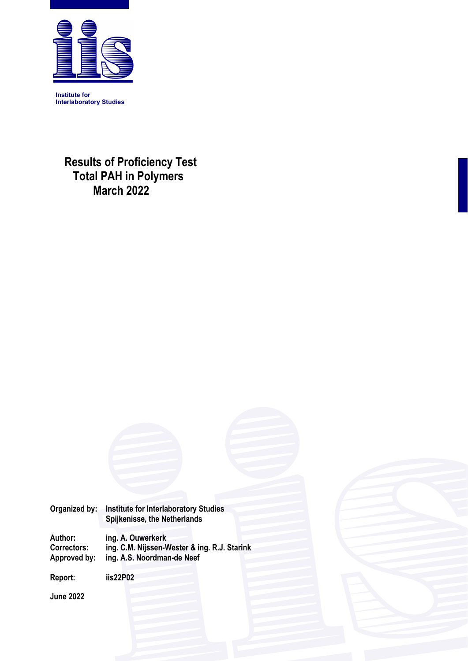

 **Results of Proficiency Test Total PAH in Polymers March 2022**

**Organized by: Institute for Interlaboratory Studies Spijkenisse, the Netherlands** 

**Author: ing. A. Ouwerkerk Correctors: ing. C.M. Nijssen-Wester & ing. R.J. Starink Approved by: ing. A.S. Noordman-de Neef** 

**Report: iis22P02** 

**June 2022**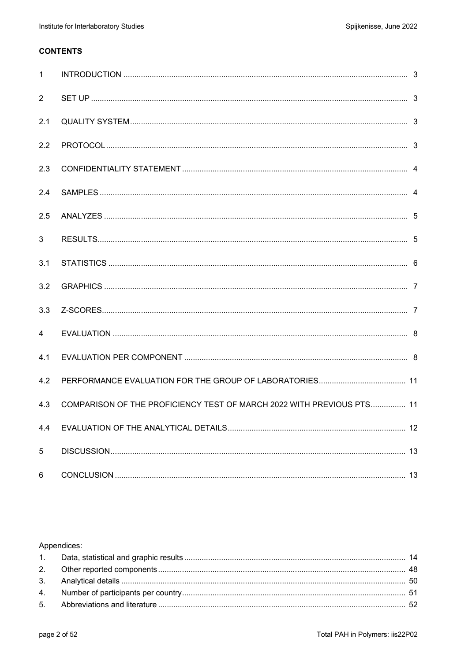# **CONTENTS**

| $\mathbf{1}$ |                                                                       |  |
|--------------|-----------------------------------------------------------------------|--|
| 2            |                                                                       |  |
| 2.1          |                                                                       |  |
| 2.2          |                                                                       |  |
| 2.3          |                                                                       |  |
| 2.4          |                                                                       |  |
| 2.5          |                                                                       |  |
| 3            |                                                                       |  |
| 3.1          |                                                                       |  |
| 3.2          |                                                                       |  |
| 3.3          |                                                                       |  |
| 4            |                                                                       |  |
| 4.1          |                                                                       |  |
| 4.2          |                                                                       |  |
| 4.3          | COMPARISON OF THE PROFICIENCY TEST OF MARCH 2022 WITH PREVIOUS PTS 11 |  |
| 4.4          |                                                                       |  |
| 5            |                                                                       |  |
| 6            |                                                                       |  |

# Appendices: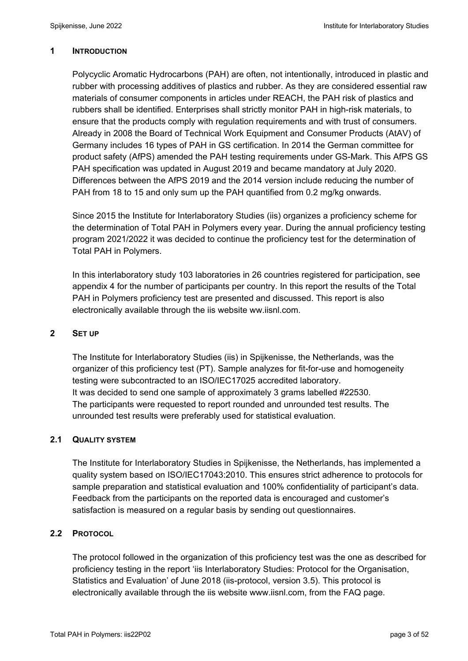## **1 INTRODUCTION**

Polycyclic Aromatic Hydrocarbons (PAH) are often, not intentionally, introduced in plastic and rubber with processing additives of plastics and rubber. As they are considered essential raw materials of consumer components in articles under REACH, the PAH risk of plastics and rubbers shall be identified. Enterprises shall strictly monitor PAH in high-risk materials, to ensure that the products comply with regulation requirements and with trust of consumers. Already in 2008 the Board of Technical Work Equipment and Consumer Products (AtAV) of Germany includes 16 types of PAH in GS certification. In 2014 the German committee for product safety (AfPS) amended the PAH testing requirements under GS-Mark. This AfPS GS PAH specification was updated in August 2019 and became mandatory at July 2020. Differences between the AfPS 2019 and the 2014 version include reducing the number of PAH from 18 to 15 and only sum up the PAH quantified from 0.2 mg/kg onwards.

Since 2015 the Institute for Interlaboratory Studies (iis) organizes a proficiency scheme for the determination of Total PAH in Polymers every year. During the annual proficiency testing program 2021/2022 it was decided to continue the proficiency test for the determination of Total PAH in Polymers.

In this interlaboratory study 103 laboratories in 26 countries registered for participation, see appendix 4 for the number of participants per country. In this report the results of the Total PAH in Polymers proficiency test are presented and discussed. This report is also electronically available through the iis website ww.iisnl.com.

## **2 SET UP**

The Institute for Interlaboratory Studies (iis) in Spijkenisse, the Netherlands, was the organizer of this proficiency test (PT). Sample analyzes for fit-for-use and homogeneity testing were subcontracted to an ISO/IEC17025 accredited laboratory. It was decided to send one sample of approximately 3 grams labelled #22530. The participants were requested to report rounded and unrounded test results. The unrounded test results were preferably used for statistical evaluation.

## **2.1 QUALITY SYSTEM**

The Institute for Interlaboratory Studies in Spijkenisse, the Netherlands, has implemented a quality system based on ISO/IEC17043:2010. This ensures strict adherence to protocols for sample preparation and statistical evaluation and 100% confidentiality of participant's data. Feedback from the participants on the reported data is encouraged and customer's satisfaction is measured on a regular basis by sending out questionnaires.

## **2.2 PROTOCOL**

The protocol followed in the organization of this proficiency test was the one as described for proficiency testing in the report 'iis Interlaboratory Studies: Protocol for the Organisation, Statistics and Evaluation' of June 2018 (iis-protocol, version 3.5). This protocol is electronically available through the iis website www.iisnl.com, from the FAQ page.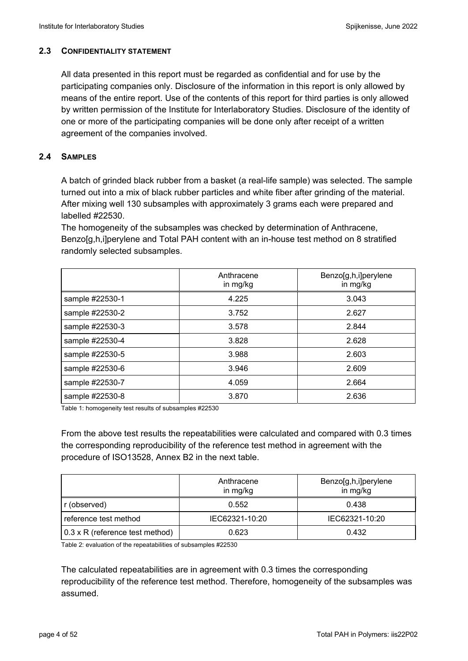## **2.3 CONFIDENTIALITY STATEMENT**

All data presented in this report must be regarded as confidential and for use by the participating companies only. Disclosure of the information in this report is only allowed by means of the entire report. Use of the contents of this report for third parties is only allowed by written permission of the Institute for Interlaboratory Studies. Disclosure of the identity of one or more of the participating companies will be done only after receipt of a written agreement of the companies involved.

## **2.4 SAMPLES**

A batch of grinded black rubber from a basket (a real-life sample) was selected. The sample turned out into a mix of black rubber particles and white fiber after grinding of the material. After mixing well 130 subsamples with approximately 3 grams each were prepared and labelled #22530.

The homogeneity of the subsamples was checked by determination of Anthracene, Benzo[g,h,i]perylene and Total PAH content with an in-house test method on 8 stratified randomly selected subsamples.

|                 | Anthracene<br>in mg/kg | Benzo[g,h,i]perylene<br>in mg/kg |
|-----------------|------------------------|----------------------------------|
| sample #22530-1 | 4.225                  | 3.043                            |
| sample #22530-2 | 3.752                  | 2.627                            |
| sample #22530-3 | 3.578                  | 2.844                            |
| sample #22530-4 | 3.828                  | 2.628                            |
| sample #22530-5 | 3.988                  | 2.603                            |
| sample #22530-6 | 3.946                  | 2.609                            |
| sample #22530-7 | 4.059                  | 2.664                            |
| sample #22530-8 | 3.870                  | 2.636                            |

Table 1: homogeneity test results of subsamples #22530

From the above test results the repeatabilities were calculated and compared with 0.3 times the corresponding reproducibility of the reference test method in agreement with the procedure of ISO13528, Annex B2 in the next table.

|                                        | Anthracene<br>in mg/kg | Benzo[g,h,i]perylene<br>in mg/kg |
|----------------------------------------|------------------------|----------------------------------|
| r (observed)                           | 0.552                  | 0.438                            |
| reference test method                  | IEC62321-10:20         | IEC62321-10:20                   |
| $0.3 \times R$ (reference test method) | 0.623                  | 0.432                            |

Table 2: evaluation of the repeatabilities of subsamples #22530

The calculated repeatabilities are in agreement with 0.3 times the corresponding reproducibility of the reference test method. Therefore, homogeneity of the subsamples was assumed.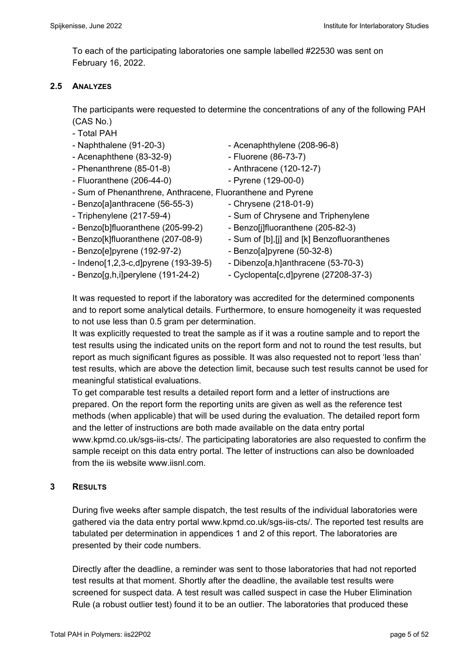To each of the participating laboratories one sample labelled #22530 was sent on February 16, 2022.

## **2.5 ANALYZES**

The participants were requested to determine the concentrations of any of the following PAH (CAS No.)

- Total PAH

- 
- Acenaphthene (83-32-9) Fluorene (86-73-7)
- Phenanthrene (85-01-8) Anthracene (120-12-7)
- Fluoranthene (206-44-0) Pyrene (129-00-0)
- Naphthalene (91-20-3) Acenaphthylene (208-96-8)
	-
	-
	-
- Sum of Phenanthrene, Anthracene, Fluoranthene and Pyrene
- $-$  Benzo[a]anthracene (56-55-3)  $-$  Chrysene (218-01-9)
- 
- Benzo[b]fluoranthene (205-99-2) Benzo[j]fluoranthene (205-82-3)
- 
- Benzo[e]pyrene (192-97-2) Benzo[a]pyrene (50-32-8)
- $-$  Indeno[1,2,3-c,d]pyrene (193-39-5)  $-$  Dibenzo[a,h]anthracene (53-70-3)
- 
- 
- Triphenylene (217-59-4) Sum of Chrysene and Triphenylene
	-
- Benzo[k]fluoranthene (207-08-9) Sum of [b], [j] and [k] Benzofluoranthenes
	-
	-
- Benzo[g,h,i]perylene (191-24-2)  $\qquad \qquad$  Cyclopenta[c,d]pyrene (27208-37-3)

It was requested to report if the laboratory was accredited for the determined components and to report some analytical details. Furthermore, to ensure homogeneity it was requested to not use less than 0.5 gram per determination.

It was explicitly requested to treat the sample as if it was a routine sample and to report the test results using the indicated units on the report form and not to round the test results, but report as much significant figures as possible. It was also requested not to report 'less than' test results, which are above the detection limit, because such test results cannot be used for meaningful statistical evaluations.

To get comparable test results a detailed report form and a letter of instructions are prepared. On the report form the reporting units are given as well as the reference test methods (when applicable) that will be used during the evaluation. The detailed report form and the letter of instructions are both made available on the data entry portal www.kpmd.co.uk/sgs-iis-cts/. The participating laboratories are also requested to confirm the sample receipt on this data entry portal. The letter of instructions can also be downloaded from the iis website www.iisnl.com.

## **3 RESULTS**

During five weeks after sample dispatch, the test results of the individual laboratories were gathered via the data entry portal www.kpmd.co.uk/sgs-iis-cts/. The reported test results are tabulated per determination in appendices 1 and 2 of this report. The laboratories are presented by their code numbers.

Directly after the deadline, a reminder was sent to those laboratories that had not reported test results at that moment. Shortly after the deadline, the available test results were screened for suspect data. A test result was called suspect in case the Huber Elimination Rule (a robust outlier test) found it to be an outlier. The laboratories that produced these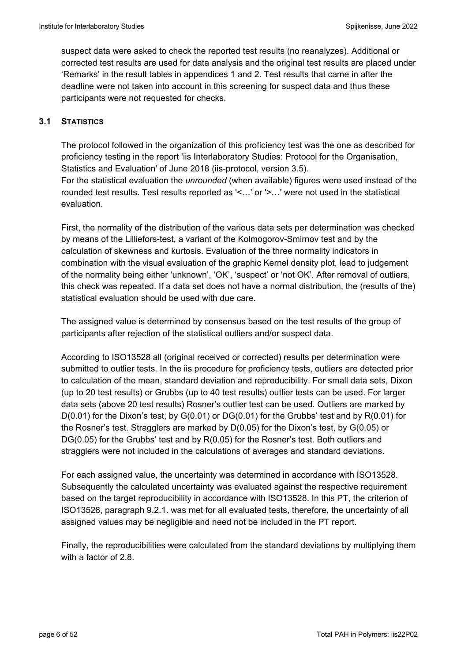suspect data were asked to check the reported test results (no reanalyzes). Additional or corrected test results are used for data analysis and the original test results are placed under 'Remarks' in the result tables in appendices 1 and 2. Test results that came in after the deadline were not taken into account in this screening for suspect data and thus these participants were not requested for checks.

## **3.1 STATISTICS**

The protocol followed in the organization of this proficiency test was the one as described for proficiency testing in the report 'iis Interlaboratory Studies: Protocol for the Organisation, Statistics and Evaluation' of June 2018 (iis-protocol, version 3.5). For the statistical evaluation the *unrounded* (when available) figures were used instead of the rounded test results. Test results reported as '<…' or '>…' were not used in the statistical evaluation.

First, the normality of the distribution of the various data sets per determination was checked by means of the Lilliefors-test, a variant of the Kolmogorov-Smirnov test and by the calculation of skewness and kurtosis. Evaluation of the three normality indicators in combination with the visual evaluation of the graphic Kernel density plot, lead to judgement of the normality being either 'unknown', 'OK', 'suspect' or 'not OK'. After removal of outliers, this check was repeated. If a data set does not have a normal distribution, the (results of the) statistical evaluation should be used with due care.

The assigned value is determined by consensus based on the test results of the group of participants after rejection of the statistical outliers and/or suspect data.

According to ISO13528 all (original received or corrected) results per determination were submitted to outlier tests. In the iis procedure for proficiency tests, outliers are detected prior to calculation of the mean, standard deviation and reproducibility. For small data sets, Dixon (up to 20 test results) or Grubbs (up to 40 test results) outlier tests can be used. For larger data sets (above 20 test results) Rosner's outlier test can be used. Outliers are marked by D(0.01) for the Dixon's test, by G(0.01) or DG(0.01) for the Grubbs' test and by R(0.01) for the Rosner's test. Stragglers are marked by D(0.05) for the Dixon's test, by G(0.05) or DG(0.05) for the Grubbs' test and by R(0.05) for the Rosner's test. Both outliers and stragglers were not included in the calculations of averages and standard deviations.

For each assigned value, the uncertainty was determined in accordance with ISO13528. Subsequently the calculated uncertainty was evaluated against the respective requirement based on the target reproducibility in accordance with ISO13528. In this PT, the criterion of ISO13528, paragraph 9.2.1. was met for all evaluated tests, therefore, the uncertainty of all assigned values may be negligible and need not be included in the PT report.

Finally, the reproducibilities were calculated from the standard deviations by multiplying them with a factor of 2.8.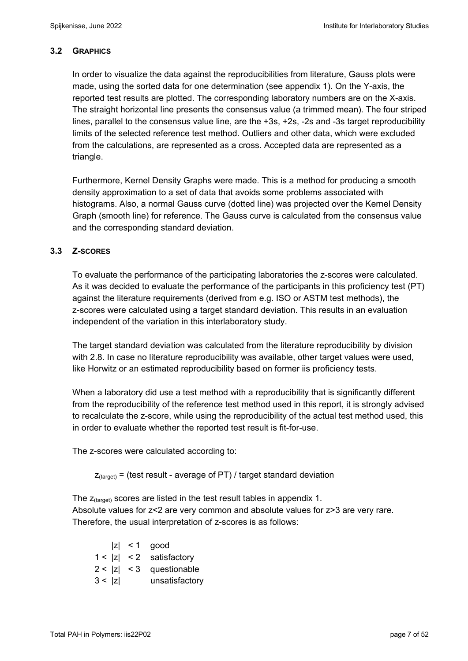#### **3.2 GRAPHICS**

In order to visualize the data against the reproducibilities from literature, Gauss plots were made, using the sorted data for one determination (see appendix 1). On the Y-axis, the reported test results are plotted. The corresponding laboratory numbers are on the X-axis. The straight horizontal line presents the consensus value (a trimmed mean). The four striped lines, parallel to the consensus value line, are the +3s, +2s, -2s and -3s target reproducibility limits of the selected reference test method. Outliers and other data, which were excluded from the calculations, are represented as a cross. Accepted data are represented as a triangle.

Furthermore, Kernel Density Graphs were made. This is a method for producing a smooth density approximation to a set of data that avoids some problems associated with histograms. Also, a normal Gauss curve (dotted line) was projected over the Kernel Density Graph (smooth line) for reference. The Gauss curve is calculated from the consensus value and the corresponding standard deviation.

## **3.3 Z-SCORES**

To evaluate the performance of the participating laboratories the z-scores were calculated. As it was decided to evaluate the performance of the participants in this proficiency test (PT) against the literature requirements (derived from e.g. ISO or ASTM test methods), the z-scores were calculated using a target standard deviation. This results in an evaluation independent of the variation in this interlaboratory study.

The target standard deviation was calculated from the literature reproducibility by division with 2.8. In case no literature reproducibility was available, other target values were used, like Horwitz or an estimated reproducibility based on former iis proficiency tests.

When a laboratory did use a test method with a reproducibility that is significantly different from the reproducibility of the reference test method used in this report, it is strongly advised to recalculate the z-score, while using the reproducibility of the actual test method used, this in order to evaluate whether the reported test result is fit-for-use.

The z-scores were calculated according to:

 $Z_{\text{target}}$  = (test result - average of PT) / target standard deviation

The  $z_{\text{(target)}}$  scores are listed in the test result tables in appendix 1. Absolute values for z<2 are very common and absolute values for z>3 are very rare. Therefore, the usual interpretation of z-scores is as follows:

|        | $ z  < 1$ good             |
|--------|----------------------------|
|        | $1 <  z  < 2$ satisfactory |
|        | $2 <  z  < 3$ questionable |
| 3 <  z | unsatisfactory             |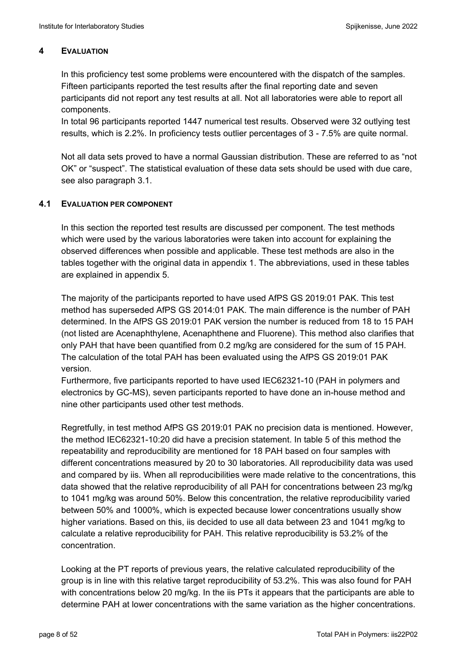## **4 EVALUATION**

In this proficiency test some problems were encountered with the dispatch of the samples. Fifteen participants reported the test results after the final reporting date and seven participants did not report any test results at all. Not all laboratories were able to report all components.

In total 96 participants reported 1447 numerical test results. Observed were 32 outlying test results, which is 2.2%. In proficiency tests outlier percentages of 3 - 7.5% are quite normal.

Not all data sets proved to have a normal Gaussian distribution. These are referred to as "not OK" or "suspect". The statistical evaluation of these data sets should be used with due care, see also paragraph 3.1.

## **4.1 EVALUATION PER COMPONENT**

In this section the reported test results are discussed per component. The test methods which were used by the various laboratories were taken into account for explaining the observed differences when possible and applicable. These test methods are also in the tables together with the original data in appendix 1. The abbreviations, used in these tables are explained in appendix 5.

The majority of the participants reported to have used AfPS GS 2019:01 PAK. This test method has superseded AfPS GS 2014:01 PAK. The main difference is the number of PAH determined. In the AfPS GS 2019:01 PAK version the number is reduced from 18 to 15 PAH (not listed are Acenaphthylene, Acenaphthene and Fluorene). This method also clarifies that only PAH that have been quantified from 0.2 mg/kg are considered for the sum of 15 PAH. The calculation of the total PAH has been evaluated using the AfPS GS 2019:01 PAK version.

Furthermore, five participants reported to have used IEC62321-10 (PAH in polymers and electronics by GC-MS), seven participants reported to have done an in-house method and nine other participants used other test methods.

Regretfully, in test method AfPS GS 2019:01 PAK no precision data is mentioned. However, the method IEC62321-10:20 did have a precision statement. In table 5 of this method the repeatability and reproducibility are mentioned for 18 PAH based on four samples with different concentrations measured by 20 to 30 laboratories. All reproducibility data was used and compared by iis. When all reproducibilities were made relative to the concentrations, this data showed that the relative reproducibility of all PAH for concentrations between 23 mg/kg to 1041 mg/kg was around 50%. Below this concentration, the relative reproducibility varied between 50% and 1000%, which is expected because lower concentrations usually show higher variations. Based on this, iis decided to use all data between 23 and 1041 mg/kg to calculate a relative reproducibility for PAH. This relative reproducibility is 53.2% of the concentration.

Looking at the PT reports of previous years, the relative calculated reproducibility of the group is in line with this relative target reproducibility of 53.2%. This was also found for PAH with concentrations below 20 mg/kg. In the iis PTs it appears that the participants are able to determine PAH at lower concentrations with the same variation as the higher concentrations.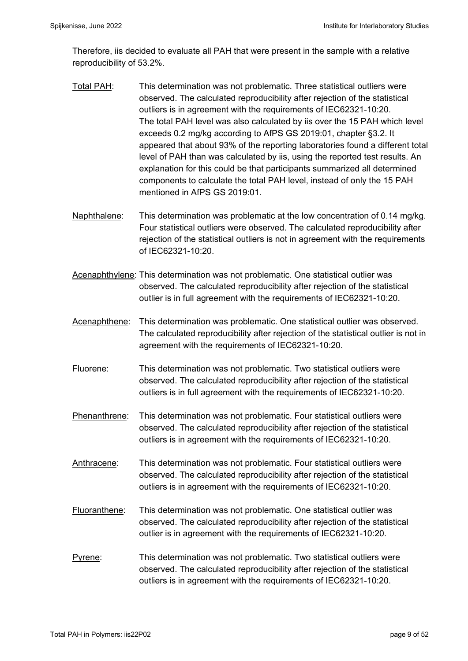Therefore, iis decided to evaluate all PAH that were present in the sample with a relative reproducibility of 53.2%.

- Total PAH: This determination was not problematic. Three statistical outliers were observed. The calculated reproducibility after rejection of the statistical outliers is in agreement with the requirements of IEC62321-10:20. The total PAH level was also calculated by iis over the 15 PAH which level exceeds 0.2 mg/kg according to AfPS GS 2019:01, chapter §3.2. It appeared that about 93% of the reporting laboratories found a different total level of PAH than was calculated by iis, using the reported test results. An explanation for this could be that participants summarized all determined components to calculate the total PAH level, instead of only the 15 PAH mentioned in AfPS GS 2019:01.
- Naphthalene: This determination was problematic at the low concentration of 0.14 mg/kg. Four statistical outliers were observed. The calculated reproducibility after rejection of the statistical outliers is not in agreement with the requirements of IEC62321-10:20.
- Acenaphthylene: This determination was not problematic. One statistical outlier was observed. The calculated reproducibility after rejection of the statistical outlier is in full agreement with the requirements of IEC62321-10:20.
- Acenaphthene: This determination was problematic. One statistical outlier was observed. The calculated reproducibility after rejection of the statistical outlier is not in agreement with the requirements of IEC62321-10:20.
- Fluorene: This determination was not problematic. Two statistical outliers were observed. The calculated reproducibility after rejection of the statistical outliers is in full agreement with the requirements of IEC62321-10:20.
- Phenanthrene: This determination was not problematic. Four statistical outliers were observed. The calculated reproducibility after rejection of the statistical outliers is in agreement with the requirements of IEC62321-10:20.
- Anthracene: This determination was not problematic. Four statistical outliers were observed. The calculated reproducibility after rejection of the statistical outliers is in agreement with the requirements of IEC62321-10:20.
- Fluoranthene: This determination was not problematic. One statistical outlier was observed. The calculated reproducibility after rejection of the statistical outlier is in agreement with the requirements of IEC62321-10:20.
- Pyrene: This determination was not problematic. Two statistical outliers were observed. The calculated reproducibility after rejection of the statistical outliers is in agreement with the requirements of IEC62321-10:20.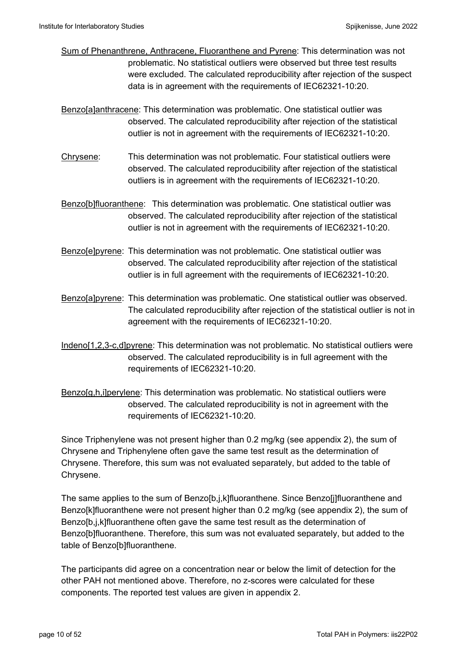- Sum of Phenanthrene, Anthracene, Fluoranthene and Pyrene: This determination was not problematic. No statistical outliers were observed but three test results were excluded. The calculated reproducibility after rejection of the suspect data is in agreement with the requirements of IEC62321-10:20.
- Benzo[a]anthracene: This determination was problematic. One statistical outlier was observed. The calculated reproducibility after rejection of the statistical outlier is not in agreement with the requirements of IEC62321-10:20.
- Chrysene: This determination was not problematic. Four statistical outliers were observed. The calculated reproducibility after rejection of the statistical outliers is in agreement with the requirements of IEC62321-10:20.
- Benzo[b]fluoranthene: This determination was problematic. One statistical outlier was observed. The calculated reproducibility after rejection of the statistical outlier is not in agreement with the requirements of IEC62321-10:20.
- Benzo[e]pyrene: This determination was not problematic. One statistical outlier was observed. The calculated reproducibility after rejection of the statistical outlier is in full agreement with the requirements of IEC62321-10:20.
- Benzo[a]pyrene: This determination was problematic. One statistical outlier was observed. The calculated reproducibility after rejection of the statistical outlier is not in agreement with the requirements of IEC62321-10:20.
- Indeno[1,2,3-c,d]pyrene: This determination was not problematic. No statistical outliers were observed. The calculated reproducibility is in full agreement with the requirements of IEC62321-10:20.
- Benzo[g,h,i]perylene: This determination was problematic. No statistical outliers were observed. The calculated reproducibility is not in agreement with the requirements of IEC62321-10:20.

Since Triphenylene was not present higher than 0.2 mg/kg (see appendix 2), the sum of Chrysene and Triphenylene often gave the same test result as the determination of Chrysene. Therefore, this sum was not evaluated separately, but added to the table of Chrysene.

The same applies to the sum of Benzo[b,j,k]fluoranthene. Since Benzo[j]fluoranthene and Benzo[k]fluoranthene were not present higher than 0.2 mg/kg (see appendix 2), the sum of Benzo[b,j,k]fluoranthene often gave the same test result as the determination of Benzo[b]fluoranthene. Therefore, this sum was not evaluated separately, but added to the table of Benzo[b]fluoranthene.

The participants did agree on a concentration near or below the limit of detection for the other PAH not mentioned above. Therefore, no z-scores were calculated for these components. The reported test values are given in appendix 2.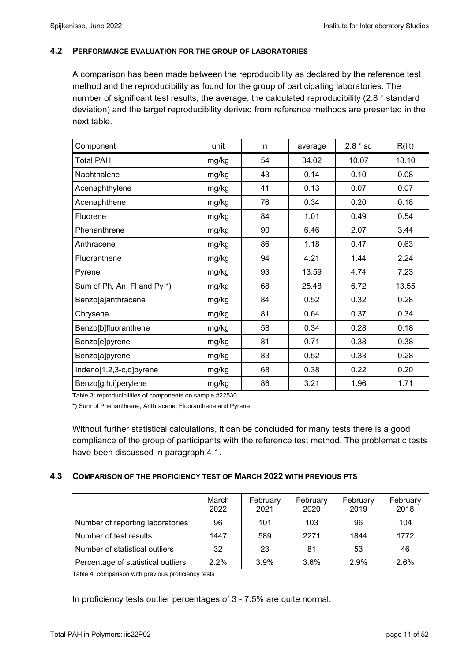## **4.2 PERFORMANCE EVALUATION FOR THE GROUP OF LABORATORIES**

A comparison has been made between the reproducibility as declared by the reference test method and the reproducibility as found for the group of participating laboratories. The number of significant test results, the average, the calculated reproducibility (2.8 \* standard deviation) and the target reproducibility derived from reference methods are presented in the next table.

| Component                   | unit  | n  | average | $2.8 * sd$ | R(lit) |
|-----------------------------|-------|----|---------|------------|--------|
| <b>Total PAH</b>            | mg/kg | 54 | 34.02   | 10.07      | 18.10  |
| Naphthalene                 | mg/kg | 43 | 0.14    | 0.10       | 0.08   |
| Acenaphthylene              | mg/kg | 41 | 0.13    | 0.07       | 0.07   |
| Acenaphthene                | mg/kg | 76 | 0.34    | 0.20       | 0.18   |
| Fluorene                    | mg/kg | 84 | 1.01    | 0.49       | 0.54   |
| Phenanthrene                | mg/kg | 90 | 6.46    | 2.07       | 3.44   |
| Anthracene                  | mg/kg | 86 | 1.18    | 0.47       | 0.63   |
| Fluoranthene                | mg/kg | 94 | 4.21    | 1.44       | 2.24   |
| Pyrene                      | mg/kg | 93 | 13.59   | 4.74       | 7.23   |
| Sum of Ph, An, FI and Py *) | mg/kg | 68 | 25.48   | 6.72       | 13.55  |
| Benzo[a]anthracene          | mg/kg | 84 | 0.52    | 0.32       | 0.28   |
| Chrysene                    | mg/kg | 81 | 0.64    | 0.37       | 0.34   |
| Benzo[b]fluoranthene        | mg/kg | 58 | 0.34    | 0.28       | 0.18   |
| Benzo[e]pyrene              | mg/kg | 81 | 0.71    | 0.38       | 0.38   |
| Benzo[a]pyrene              | mg/kg | 83 | 0.52    | 0.33       | 0.28   |
| Indeno[1,2,3-c,d]pyrene     | mg/kg | 68 | 0.38    | 0.22       | 0.20   |
| Benzo[g,h,i]perylene        | mg/kg | 86 | 3.21    | 1.96       | 1.71   |

Table 3: reproducibilities of components on sample #22530

\*) Sum of Phenanthrene, Anthracene, Fluoranthene and Pyrene

Without further statistical calculations, it can be concluded for many tests there is a good compliance of the group of participants with the reference test method. The problematic tests have been discussed in paragraph 4.1.

## **4.3 COMPARISON OF THE PROFICIENCY TEST OF MARCH 2022 WITH PREVIOUS PTS**

|                                    | March<br>2022 | February<br>2021 | February<br>2020 | February<br>2019 | February<br>2018 |
|------------------------------------|---------------|------------------|------------------|------------------|------------------|
| Number of reporting laboratories   | 96            | 101              | 103              | 96               | 104              |
| Number of test results             | 1447          | 589              | 2271             | 1844             | 1772             |
| Number of statistical outliers     | 32            | 23               | 81               | 53               | 46               |
| Percentage of statistical outliers | $2.2\%$       | 3.9%             | 3.6%             | 2.9%             | 2.6%             |

Table 4: comparison with previous proficiency tests

In proficiency tests outlier percentages of 3 - 7.5% are quite normal.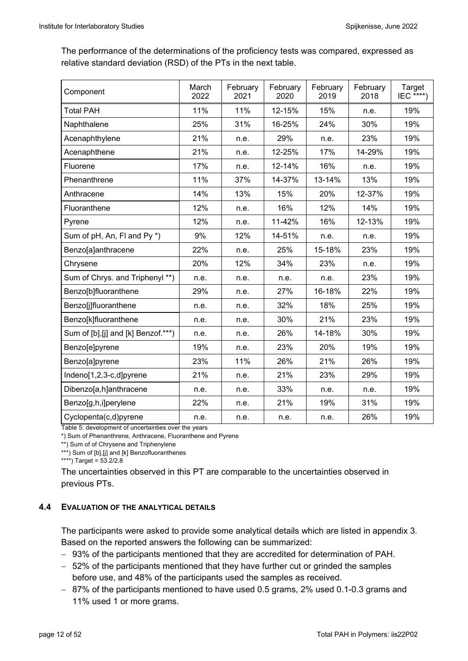The performance of the determinations of the proficiency tests was compared, expressed as relative standard deviation (RSD) of the PTs in the next table.

| Component                           | March<br>2022 | February<br>2021 | February<br>2020 | February<br>2019 | February<br>2018 | Target<br>IEC $****$ |
|-------------------------------------|---------------|------------------|------------------|------------------|------------------|----------------------|
| <b>Total PAH</b>                    | 11%           | 11%              | 12-15%           | 15%              | n.e.             | 19%                  |
| Naphthalene                         | 25%           | 31%              | 16-25%           | 24%              | 30%              | 19%                  |
| Acenaphthylene                      | 21%           | n.e.             | 29%              | n.e.             | 23%              | 19%                  |
| Acenaphthene                        | 21%           | n.e.             | 12-25%           | 17%              | 14-29%           | 19%                  |
| Fluorene                            | 17%           | n.e.             | 12-14%           | 16%              | n.e.             | 19%                  |
| Phenanthrene                        | 11%           | 37%              | 14-37%           | 13-14%           | 13%              | 19%                  |
| Anthracene                          | 14%           | 13%              | 15%              | 20%              | 12-37%           | 19%                  |
| Fluoranthene                        | 12%           | n.e.             | 16%              | 12%              | 14%              | 19%                  |
| Pyrene                              | 12%           | n.e.             | 11-42%           | 16%              | 12-13%           | 19%                  |
| Sum of pH, An, FI and Py *)         | 9%            | 12%              | 14-51%           | n.e.             | n.e.             | 19%                  |
| Benzo[a]anthracene                  | 22%           | n.e.             | 25%              | 15-18%           | 23%              | 19%                  |
| Chrysene                            | 20%           | 12%              | 34%              | 23%              | n.e.             | 19%                  |
| Sum of Chrys. and Triphenyl **)     | n.e.          | n.e.             | n.e.             | n.e.             | 23%              | 19%                  |
| Benzo[b]fluoranthene                | 29%           | n.e.             | 27%              | 16-18%           | 22%              | 19%                  |
| Benzo[j]fluoranthene                | n.e.          | n.e.             | 32%              | 18%              | 25%              | 19%                  |
| Benzo[k]fluoranthene                | n.e.          | n.e.             | 30%              | 21%              | 23%              | 19%                  |
| Sum of [b], [j] and [k] Benzof.***) | n.e.          | n.e.             | 26%              | 14-18%           | 30%              | 19%                  |
| Benzo[e]pyrene                      | 19%           | n.e.             | 23%              | 20%              | 19%              | 19%                  |
| Benzo[a]pyrene                      | 23%           | 11%              | 26%              | 21%              | 26%              | 19%                  |
| Indeno[1,2,3-c,d]pyrene             | 21%           | n.e.             | 21%              | 23%              | 29%              | 19%                  |
| Dibenzo[a,h]anthracene              | n.e.          | n.e.             | 33%              | n.e.             | n.e.             | 19%                  |
| Benzo[g,h,i]perylene                | 22%           | n.e.             | 21%              | 19%              | 31%              | 19%                  |
| Cyclopenta(c,d)pyrene               | n.e.          | n.e.             | n.e.             | n.e.             | 26%              | 19%                  |

Table 5: development of uncertainties over the years

\*) Sum of Phenanthrene, Anthracene, Fluoranthene and Pyrene

\*\*) Sum of of Chrysene and Triphenylene

\*\*\*) Sum of [b], [j] and [k] Benzofluoranthenes

\*\*\*\*) Target =  $53.2/2.8$ 

The uncertainties observed in this PT are comparable to the uncertainties observed in previous PTs.

## **4.4 EVALUATION OF THE ANALYTICAL DETAILS**

The participants were asked to provide some analytical details which are listed in appendix 3. Based on the reported answers the following can be summarized:

- 93% of the participants mentioned that they are accredited for determination of PAH.
- 52% of the participants mentioned that they have further cut or grinded the samples before use, and 48% of the participants used the samples as received.
- 87% of the participants mentioned to have used 0.5 grams, 2% used 0.1-0.3 grams and 11% used 1 or more grams.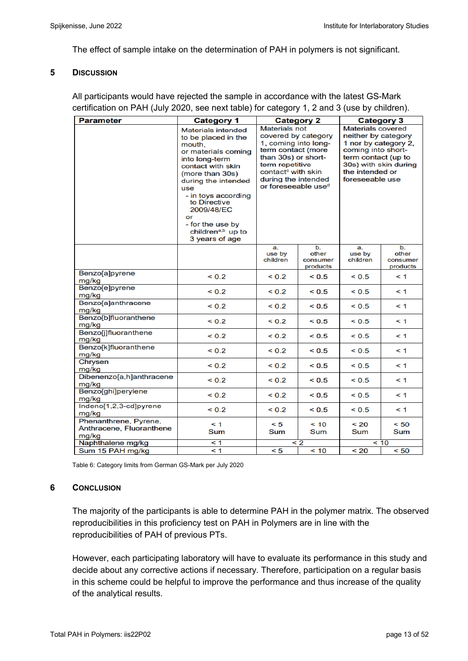The effect of sample intake on the determination of PAH in polymers is not significant.

#### **5 DISCUSSION**

All participants would have rejected the sample in accordance with the latest GS-Mark certification on PAH (July 2020, see next table) for category 1, 2 and 3 (use by children).

| <b>Parameter</b>                                           | <b>Category 1</b>                                                                                                                                                                                                                                                                                    |                                                                                                                                                                                                                                 | <b>Category 2</b>                   | <b>Category 3</b>                                                                                                                                                                   |                                     |  |
|------------------------------------------------------------|------------------------------------------------------------------------------------------------------------------------------------------------------------------------------------------------------------------------------------------------------------------------------------------------------|---------------------------------------------------------------------------------------------------------------------------------------------------------------------------------------------------------------------------------|-------------------------------------|-------------------------------------------------------------------------------------------------------------------------------------------------------------------------------------|-------------------------------------|--|
|                                                            | Materials intended<br>to be placed in the<br>mouth,<br>or materials coming<br>into long-term<br>contact with skin<br>(more than 30s)<br>during the intended<br>use<br>- in toys according<br>to Directive<br>2009/48/EC<br>or<br>- for the use by<br>children <sup>a,b</sup> up to<br>3 years of age | <b>Materials not</b><br>covered by category<br>1, coming into long-<br>term contact (more<br>than 30s) or short-<br>term repetitive<br>contact <sup>c</sup> with skin<br>during the intended<br>or foreseeable use <sup>d</sup> |                                     | <b>Materials covered</b><br>neither by category<br>1 nor by category 2,<br>coming into short-<br>term contact (up to<br>30s) with skin during<br>the intended or<br>foreseeable use |                                     |  |
|                                                            |                                                                                                                                                                                                                                                                                                      | a.<br>use by<br>children                                                                                                                                                                                                        | b.<br>other<br>consumer<br>products | a.<br>use by<br>children                                                                                                                                                            | b.<br>other<br>consumer<br>products |  |
| <b>Benzo</b> [a]pyrene<br>mg/kg                            | ${}_{0.2}$                                                                                                                                                                                                                                                                                           | ${}_{0.2}$                                                                                                                                                                                                                      | < 0.5                               | ${}_{0.5}$                                                                                                                                                                          | $\leq 1$                            |  |
| Benzo[e]pyrene<br>mg/kg                                    | ${}_{0.2}$                                                                                                                                                                                                                                                                                           | ${}^{0.2}$                                                                                                                                                                                                                      | ${}_{0.5}$                          | ${}_{0.5}$                                                                                                                                                                          | $\leq 1$                            |  |
| Benzo[a]anthracene<br>mg/kg                                | ${}_{0.2}$                                                                                                                                                                                                                                                                                           | ${}_{0.2}$                                                                                                                                                                                                                      | ${}_{0.5}$                          | ${}_{0.5}$                                                                                                                                                                          | $\leq 1$                            |  |
| Benzo[b]fluoranthene<br>mg/kg                              | ${}_{0.2}$                                                                                                                                                                                                                                                                                           | ${}_{0.2}$                                                                                                                                                                                                                      | < 0.5                               | < 0.5                                                                                                                                                                               | $\leq 1$                            |  |
| Benzo[j]fluoranthene<br>mg/kg                              | ${}_{0.2}$                                                                                                                                                                                                                                                                                           | ${}_{0.2}$                                                                                                                                                                                                                      | < 0.5                               | < 0.5                                                                                                                                                                               | $\leq 1$                            |  |
| Benzo[k]fluoranthene<br>mg/kg                              | ${}_{0.2}$                                                                                                                                                                                                                                                                                           | ${}_{0.2}$                                                                                                                                                                                                                      | ${}_{0.5}$                          | ${}_{0.5}$                                                                                                                                                                          | $\leq 1$                            |  |
| Chrysen<br>mg/kg                                           | ${}_{0.2}$                                                                                                                                                                                                                                                                                           | ${}_{0.2}$                                                                                                                                                                                                                      | < 0.5                               | < 0.5                                                                                                                                                                               | $\leq 1$                            |  |
| Dibenenzo[a,h]anthracene<br>mg/kg                          | ${}_{0.2}$                                                                                                                                                                                                                                                                                           | ${}_{0.2}$                                                                                                                                                                                                                      | < 0.5                               | ${}_{0.5}$                                                                                                                                                                          | $\leq 1$                            |  |
| Benzo[ghi]perylene<br>mg/kg                                | ${}_{0.2}$                                                                                                                                                                                                                                                                                           | ${}_{0.2}$                                                                                                                                                                                                                      | < 0.5                               | ${}_{0.5}$                                                                                                                                                                          | $\leq 1$                            |  |
| Indeno[1,2,3-cd]pyrene<br>mg/kg                            | ${}_{0.2}$                                                                                                                                                                                                                                                                                           | ${}_{0.2}$                                                                                                                                                                                                                      | < 0.5                               | ${}_{0.5}$                                                                                                                                                                          | $\leq 1$                            |  |
| Phenanthrene, Pyrene,<br>Anthracene, Fluoranthene<br>mg/kg | $\leq 1$<br>Sum                                                                                                                                                                                                                                                                                      | < 5<br>Sum                                                                                                                                                                                                                      | < 10<br>Sum                         | ~120<br>Sum                                                                                                                                                                         | < 50<br>Sum                         |  |
| Naphthalene mg/kg                                          | < 1                                                                                                                                                                                                                                                                                                  |                                                                                                                                                                                                                                 | $\leq 2$                            |                                                                                                                                                                                     | < 10                                |  |
| Sum 15 PAH mg/kg                                           | $\leq 1$                                                                                                                                                                                                                                                                                             | < 5                                                                                                                                                                                                                             | < 10                                | < 20                                                                                                                                                                                | < 50                                |  |

Table 6: Category limits from German GS-Mark per July 2020

#### **6 CONCLUSION**

The majority of the participants is able to determine PAH in the polymer matrix. The observed reproducibilities in this proficiency test on PAH in Polymers are in line with the reproducibilities of PAH of previous PTs.

However, each participating laboratory will have to evaluate its performance in this study and decide about any corrective actions if necessary. Therefore, participation on a regular basis in this scheme could be helpful to improve the performance and thus increase of the quality of the analytical results.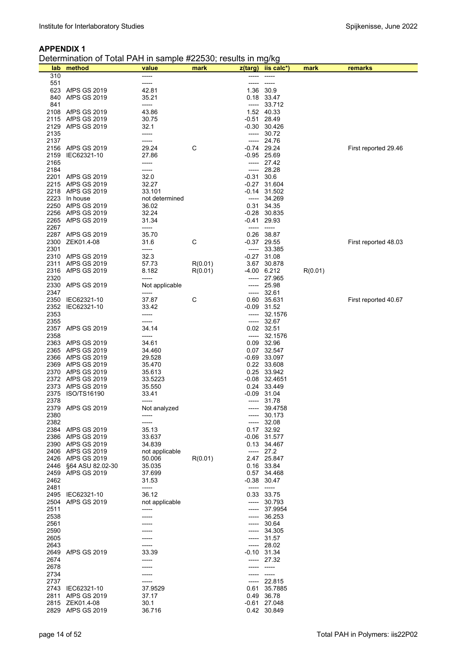Determination of Total PAH in sample #22530; results in mg/kg

|      | $D$ cicrimiration or Total PNT in sample $\pi$ zzoo $\sigma$ , results in myng |                  |         |         |                            |         |                      |
|------|--------------------------------------------------------------------------------|------------------|---------|---------|----------------------------|---------|----------------------|
| 310  | lab method                                                                     | value<br>-----   | mark    |         | z(targ) iis calc*)         | mark    | remarks              |
| 551  |                                                                                | -----            |         |         | -----                      |         |                      |
|      | 623 AfPS GS 2019                                                               | 42.81            |         |         | 1.36 30.9                  |         |                      |
| 840  | AfPS GS 2019                                                                   | 35.21            |         |         | 0.18 33.47                 |         |                      |
| 841  |                                                                                | -----            |         |         | $--- 33.712$               |         |                      |
|      | 2108 AfPS GS 2019                                                              | 43.86            |         |         | 1.52 40.33                 |         |                      |
|      | 2115 AfPS GS 2019                                                              | 30.75            |         |         | $-0.51$ 28.49              |         |                      |
|      | 2129 AfPS GS 2019                                                              | 32.1             |         |         | $-0.30$ 30.426             |         |                      |
| 2135 |                                                                                | -----            |         |         | $--- 30.72$                |         |                      |
| 2137 |                                                                                | -----            |         |         | $--- 24.76$                |         |                      |
|      | 2156 AfPS GS 2019                                                              | 29.24            | C       |         | $-0.74$ 29.24              |         | First reported 29.46 |
| 2159 | IEC62321-10                                                                    | 27.86            |         |         | $-0.95$ 25.69              |         |                      |
| 2165 |                                                                                | -----            |         |         | $--- 27.42$                |         |                      |
| 2184 |                                                                                | -----            |         |         | $--- 28.28$                |         |                      |
|      | 2201 AfPS GS 2019                                                              | 32.0             |         | $-0.31$ | 30.6                       |         |                      |
|      | 2215 AfPS GS 2019                                                              | 32.27            |         |         | $-0.27$ 31.604             |         |                      |
|      | 2218 AfPS GS 2019                                                              | 33.101           |         |         | $-0.14$ 31.502             |         |                      |
|      | 2223 In house                                                                  | not determined   |         |         | $--- 34.269$               |         |                      |
|      | 2250 AfPS GS 2019                                                              | 36.02            |         |         | 0.31 34.35                 |         |                      |
|      | 2256 AfPS GS 2019                                                              | 32.24            |         |         | $-0.28$ 30.835             |         |                      |
|      | 2265 AfPS GS 2019                                                              | 31.34            |         |         | $-0.41$ 29.93              |         |                      |
| 2267 |                                                                                | -----            |         |         | $-----$                    |         |                      |
|      | 2287 AfPS GS 2019                                                              | 35.70            |         |         | 0.26 38.87                 |         |                      |
| 2300 | ZEK01.4-08                                                                     | 31.6             | C       |         | $-0.37$ 29.55              |         | First reported 48.03 |
| 2301 |                                                                                | -----            |         | -----   | 33.385                     |         |                      |
|      | 2310 AfPS GS 2019                                                              | 32.3             |         |         | $-0.27$ 31.08              |         |                      |
|      | 2311 AfPS GS 2019                                                              | 57.73            | R(0.01) |         | 3.67 30.878                |         |                      |
|      | 2316 AfPS GS 2019                                                              | 8.182            | R(0.01) |         | $-4.00$ 6.212              | R(0.01) |                      |
| 2320 |                                                                                | -----            |         |         | ----- 27.965               |         |                      |
|      | 2330 AfPS GS 2019                                                              | Not applicable   |         | -----   | 25.98                      |         |                      |
| 2347 |                                                                                | -----            |         |         | $--- 32.61$                |         |                      |
|      | 2350 IEC62321-10                                                               | 37.87            | C       |         | 0.60 35.631                |         | First reported 40.67 |
|      | 2352 IEC62321-10                                                               | 33.42            |         |         | -0.09 31.52                |         |                      |
| 2353 |                                                                                | -----            |         | -----   | 32.1576                    |         |                      |
| 2355 |                                                                                | -----            |         | -----   | 32.67                      |         |                      |
|      | 2357 AfPS GS 2019                                                              | 34.14            |         |         | 0.02 32.51                 |         |                      |
| 2358 |                                                                                |                  |         | -----   | 32.1576                    |         |                      |
|      | 2363 AfPS GS 2019                                                              | 34.61            |         |         | 0.09 32.96                 |         |                      |
|      | 2365 AfPS GS 2019                                                              | 34.460           |         |         | 0.07 32.547                |         |                      |
|      | 2366 AfPS GS 2019                                                              | 29.528           |         |         | $-0.69$ 33.097             |         |                      |
|      | 2369 AfPS GS 2019                                                              | 35.470           |         |         | 0.22 33.608                |         |                      |
|      | 2370 AfPS GS 2019                                                              | 35.613           |         |         | 0.25 33.942                |         |                      |
|      | 2372 AfPS GS 2019                                                              | 33.5223          |         |         | $-0.08$ 32.4651            |         |                      |
|      | 2373 AfPS GS 2019                                                              | 35.550           |         |         | 0.24 33.449                |         |                      |
|      | 2375 ISO/TS16190                                                               | 33.41            |         |         | $-0.09$ 31.04              |         |                      |
| 2378 |                                                                                | -----            |         |         | $--- 31.78$                |         |                      |
|      | 2379 AfPS GS 2019                                                              | Not analyzed     |         | -----   | 39.4758                    |         |                      |
| 2380 |                                                                                |                  |         | -----   | 30.173                     |         |                      |
| 2382 |                                                                                | -----            |         | -----   | 32.08                      |         |                      |
|      | 2384 AfPS GS 2019                                                              | 35.13            |         |         | 0.17 32.92                 |         |                      |
|      | 2386 AfPS GS 2019                                                              | 33.637           |         |         | $-0.06$ 31.577             |         |                      |
|      | 2390 AfPS GS 2019                                                              | 34.839           |         |         | 0.13 34.467                |         |                      |
|      | 2406 AfPS GS 2019                                                              | not applicable   |         |         | $--- 27.2$                 |         |                      |
|      | 2426 AfPS GS 2019                                                              | 50.006           | R(0.01) |         | 2.47 25.847                |         |                      |
|      | 2446 §64 ASU 82.02-30                                                          | 35.035           |         |         | 0.16 33.84                 |         |                      |
|      | 2459 AfPS GS 2019                                                              | 37.699           |         |         | 0.57 34.468                |         |                      |
| 2462 |                                                                                | 31.53            |         |         | $-0.38$ 30.47              |         |                      |
| 2481 |                                                                                | -----            |         | -----   | $-----$                    |         |                      |
|      | 2495 IEC62321-10                                                               | 36.12            |         |         | 0.33 33.75                 |         |                      |
| 2504 | AfPS GS 2019                                                                   | not applicable   |         |         | ----- 30.793               |         |                      |
| 2511 |                                                                                | -----            |         |         | ----- 37.9954              |         |                      |
| 2538 |                                                                                |                  |         | -----   | 36.253                     |         |                      |
| 2561 |                                                                                |                  |         | -----   | 30.64                      |         |                      |
| 2590 |                                                                                |                  |         | -----   | 34.305                     |         |                      |
| 2605 |                                                                                |                  |         |         | $--- 31.57$                |         |                      |
| 2643 |                                                                                |                  |         |         | $--- 28.02$                |         |                      |
|      | 2649 AfPS GS 2019                                                              | 33.39            |         |         | $-0.10$ 31.34              |         |                      |
| 2674 |                                                                                | -----            |         |         | ----- 27.32                |         |                      |
| 2678 |                                                                                |                  |         |         | $- - - - -$                |         |                      |
| 2734 |                                                                                |                  |         |         | -----                      |         |                      |
| 2737 |                                                                                |                  |         |         | ----- 22.815               |         |                      |
| 2811 | 2743 IEC62321-10<br>AfPS GS 2019                                               | 37.9529<br>37.17 |         |         | 0.61 35.7885<br>0.49 36.78 |         |                      |
|      | 2815 ZEK01.4-08                                                                | 30.1             |         |         | $-0.61$ 27.048             |         |                      |
|      | 2829 AfPS GS 2019                                                              | 36.716           |         |         | 0.42 30.849                |         |                      |
|      |                                                                                |                  |         |         |                            |         |                      |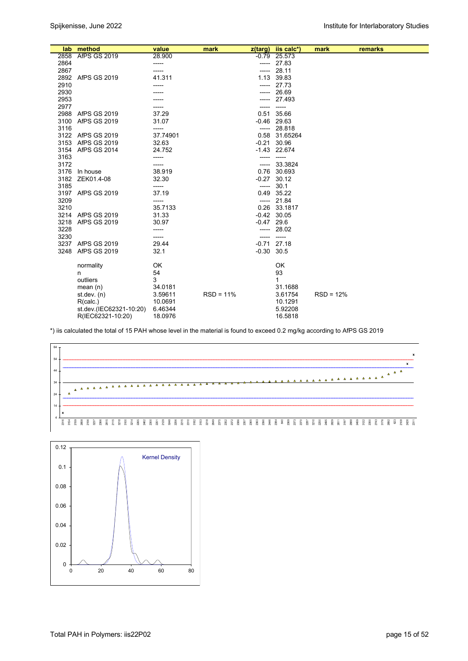|      | lab method              | value            | mark        | $z$ (targ)   | iis calc*)                | mark        | remarks |
|------|-------------------------|------------------|-------------|--------------|---------------------------|-------------|---------|
|      | 2858 AfPS GS 2019       | 28.900           |             |              | $-0.79$ 25.573            |             |         |
| 2864 |                         | -----            |             |              | $--- 27.83$               |             |         |
| 2867 |                         | -----            |             | -----        | 28.11                     |             |         |
|      | 2892 AfPS GS 2019       | 41.311           |             | 1.13         | 39.83                     |             |         |
| 2910 |                         | -----            |             | -----        | 27.73                     |             |         |
| 2930 |                         |                  |             |              | 26.69                     |             |         |
| 2953 |                         |                  |             | -----        | 27.493                    |             |         |
| 2977 |                         | -----            |             |              | -----                     |             |         |
| 2988 | AfPS GS 2019            | 37.29            |             |              | 0.51 35.66                |             |         |
| 3100 | AfPS GS 2019            | 31.07            |             |              | $-0.46$ 29.63             |             |         |
| 3116 |                         | -----            |             | -----        | 28.818                    |             |         |
|      | 3122 AfPS GS 2019       | 37.74901         |             |              | 0.58 31.65264             |             |         |
|      | 3153 AfPS GS 2019       | 32.63            |             |              | $-0.21$ 30.96             |             |         |
|      | 3154 AfPS GS 2014       | 24.752           |             |              | $-1.43$ 22.674            |             |         |
| 3163 |                         | -----            |             |              |                           |             |         |
| 3172 |                         | ----             |             |              | ----- 33.3824             |             |         |
|      | 3176 In house           | 38.919           |             |              | 0.76 30.693               |             |         |
|      | 3182 ZEK01.4-08         | 32.30            |             |              | $-0.27$ 30.12             |             |         |
| 3185 |                         | -----            |             |              | $--- 30.1$                |             |         |
| 3209 | 3197 AfPS GS 2019       | 37.19            |             |              | 0.49 35.22<br>$--- 21.84$ |             |         |
| 3210 |                         | -----<br>35.7133 |             |              | 0.26 33.1817              |             |         |
|      | 3214 AfPS GS 2019       | 31.33            |             |              | $-0.42$ 30.05             |             |         |
| 3218 | AfPS GS 2019            | 30.97            |             | $-0.47$ 29.6 |                           |             |         |
| 3228 |                         | -----            |             |              | $--- 28.02$               |             |         |
| 3230 |                         | -----            |             |              | $-----$                   |             |         |
|      | 3237 AfPS GS 2019       | 29.44            |             |              | $-0.71$ 27.18             |             |         |
| 3248 | <b>AfPS GS 2019</b>     | 32.1             |             | $-0.30$ 30.5 |                           |             |         |
|      |                         |                  |             |              |                           |             |         |
|      | normality               | OK               |             |              | OK                        |             |         |
|      | n                       | 54               |             |              | 93                        |             |         |
|      | outliers                | 3                |             |              | $\mathbf 1$               |             |         |
|      | mean $(n)$              | 34.0181          |             |              | 31.1688                   |             |         |
|      | st.dev. $(n)$           | 3.59611          | $RSD = 11%$ |              | 3.61754                   | $RSD = 12%$ |         |
|      | R(calc.)                | 10.0691          |             |              | 10.1291                   |             |         |
|      | st.dev.(IEC62321-10:20) | 6.46344          |             |              | 5.92208                   |             |         |
|      | R(IEC62321-10:20)       | 18.0976          |             |              | 16.5818                   |             |         |

\*) iis calculated the total of 15 PAH whose level in the material is found to exceed 0.2 mg/kg according to AfPS GS 2019



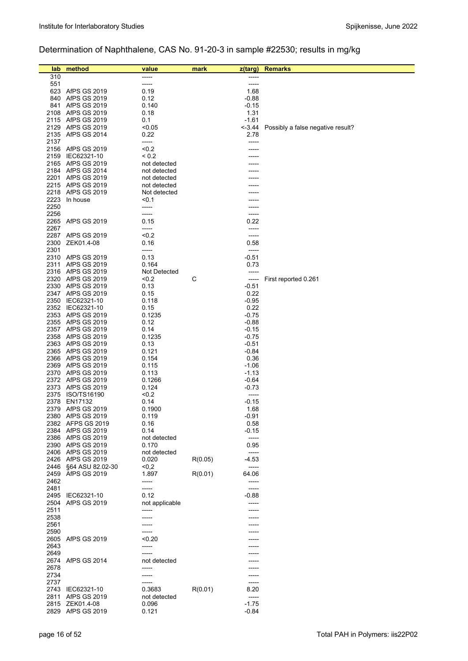# Determination of Naphthalene, CAS No. 91-20-3 in sample #22530; results in mg/kg

| lab          | method                                 | value          | mark    | z(targ)            | <b>Remarks</b>                    |
|--------------|----------------------------------------|----------------|---------|--------------------|-----------------------------------|
| 310          |                                        |                |         |                    |                                   |
| 551          |                                        | -----          |         | -----              |                                   |
|              | 623 AfPS GS 2019                       | 0.19           |         | 1.68               |                                   |
|              | 840 AfPS GS 2019                       | 0.12           |         | $-0.88$            |                                   |
|              | 841 AfPS GS 2019                       | 0.140          |         | $-0.15$            |                                   |
|              | 2108 AfPS GS 2019                      | 0.18           |         | 1.31               |                                   |
|              | 2115 AfPS GS 2019                      | 0.1            |         | $-1.61$            |                                   |
|              | 2129 AfPS GS 2019<br>2135 AfPS GS 2014 | < 0.05<br>0.22 |         | --3.44<br>2.78     | Possibly a false negative result? |
| 2137         |                                        | -----          |         | -----              |                                   |
|              | 2156 AfPS GS 2019                      | < 0.2          |         |                    |                                   |
|              | 2159 IEC62321-10                       | ${}_{0.2}$     |         |                    |                                   |
|              | 2165 AfPS GS 2019                      | not detected   |         |                    |                                   |
|              | 2184 AfPS GS 2014                      | not detected   |         |                    |                                   |
| 2201         | AfPS GS 2019                           | not detected   |         |                    |                                   |
|              | 2215 AfPS GS 2019                      | not detected   |         |                    |                                   |
|              | 2218 AfPS GS 2019                      | Not detected   |         |                    |                                   |
| 2223         | In house                               | < 0.1          |         |                    |                                   |
| 2250         |                                        | -----          |         |                    |                                   |
| 2256         | 2265 AfPS GS 2019                      | -----<br>0.15  |         | 0.22               |                                   |
| 2267         |                                        | -----          |         | -----              |                                   |
|              | 2287 AfPS GS 2019                      | < 0.2          |         | -----              |                                   |
| 2300         | ZEK01.4-08                             | 0.16           |         | 0.58               |                                   |
| 2301         |                                        | -----          |         | -----              |                                   |
|              | 2310 AfPS GS 2019                      | 0.13           |         | $-0.51$            |                                   |
|              | 2311 AfPS GS 2019                      | 0.164          |         | 0.73               |                                   |
|              | 2316 AfPS GS 2019                      | Not Detected   |         | -----              |                                   |
|              | 2320 AfPS GS 2019                      | < 0.2          | С       | -----              | First reported 0.261              |
|              | 2330 AfPS GS 2019                      | 0.13           |         | $-0.51$            |                                   |
|              | 2347 AfPS GS 2019                      | 0.15           |         | 0.22               |                                   |
|              | 2350 IEC62321-10                       | 0.118          |         | -0.95              |                                   |
|              | 2352 IEC62321-10<br>2353 AfPS GS 2019  | 0.15<br>0.1235 |         | 0.22<br>$-0.75$    |                                   |
|              | 2355 AfPS GS 2019                      | 0.12           |         | $-0.88$            |                                   |
|              | 2357 AfPS GS 2019                      | 0.14           |         | $-0.15$            |                                   |
|              | 2358 AfPS GS 2019                      | 0.1235         |         | $-0.75$            |                                   |
|              | 2363 AfPS GS 2019                      | 0.13           |         | $-0.51$            |                                   |
|              | 2365 AfPS GS 2019                      | 0.121          |         | -0.84              |                                   |
|              | 2366 AfPS GS 2019                      | 0.154          |         | 0.36               |                                   |
|              | 2369 AfPS GS 2019                      | 0.115          |         | $-1.06$            |                                   |
|              | 2370 AfPS GS 2019                      | 0.113          |         | $-1.13$            |                                   |
|              | 2372 AfPS GS 2019                      | 0.1266         |         | $-0.64$            |                                   |
|              | 2373 AfPS GS 2019<br>2375 ISO/TS16190  | 0.124<br>< 0.2 |         | $-0.73$<br>-----   |                                   |
|              | 2378 EN17132                           | 0.14           |         | $-0.15$            |                                   |
|              | 2379 AfPS GS 2019                      | 0.1900         |         | 1.68               |                                   |
|              | 2380 AfPS GS 2019                      | 0.119          |         | $-0.91$            |                                   |
|              | 2382 AFPS GS 2019                      | 0.16           |         | 0.58               |                                   |
|              | 2384 AfPS GS 2019                      | 0.14           |         | $-0.15$            |                                   |
|              | 2386 AfPS GS 2019                      | not detected   |         | -----              |                                   |
|              | 2390 AfPS GS 2019                      | 0.170          |         | 0.95               |                                   |
|              | 2406 AfPS GS 2019                      | not detected   |         | -----<br>-4.53     |                                   |
| 2446         | 2426 AfPS GS 2019<br>§64 ASU 82.02-30  | 0.020<br>< 0,2 | R(0.05) | -----              |                                   |
| 2459         | AfPS GS 2019                           | 1.897          | R(0.01) | 64.06              |                                   |
| 2462         |                                        | -----          |         | -----              |                                   |
| 2481         |                                        | -----          |         | -----              |                                   |
|              | 2495 IEC62321-10                       | 0.12           |         | -0.88              |                                   |
| 2504         | AfPS GS 2019                           | not applicable |         | -----              |                                   |
| 2511         |                                        | -----          |         |                    |                                   |
| 2538         |                                        |                |         |                    |                                   |
| 2561         |                                        |                |         |                    |                                   |
| 2590         | AfPS GS 2019                           | < 0.20         |         |                    |                                   |
| 2605<br>2643 |                                        | -----          |         |                    |                                   |
| 2649         |                                        | -----          |         |                    |                                   |
|              | 2674 AfPS GS 2014                      | not detected   |         |                    |                                   |
| 2678         |                                        | -----          |         |                    |                                   |
| 2734         |                                        |                |         |                    |                                   |
| 2737         |                                        |                |         |                    |                                   |
|              | 2743 IEC62321-10                       | 0.3683         | R(0.01) | 8.20               |                                   |
| 2811         | AfPS GS 2019                           | not detected   |         | -----              |                                   |
|              | 2815 ZEK01.4-08<br>2829 AfPS GS 2019   | 0.096<br>0.121 |         | $-1.75$<br>$-0.84$ |                                   |
|              |                                        |                |         |                    |                                   |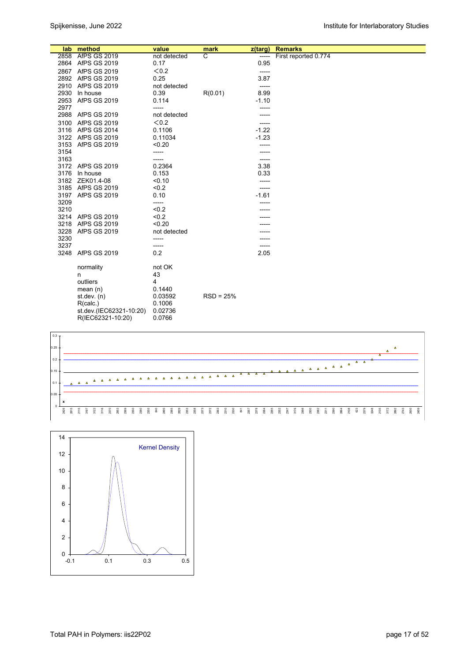|              | lab method              | value           | mark        | z(targ)       | <b>Remarks</b>       |
|--------------|-------------------------|-----------------|-------------|---------------|----------------------|
|              | 2858 AfPS GS 2019       | not detected    | ਟ           | -----         | First reported 0.774 |
|              | 2864 AfPS GS 2019       | 0.17            |             | 0.95          |                      |
|              | 2867 AfPS GS 2019       | < 0.2           |             | -----         |                      |
|              | 2892 AfPS GS 2019       | 0.25            |             | 3.87          |                      |
|              | 2910 AfPS GS 2019       | not detected    |             | -----         |                      |
| 2930         | In house                | 0.39            | R(0.01)     | 8.99          |                      |
| 2953         | <b>AfPS GS 2019</b>     | 0.114           |             | $-1.10$       |                      |
| 2977         |                         | -----           |             |               |                      |
|              | 2988 AfPS GS 2019       | not detected    |             |               |                      |
| 3100         | <b>AfPS GS 2019</b>     | < 0.2           |             | -----         |                      |
|              | 3116 AfPS GS 2014       | 0.1106          |             | $-1.22$       |                      |
|              | 3122 AfPS GS 2019       | 0.11034         |             | $-1.23$       |                      |
| 3153         | AfPS GS 2019            | < 0.20          |             | -----         |                      |
| 3154<br>3163 |                         | -----           |             |               |                      |
|              | 3172 AfPS GS 2019       | -----<br>0.2364 |             | -----<br>3.38 |                      |
| 3176         | In house                | 0.153           |             | 0.33          |                      |
|              | 3182 ZEK01.4-08         | < 0.10          |             | -----         |                      |
|              | 3185 AfPS GS 2019       | < 0.2           |             | -----         |                      |
|              | 3197 AfPS GS 2019       | 0.10            |             | $-1.61$       |                      |
| 3209         |                         | -----           |             |               |                      |
| 3210         |                         | < 0.2           |             |               |                      |
|              | 3214 AfPS GS 2019       | < 0.2           |             |               |                      |
| 3218         | AfPS GS 2019            | < 0.20          |             |               |                      |
| 3228         | <b>AfPS GS 2019</b>     | not detected    |             |               |                      |
| 3230         |                         | -----           |             |               |                      |
| 3237         |                         | -----           |             |               |                      |
| 3248         | <b>AfPS GS 2019</b>     | 0.2             |             | 2.05          |                      |
|              | normality               | not OK          |             |               |                      |
|              | n                       | 43              |             |               |                      |
|              | outliers                | 4               |             |               |                      |
|              | mean $(n)$              | 0.1440          |             |               |                      |
|              | st.dev. (n)             | 0.03592         | $RSD = 25%$ |               |                      |
|              | R(calc.)                | 0.1006          |             |               |                      |
|              | st.dev.(IEC62321-10:20) | 0.02736         |             |               |                      |
|              | R(IEC62321-10:20)       | 0.0766          |             |               |                      |



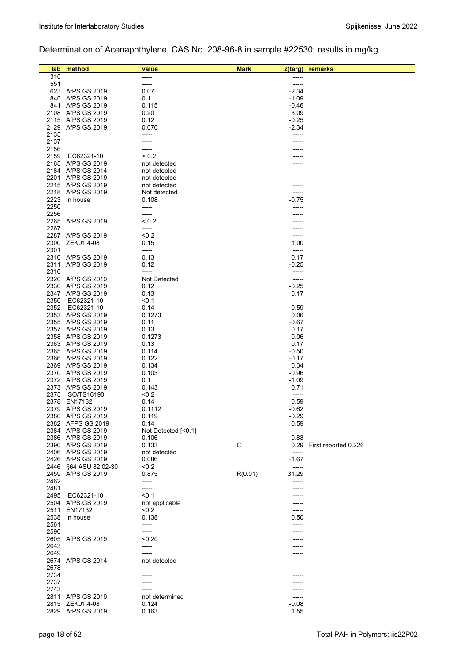# Determination of Acenaphthylene, CAS No. 208-96-8 in sample #22530; results in mg/kg

| lab          | method                                   | value               | <b>Mark</b> | z(targ)            | remarks                   |
|--------------|------------------------------------------|---------------------|-------------|--------------------|---------------------------|
| 310          |                                          | -----               |             | -----              |                           |
| 551          |                                          | -----               |             | -----              |                           |
|              | 623 AfPS GS 2019                         | 0.07                |             | $-2.34$            |                           |
|              | 840 AfPS GS 2019                         | 0.1                 |             | $-1.09$            |                           |
|              | 841 AfPS GS 2019                         | 0.115               |             | -0.46              |                           |
|              | 2108 AfPS GS 2019                        | 0.20                |             | 3.09               |                           |
|              | 2115 AfPS GS 2019                        | 0.12                |             | $-0.25$            |                           |
| 2129         | AfPS GS 2019                             | 0.070               |             | $-2.34$            |                           |
| 2135<br>2137 |                                          | -----               |             | -----              |                           |
| 2156         |                                          | -----               |             |                    |                           |
| 2159         | IEC62321-10                              | ${}_{0.2}$          |             |                    |                           |
|              | 2165 AfPS GS 2019                        | not detected        |             |                    |                           |
|              | 2184 AfPS GS 2014                        | not detected        |             |                    |                           |
| 2201         | AfPS GS 2019                             | not detected        |             |                    |                           |
|              | 2215 AfPS GS 2019                        | not detected        |             |                    |                           |
|              | 2218 AfPS GS 2019                        | Not detected        |             | -----              |                           |
| 2223         | In house                                 | 0.108               |             | $-0.75$            |                           |
| 2250         |                                          | -----               |             |                    |                           |
| 2256         |                                          | -----               |             |                    |                           |
|              | 2265 AfPS GS 2019                        | ${}^{5}$ 0.2        |             |                    |                           |
| 2267         |                                          | -----               |             |                    |                           |
|              | 2287 AfPS GS 2019                        | < 0.2               |             |                    |                           |
| 2300         | ZEK01.4-08                               | 0.15                |             | 1.00               |                           |
| 2301         |                                          | -----               |             | -----              |                           |
|              | 2310 AfPS GS 2019<br><b>AfPS GS 2019</b> | 0.13<br>0.12        |             | 0.17<br>$-0.25$    |                           |
| 2311<br>2316 |                                          | -----               |             | -----              |                           |
|              | 2320 AfPS GS 2019                        | Not Detected        |             | -----              |                           |
|              | 2330 AfPS GS 2019                        | 0.12                |             | $-0.25$            |                           |
|              | 2347 AfPS GS 2019                        | 0.13                |             | 0.17               |                           |
|              | 2350 IEC62321-10                         | < 0.1               |             | -----              |                           |
|              | 2352 IEC62321-10                         | 0.14                |             | 0.59               |                           |
|              | 2353 AfPS GS 2019                        | 0.1273              |             | 0.06               |                           |
|              | 2355 AfPS GS 2019                        | 0.11                |             | $-0.67$            |                           |
|              | 2357 AfPS GS 2019                        | 0.13                |             | 0.17               |                           |
|              | 2358 AfPS GS 2019                        | 0.1273              |             | 0.06               |                           |
|              | 2363 AfPS GS 2019                        | 0.13                |             | 0.17               |                           |
|              | 2365 AfPS GS 2019                        | 0.114               |             | $-0.50$            |                           |
|              | 2366 AfPS GS 2019                        | 0.122               |             | $-0.17$            |                           |
|              | 2369 AfPS GS 2019                        | 0.134               |             | 0.34               |                           |
|              | 2370 AfPS GS 2019<br>2372 AfPS GS 2019   | 0.103<br>0.1        |             | $-0.96$<br>$-1.09$ |                           |
|              | 2373 AfPS GS 2019                        | 0.143               |             | 0.71               |                           |
| 2375         | ISO/TS16190                              | < 0.2               |             | -----              |                           |
| 2378         | EN17132                                  | 0.14                |             | 0.59               |                           |
|              | 2379 AfPS GS 2019                        | 0.1112              |             | $-0.62$            |                           |
|              | 2380 AIPS GS 2019                        | 0.119               |             | -0.29              |                           |
|              | 2382 AFPS GS 2019                        | 0.14                |             | 0.59               |                           |
|              | 2384 AfPS GS 2019                        | Not Detected [<0.1] |             | -----              |                           |
|              | 2386 AfPS GS 2019                        | 0.106               |             | $-0.83$            |                           |
|              | 2390 AfPS GS 2019                        | 0.133               | С           |                    | 0.29 First reported 0.226 |
|              | 2406 AfPS GS 2019                        | not detected        |             | -----              |                           |
|              | 2426 AfPS GS 2019                        | 0.086               |             | $-1.67$            |                           |
|              | 2446 §64 ASU 82.02-30                    | <0,2                |             | -----              |                           |
|              | 2459 AfPS GS 2019                        | 0.875               | R(0.01)     | 31.29              |                           |
| 2462         |                                          | -----               |             | ------             |                           |
| 2481         | 2495 IEC62321-10                         | -----<br>< 0.1      |             | -----              |                           |
|              | 2504 AfPS GS 2019                        | not applicable      |             |                    |                           |
| 2511         | EN17132                                  | < 0.2               |             | -----              |                           |
| 2538         | In house                                 | 0.138               |             | 0.50               |                           |
| 2561         |                                          | -----               |             | -----              |                           |
| 2590         |                                          | -----               |             |                    |                           |
|              | 2605 AfPS GS 2019                        | < 0.20              |             |                    |                           |
| 2643         |                                          | -----               |             |                    |                           |
| 2649         |                                          | -----               |             |                    |                           |
|              | 2674 AfPS GS 2014                        | not detected        |             |                    |                           |
| 2678         |                                          | -----               |             |                    |                           |
| 2734         |                                          |                     |             |                    |                           |
| 2737         |                                          | -----               |             |                    |                           |
| 2743         |                                          |                     |             | -----              |                           |
|              | 2811 AfPS GS 2019<br>2815 ZEK01.4-08     | not determined      |             | -----              |                           |
|              | 2829 AfPS GS 2019                        | 0.124<br>0.163      |             | -0.08<br>1.55      |                           |
|              |                                          |                     |             |                    |                           |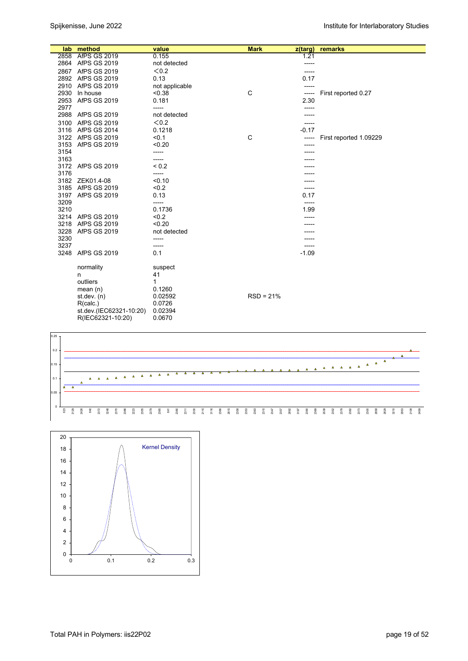|              | lab method              | value          | <b>Mark</b> | $z$ (targ) | remarks                |
|--------------|-------------------------|----------------|-------------|------------|------------------------|
| 2858         | <b>AfPS GS 2019</b>     | 0.155          |             | 1.21       |                        |
|              | 2864 AfPS GS 2019       | not detected   |             | -----      |                        |
|              | 2867 AfPS GS 2019       | < 0.2          |             | -----      |                        |
|              | 2892 AfPS GS 2019       | 0.13           |             | 0.17       |                        |
| 2910         | AfPS GS 2019            | not applicable |             |            |                        |
| 2930         | In house                | < 0.38         | C           | -----      | First reported 0.27    |
| 2953         | <b>AfPS GS 2019</b>     | 0.181          |             | 2.30       |                        |
| 2977         |                         | -----          |             | -----      |                        |
|              | 2988 AfPS GS 2019       | not detected   |             | -----      |                        |
| 3100         | <b>AfPS GS 2019</b>     | < 0.2          |             | -----      |                        |
|              | 3116 AfPS GS 2014       | 0.1218         |             | $-0.17$    |                        |
|              | 3122 AfPS GS 2019       | < 0.1          | C           | -----      | First reported 1.09229 |
| 3153         | <b>AfPS GS 2019</b>     | < 0.20         |             |            |                        |
| 3154         |                         | -----          |             | -----      |                        |
| 3163         |                         | -----          |             |            |                        |
|              | 3172 AfPS GS 2019       | ${}_{0.2}$     |             |            |                        |
| 3176         |                         | -----          |             |            |                        |
|              | 3182 ZEK01.4-08         | < 0.10         |             |            |                        |
|              | 3185 AfPS GS 2019       | < 0.2          |             | -----      |                        |
|              | 3197 AfPS GS 2019       | 0.13           |             | 0.17       |                        |
| 3209         |                         | -----          |             | -----      |                        |
| 3210         |                         | 0.1736         |             | 1.99       |                        |
|              | 3214 AfPS GS 2019       | < 0.2          |             | -----      |                        |
| 3218         | <b>AfPS GS 2019</b>     | < 0.20         |             |            |                        |
| 3228         | <b>AfPS GS 2019</b>     | not detected   |             |            |                        |
| 3230<br>3237 |                         | -----          |             | -----      |                        |
| 3248         | <b>AfPS GS 2019</b>     | -----<br>0.1   |             | $-1.09$    |                        |
|              |                         |                |             |            |                        |
|              | normality               | suspect        |             |            |                        |
|              | n                       | 41             |             |            |                        |
|              | outliers                | 1              |             |            |                        |
|              | mean $(n)$              | 0.1260         |             |            |                        |
|              | st.dev. $(n)$           | 0.02592        | $RSD = 21%$ |            |                        |
|              | R(calc.)                | 0.0726         |             |            |                        |
|              | st.dev.(IEC62321-10:20) | 0.02394        |             |            |                        |
|              | R(IEC62321-10:20)       | 0.0670         |             |            |                        |



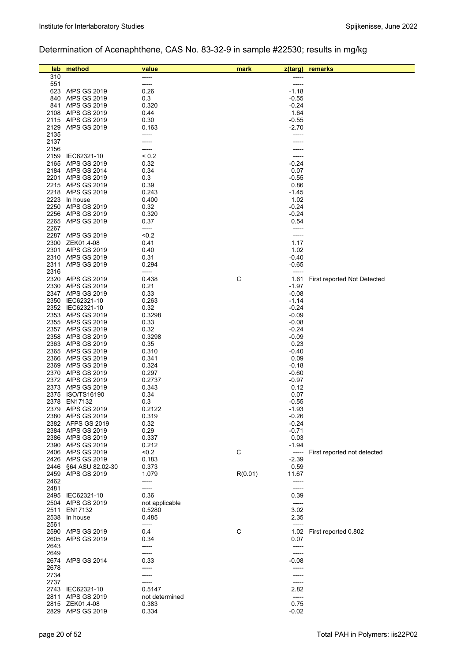# Determination of Acenaphthene, CAS No. 83-32-9 in sample #22530; results in mg/kg

| lab          | method                                 | value                    | mark    | z(targ)            | remarks                     |
|--------------|----------------------------------------|--------------------------|---------|--------------------|-----------------------------|
| 310          |                                        | -----                    |         |                    |                             |
| 551          |                                        | -----                    |         | -----              |                             |
| 840          | 623 AfPS GS 2019<br>AfPS GS 2019       | 0.26<br>0.3              |         | $-1.18$<br>$-0.55$ |                             |
| 841          | AfPS GS 2019                           | 0.320                    |         | $-0.24$            |                             |
|              | 2108 AfPS GS 2019                      | 0.44                     |         | 1.64               |                             |
|              | 2115 AfPS GS 2019                      | 0.30                     |         | $-0.55$            |                             |
|              | 2129 AfPS GS 2019                      | 0.163                    |         | $-2.70$            |                             |
| 2135         |                                        |                          |         |                    |                             |
| 2137         |                                        |                          |         |                    |                             |
| 2156<br>2159 | IEC62321-10                            | ${}^{5}$ 0.2             |         | -----              |                             |
|              | 2165 AfPS GS 2019                      | 0.32                     |         | $-0.24$            |                             |
|              | 2184 AfPS GS 2014                      | 0.34                     |         | 0.07               |                             |
|              | 2201 AfPS GS 2019                      | 0.3                      |         | $-0.55$            |                             |
|              | 2215 AfPS GS 2019                      | 0.39                     |         | 0.86               |                             |
|              | 2218 AfPS GS 2019<br>2223 In house     | 0.243                    |         | $-1.45$            |                             |
|              | 2250 AfPS GS 2019                      | 0.400<br>0.32            |         | 1.02<br>$-0.24$    |                             |
|              | 2256 AfPS GS 2019                      | 0.320                    |         | $-0.24$            |                             |
|              | 2265 AfPS GS 2019                      | 0.37                     |         | 0.54               |                             |
| 2267         |                                        | -----                    |         | -----              |                             |
|              | 2287 AfPS GS 2019                      | < 0.2                    |         | -----              |                             |
|              | 2300 ZEK01.4-08                        | 0.41                     |         | 1.17               |                             |
|              | 2301 AfPS GS 2019<br>2310 AfPS GS 2019 | 0.40<br>0.31             |         | 1.02<br>$-0.40$    |                             |
|              | 2311 AfPS GS 2019                      | 0.294                    |         | $-0.65$            |                             |
| 2316         |                                        | -----                    |         | -----              |                             |
|              | 2320 AfPS GS 2019                      | 0.438                    | С       | 1.61               | First reported Not Detected |
|              | 2330 AfPS GS 2019                      | 0.21                     |         | $-1.97$            |                             |
|              | 2347 AfPS GS 2019                      | 0.33                     |         | $-0.08$            |                             |
|              | 2350 IEC62321-10<br>2352 IEC62321-10   | 0.263<br>0.32            |         | $-1.14$            |                             |
|              | 2353 AfPS GS 2019                      | 0.3298                   |         | $-0.24$<br>$-0.09$ |                             |
|              | 2355 AfPS GS 2019                      | 0.33                     |         | $-0.08$            |                             |
|              | 2357 AfPS GS 2019                      | 0.32                     |         | $-0.24$            |                             |
|              | 2358 AfPS GS 2019                      | 0.3298                   |         | $-0.09$            |                             |
|              | 2363 AfPS GS 2019                      | 0.35                     |         | 0.23               |                             |
|              | 2365 AfPS GS 2019                      | 0.310                    |         | $-0.40$            |                             |
|              | 2366 AfPS GS 2019<br>2369 AfPS GS 2019 | 0.341<br>0.324           |         | 0.09<br>$-0.18$    |                             |
|              | 2370 AfPS GS 2019                      | 0.297                    |         | $-0.60$            |                             |
|              | 2372 AfPS GS 2019                      | 0.2737                   |         | $-0.97$            |                             |
|              | 2373 AfPS GS 2019                      | 0.343                    |         | 0.12               |                             |
|              | 2375 ISO/TS16190                       | 0.34                     |         | 0.07               |                             |
| 2378         | EN17132                                | 0.3<br>0.2122            |         | $-0.55$<br>$-1.93$ |                             |
|              | 2379 AfPS GS 2019<br>2380 AfPS GS 2019 | 0.319                    |         | $-0.26$            |                             |
|              | 2382 AFPS GS 2019                      | 0.32                     |         | $-0.24$            |                             |
|              | 2384 AfPS GS 2019                      | 0.29                     |         | $-0.71$            |                             |
|              | 2386 AfPS GS 2019                      | 0.337                    |         | 0.03               |                             |
|              | 2390 AfPS GS 2019                      | 0.212                    |         | $-1.94$            |                             |
|              | 2406 AfPS GS 2019<br>2426 AfPS GS 2019 | < 0.2<br>0.183           | С       | -----<br>$-2.39$   | First reported not detected |
| 2446         | §64 ASU 82.02-30                       | 0.373                    |         | 0.59               |                             |
|              | 2459 AfPS GS 2019                      | 1.079                    | R(0.01) | 11.67              |                             |
| 2462         |                                        | -----                    |         | -----              |                             |
| 2481         |                                        | -----                    |         | -----              |                             |
|              | 2495 IEC62321-10                       | 0.36                     |         | 0.39               |                             |
|              | 2504 AfPS GS 2019<br>EN17132           | not applicable<br>0.5280 |         | $-----$<br>3.02    |                             |
| 2511         | 2538 In house                          | 0.485                    |         | 2.35               |                             |
| 2561         |                                        | -----                    |         | -----              |                             |
|              | 2590 AfPS GS 2019                      | 0.4                      | С       | 1.02               | First reported 0.802        |
| 2605         | <b>AfPS GS 2019</b>                    | 0.34                     |         | 0.07               |                             |
| 2643         |                                        | -----                    |         | -----              |                             |
| 2649         |                                        | -----                    |         | -----              |                             |
| 2678         | 2674 AfPS GS 2014                      | 0.33<br>-----            |         | $-0.08$<br>-----   |                             |
| 2734         |                                        | -----                    |         | ------             |                             |
| 2737         |                                        | ------                   |         | -----              |                             |
|              | 2743 IEC62321-10                       | 0.5147                   |         | 2.82               |                             |
| 2811         | AfPS GS 2019                           | not determined           |         | $-----$            |                             |
|              | 2815 ZEK01.4-08<br>2829 AfPS GS 2019   | 0.383<br>0.334           |         | 0.75<br>$-0.02$    |                             |
|              |                                        |                          |         |                    |                             |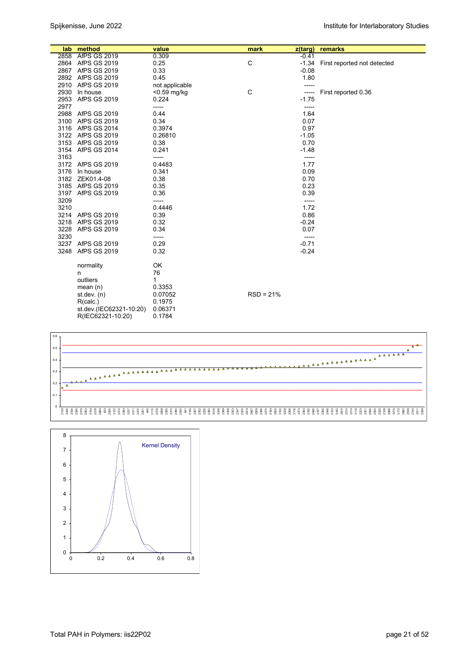|      | lab method              | value          | mark        | z(targ) | remarks                           |
|------|-------------------------|----------------|-------------|---------|-----------------------------------|
|      | 2858 AfPS GS 2019       | 0.309          |             | $-0.41$ |                                   |
|      | 2864 AfPS GS 2019       | 0.25           | С           |         | -1.34 First reported not detected |
|      | 2867 AfPS GS 2019       | 0.33           |             | $-0.08$ |                                   |
|      | 2892 AfPS GS 2019       | 0.45           |             | 1.80    |                                   |
|      | 2910 AfPS GS 2019       | not applicable |             | -----   |                                   |
|      | 2930 In house           | $<$ 0.59 mg/kg | С           | -----   | First reported 0.36               |
|      | 2953 AfPS GS 2019       | 0.224          |             | $-1.75$ |                                   |
| 2977 |                         | -----          |             | -----   |                                   |
|      | 2988 AfPS GS 2019       | 0.44           |             | 1.64    |                                   |
|      | 3100 AfPS GS 2019       | 0.34           |             | 0.07    |                                   |
|      | 3116 AfPS GS 2014       | 0.3974         |             | 0.97    |                                   |
|      | 3122 AfPS GS 2019       | 0.26810        |             | $-1.05$ |                                   |
|      | 3153 AfPS GS 2019       | 0.38           |             | 0.70    |                                   |
|      | 3154 AfPS GS 2014       | 0.241          |             | $-1.48$ |                                   |
| 3163 |                         | -----          |             | -----   |                                   |
|      | 3172 AfPS GS 2019       | 0.4483         |             | 1.77    |                                   |
|      | 3176 In house           | 0.341          |             | 0.09    |                                   |
|      | 3182 ZEK01.4-08         | 0.38           |             | 0.70    |                                   |
|      | 3185 AfPS GS 2019       | 0.35           |             | 0.23    |                                   |
|      | 3197 AfPS GS 2019       | 0.36           |             | 0.39    |                                   |
| 3209 |                         | -----          |             | -----   |                                   |
| 3210 |                         | 0.4446         |             | 1.72    |                                   |
|      | 3214 AfPS GS 2019       | 0.39           |             | 0.86    |                                   |
| 3218 | AfPS GS 2019            | 0.32           |             | $-0.24$ |                                   |
| 3228 | AfPS GS 2019            | 0.34           |             | 0.07    |                                   |
| 3230 |                         | -----          |             | -----   |                                   |
|      | 3237 AfPS GS 2019       | 0.29           |             | $-0.71$ |                                   |
|      | 3248 AfPS GS 2019       | 0.32           |             | $-0.24$ |                                   |
|      | normality               | OK             |             |         |                                   |
|      | n                       | 76             |             |         |                                   |
|      | outliers                | 1              |             |         |                                   |
|      | mean $(n)$              | 0.3353         |             |         |                                   |
|      | st.dev. $(n)$           | 0.07052        | $RSD = 21%$ |         |                                   |
|      | R(calc.)                | 0.1975         |             |         |                                   |
|      | st.dev.(IEC62321-10:20) | 0.06371        |             |         |                                   |
|      | R(IEC62321-10:20)       | 0.1784         |             |         |                                   |



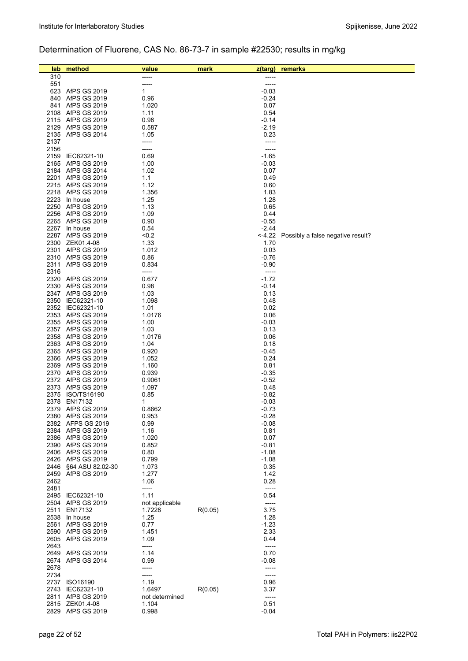# Determination of Fluorene, CAS No. 86-73-7 in sample #22530; results in mg/kg

| lab          | method                                   | value                    | mark    | z(targ)            | remarks                                  |
|--------------|------------------------------------------|--------------------------|---------|--------------------|------------------------------------------|
| 310          |                                          |                          |         |                    |                                          |
| 551          |                                          | -----                    |         | -----              |                                          |
|              | 623 AfPS GS 2019                         | 1                        |         | $-0.03$            |                                          |
|              | 840 AfPS GS 2019                         | 0.96                     |         | $-0.24$            |                                          |
|              | 841 AfPS GS 2019                         | 1.020                    |         | 0.07               |                                          |
|              | 2108 AfPS GS 2019<br>2115 AfPS GS 2019   | 1.11<br>0.98             |         | 0.54<br>$-0.14$    |                                          |
|              | 2129 AfPS GS 2019                        | 0.587                    |         | $-2.19$            |                                          |
|              | 2135 AfPS GS 2014                        | 1.05                     |         | 0.23               |                                          |
| 2137         |                                          | -----                    |         | -----              |                                          |
| 2156         |                                          | -----                    |         | -----              |                                          |
|              | 2159 IEC62321-10                         | 0.69                     |         | $-1.65$            |                                          |
|              | 2165 AfPS GS 2019                        | 1.00                     |         | $-0.03$            |                                          |
|              | 2184 AfPS GS 2014<br>2201 AfPS GS 2019   | 1.02<br>1.1              |         | 0.07<br>0.49       |                                          |
|              | 2215 AfPS GS 2019                        | 1.12                     |         | 0.60               |                                          |
|              | 2218 AfPS GS 2019                        | 1.356                    |         | 1.83               |                                          |
|              | 2223 In house                            | 1.25                     |         | 1.28               |                                          |
|              | 2250 AfPS GS 2019                        | 1.13                     |         | 0.65               |                                          |
|              | 2256 AfPS GS 2019                        | 1.09                     |         | 0.44               |                                          |
|              | 2265 AfPS GS 2019                        | 0.90                     |         | $-0.55$            |                                          |
|              | 2267 In house<br>2287 AfPS GS 2019       | 0.54<br><0.2             |         | $-2.44$            | <-4.22 Possibly a false negative result? |
|              | 2300 ZEK01.4-08                          | 1.33                     |         | 1.70               |                                          |
|              | 2301 AfPS GS 2019                        | 1.012                    |         | 0.03               |                                          |
|              | 2310 AfPS GS 2019                        | 0.86                     |         | $-0.76$            |                                          |
| 2311         | <b>AfPS GS 2019</b>                      | 0.834                    |         | $-0.90$            |                                          |
| 2316         |                                          | -----                    |         | $-----$            |                                          |
|              | 2320 AfPS GS 2019                        | 0.677                    |         | $-1.72$            |                                          |
|              | 2330 AfPS GS 2019<br>2347 AfPS GS 2019   | 0.98<br>1.03             |         | $-0.14$<br>0.13    |                                          |
|              | 2350 IEC62321-10                         | 1.098                    |         | 0.48               |                                          |
|              | 2352 IEC62321-10                         | 1.01                     |         | 0.02               |                                          |
|              | 2353 AfPS GS 2019                        | 1.0176                   |         | 0.06               |                                          |
|              | 2355 AfPS GS 2019                        | 1.00                     |         | $-0.03$            |                                          |
|              | 2357 AfPS GS 2019                        | 1.03                     |         | 0.13               |                                          |
|              | 2358 AfPS GS 2019                        | 1.0176                   |         | 0.06               |                                          |
|              | 2363 AfPS GS 2019<br>2365 AfPS GS 2019   | 1.04<br>0.920            |         | 0.18<br>$-0.45$    |                                          |
|              | 2366 AfPS GS 2019                        | 1.052                    |         | 0.24               |                                          |
|              | 2369 AfPS GS 2019                        | 1.160                    |         | 0.81               |                                          |
|              | 2370 AfPS GS 2019                        | 0.939                    |         | $-0.35$            |                                          |
|              | 2372 AfPS GS 2019                        | 0.9061                   |         | $-0.52$            |                                          |
|              | 2373 AfPS GS 2019                        | 1.097                    |         | 0.48               |                                          |
|              | 2375 ISO/TS16190<br>2378 EN17132         | 0.85<br>1                |         | $-0.82$<br>$-0.03$ |                                          |
|              | 2379 AfPS GS 2019                        | 0.8662                   |         | $-0.73$            |                                          |
|              | 2380 AfPS GS 2019                        | 0.953                    |         | $-0.28$            |                                          |
|              | 2382 AFPS GS 2019                        | 0.99                     |         | $-0.08$            |                                          |
|              | 2384 AfPS GS 2019                        | 1.16                     |         | 0.81               |                                          |
|              | 2386 AfPS GS 2019                        | 1.020                    |         | 0.07               |                                          |
|              | 2390 AfPS GS 2019                        | 0.852                    |         | $-0.81$            |                                          |
| 2426         | 2406 AfPS GS 2019<br><b>AfPS GS 2019</b> | 0.80<br>0.799            |         | $-1.08$<br>$-1.08$ |                                          |
| 2446         | §64 ASU 82.02-30                         | 1.073                    |         | 0.35               |                                          |
| 2459         | AfPS GS 2019                             | 1.277                    |         | 1.42               |                                          |
| 2462         |                                          | 1.06                     |         | 0.28               |                                          |
| 2481         |                                          | -----                    |         | -----              |                                          |
|              | 2495 IEC62321-10                         | 1.11                     |         | 0.54               |                                          |
| 2511         | 2504 AfPS GS 2019                        | not applicable<br>1.7228 |         | $-----$<br>3.75    |                                          |
|              | EN17132<br>2538 In house                 | 1.25                     | R(0.05) | 1.28               |                                          |
| 2561         | AfPS GS 2019                             | 0.77                     |         | $-1.23$            |                                          |
|              | 2590 AfPS GS 2019                        | 1.451                    |         | 2.33               |                                          |
| 2605         | AfPS GS 2019                             | 1.09                     |         | 0.44               |                                          |
| 2643         |                                          | -----                    |         | $-----$            |                                          |
|              | 2649 AfPS GS 2019                        | 1.14                     |         | 0.70               |                                          |
| 2674<br>2678 | AfPS GS 2014                             | 0.99<br>-----            |         | $-0.08$            |                                          |
| 2734         |                                          | -----                    |         | -----              |                                          |
| 2737         | ISO16190                                 | 1.19                     |         | 0.96               |                                          |
| 2743         | IEC62321-10                              | 1.6497                   | R(0.05) | 3.37               |                                          |
| 2811         | AfPS GS 2019                             | not determined           |         | -----              |                                          |
|              | 2815 ZEK01.4-08                          | 1.104                    |         | 0.51               |                                          |
| 2829         | AfPS GS 2019                             | 0.998                    |         | $-0.04$            |                                          |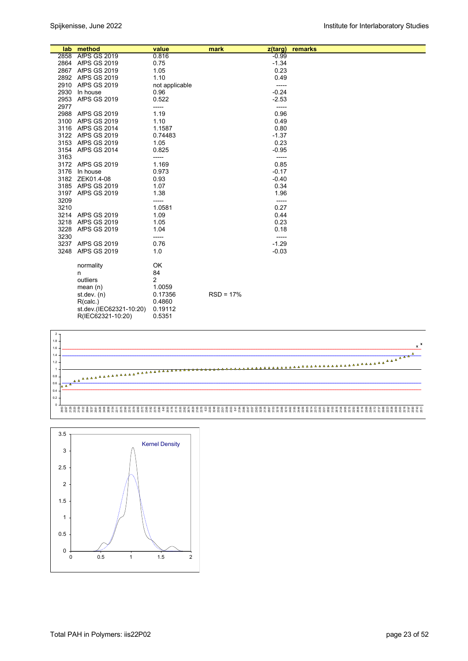|      | lab method              | value          | mark<br>z(targ) | remarks |
|------|-------------------------|----------------|-----------------|---------|
|      | 2858 AfPS GS 2019       | 0.816          | $-0.99$         |         |
|      | 2864 AfPS GS 2019       | 0.75           | $-1.34$         |         |
|      | 2867 AfPS GS 2019       | 1.05           | 0.23            |         |
|      | 2892 AfPS GS 2019       | 1.10           | 0.49            |         |
|      | 2910 AfPS GS 2019       | not applicable | -----           |         |
| 2930 | In house                | 0.96           | $-0.24$         |         |
| 2953 | <b>AfPS GS 2019</b>     | 0.522          | $-2.53$         |         |
| 2977 |                         | -----          | -----           |         |
|      | 2988 AfPS GS 2019       | 1.19           | 0.96            |         |
| 3100 | AfPS GS 2019            | 1.10           | 0.49            |         |
|      | 3116 AfPS GS 2014       | 1.1587         | 0.80            |         |
|      | 3122 AfPS GS 2019       | 0.74483        | $-1.37$         |         |
|      | 3153 AfPS GS 2019       | 1.05           | 0.23            |         |
|      | 3154 AfPS GS 2014       | 0.825          | $-0.95$         |         |
| 3163 |                         | -----          | -----           |         |
|      | 3172 AfPS GS 2019       | 1.169          | 0.85            |         |
|      | 3176 In house           | 0.973          | $-0.17$         |         |
|      | 3182 ZEK01.4-08         | 0.93           | $-0.40$         |         |
|      | 3185 AfPS GS 2019       | 1.07           | 0.34            |         |
|      | 3197 AfPS GS 2019       | 1.38           | 1.96            |         |
| 3209 |                         | -----          | -----           |         |
| 3210 |                         | 1.0581         | 0.27            |         |
|      | 3214 AfPS GS 2019       | 1.09           | 0.44            |         |
| 3218 | AfPS GS 2019            | 1.05           | 0.23            |         |
| 3228 | AfPS GS 2019            | 1.04           | 0.18            |         |
| 3230 |                         | -----          | -----           |         |
|      | 3237 AfPS GS 2019       | 0.76           | $-1.29$         |         |
| 3248 | <b>AfPS GS 2019</b>     | 1.0            | $-0.03$         |         |
|      | normality               | OK             |                 |         |
|      | n                       | 84             |                 |         |
|      | outliers                | 2              |                 |         |
|      | mean $(n)$              | 1.0059         |                 |         |
|      | st.dev. $(n)$           | 0.17356        | $RSD = 17%$     |         |
|      | R(calc.)                | 0.4860         |                 |         |
|      | st.dev.(IEC62321-10:20) | 0.19112        |                 |         |
|      | R(IEC62321-10:20)       | 0.5351         |                 |         |



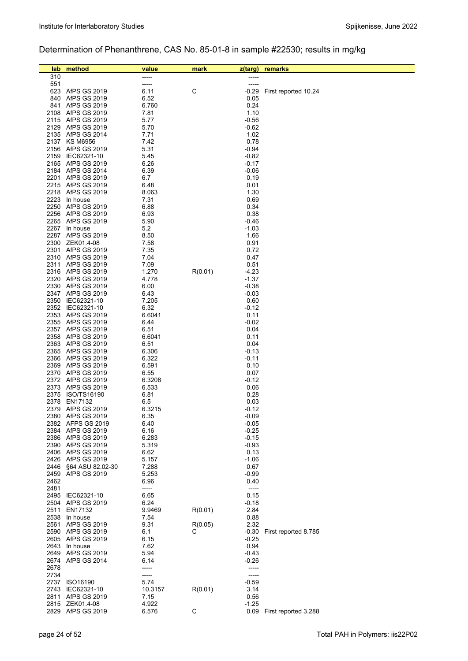# Determination of Phenanthrene, CAS No. 85-01-8 in sample #22530; results in mg/kg

| lab        | method                                 | value          | mark    | z(targ)            | remarks                   |
|------------|----------------------------------------|----------------|---------|--------------------|---------------------------|
| 310        |                                        | -----          |         |                    |                           |
| 551        |                                        | -----          |         | -----              |                           |
|            | 623 AfPS GS 2019                       | 6.11           | C       | $-0.29$            | First reported 10.24      |
| 840<br>841 | AfPS GS 2019<br><b>AfPS GS 2019</b>    | 6.52<br>6.760  |         | 0.05<br>0.24       |                           |
| 2108       | <b>AfPS GS 2019</b>                    | 7.81           |         | 1.10               |                           |
|            | 2115 AfPS GS 2019                      | 5.77           |         | $-0.56$            |                           |
|            | 2129 AfPS GS 2019                      | 5.70           |         | $-0.62$            |                           |
|            | 2135 AfPS GS 2014                      | 7.71           |         | 1.02               |                           |
|            | 2137 KS M6956                          | 7.42           |         | 0.78               |                           |
|            | 2156 AfPS GS 2019<br>2159 IEC62321-10  | 5.31<br>5.45   |         | $-0.94$<br>$-0.82$ |                           |
|            | 2165 AfPS GS 2019                      | 6.26           |         | $-0.17$            |                           |
|            | 2184 AfPS GS 2014                      | 6.39           |         | $-0.06$            |                           |
|            | 2201 AfPS GS 2019                      | 6.7            |         | 0.19               |                           |
|            | 2215 AfPS GS 2019                      | 6.48           |         | 0.01               |                           |
|            | 2218 AfPS GS 2019                      | 8.063          |         | 1.30               |                           |
|            | 2223 In house<br>2250 AfPS GS 2019     | 7.31<br>6.88   |         | 0.69<br>0.34       |                           |
|            | 2256 AfPS GS 2019                      | 6.93           |         | 0.38               |                           |
|            | 2265 AfPS GS 2019                      | 5.90           |         | $-0.46$            |                           |
| 2267       | In house                               | 5.2            |         | $-1.03$            |                           |
|            | 2287 AfPS GS 2019                      | 8.50           |         | 1.66               |                           |
|            | 2300 ZEK01.4-08                        | 7.58           |         | 0.91               |                           |
|            | 2301 AfPS GS 2019<br>2310 AfPS GS 2019 | 7.35<br>7.04   |         | 0.72<br>0.47       |                           |
|            | 2311 AfPS GS 2019                      | 7.09           |         | 0.51               |                           |
|            | 2316 AfPS GS 2019                      | 1.270          | R(0.01) | -4.23              |                           |
|            | 2320 AfPS GS 2019                      | 4.778          |         | $-1.37$            |                           |
|            | 2330 AfPS GS 2019                      | 6.00           |         | $-0.38$            |                           |
|            | 2347 AfPS GS 2019                      | 6.43           |         | $-0.03$            |                           |
|            | 2350 IEC62321-10<br>2352 IEC62321-10   | 7.205<br>6.32  |         | 0.60<br>$-0.12$    |                           |
|            | 2353 AfPS GS 2019                      | 6.6041         |         | 0.11               |                           |
|            | 2355 AfPS GS 2019                      | 6.44           |         | $-0.02$            |                           |
| 2357       | <b>AfPS GS 2019</b>                    | 6.51           |         | 0.04               |                           |
|            | 2358 AfPS GS 2019                      | 6.6041         |         | 0.11               |                           |
|            | 2363 AfPS GS 2019                      | 6.51           |         | 0.04               |                           |
|            | 2365 AfPS GS 2019<br>2366 AfPS GS 2019 | 6.306<br>6.322 |         | $-0.13$<br>$-0.11$ |                           |
|            | 2369 AfPS GS 2019                      | 6.591          |         | 0.10               |                           |
|            | 2370 AfPS GS 2019                      | 6.55           |         | 0.07               |                           |
|            | 2372 AfPS GS 2019                      | 6.3208         |         | $-0.12$            |                           |
|            | 2373 AfPS GS 2019                      | 6.533          |         | 0.06               |                           |
|            | 2375 ISO/TS16190                       | 6.81           |         | 0.28               |                           |
| 2378       | EN17132<br>2379 AfPS GS 2019           | 6.5<br>6.3215  |         | 0.03<br>$-0.12$    |                           |
|            | 2380 AfPS GS 2019                      | 6.35           |         | $-0.09$            |                           |
|            | 2382 AFPS GS 2019                      | 6.40           |         | $-0.05$            |                           |
|            | 2384 AfPS GS 2019                      | 6.16           |         | $-0.25$            |                           |
|            | 2386 AfPS GS 2019                      | 6.283          |         | $-0.15$            |                           |
|            | 2390 AfPS GS 2019<br>2406 AfPS GS 2019 | 5.319          |         | $-0.93$            |                           |
|            | 2426 AfPS GS 2019                      | 6.62<br>5.157  |         | 0.13<br>$-1.06$    |                           |
| 2446       | §64 ASU 82.02-30                       | 7.288          |         | 0.67               |                           |
| 2459       | <b>AfPS GS 2019</b>                    | 5.253          |         | $-0.99$            |                           |
| 2462       |                                        | 6.96           |         | 0.40               |                           |
| 2481       |                                        | -----          |         | -----              |                           |
|            | 2495 IEC62321-10                       | 6.65<br>6.24   |         | 0.15               |                           |
|            | 2504 AfPS GS 2019<br>2511 EN17132      | 9.9469         | R(0.01) | $-0.18$<br>2.84    |                           |
|            | 2538 In house                          | 7.54           |         | 0.88               |                           |
| 2561       | <b>AfPS GS 2019</b>                    | 9.31           | R(0.05) | 2.32               |                           |
|            | 2590 AfPS GS 2019                      | 6.1            | С       | $-0.30$            | First reported 8.785      |
|            | 2605 AfPS GS 2019                      | 6.15           |         | $-0.25$            |                           |
|            | 2643 In house<br>2649 AfPS GS 2019     | 7.62<br>5.94   |         | 0.94<br>$-0.43$    |                           |
|            | 2674 AfPS GS 2014                      | 6.14           |         | $-0.26$            |                           |
| 2678       |                                        | -----          |         | -----              |                           |
| 2734       |                                        | -----          |         | -----              |                           |
|            | 2737 ISO16190                          | 5.74           |         | $-0.59$            |                           |
|            | 2743 IEC62321-10                       | 10.3157        | R(0.01) | 3.14               |                           |
| 2811       | AfPS GS 2019<br>2815 ZEK01.4-08        | 7.15<br>4.922  |         | 0.56<br>$-1.25$    |                           |
|            | 2829 AfPS GS 2019                      | 6.576          | С       |                    | 0.09 First reported 3.288 |
|            |                                        |                |         |                    |                           |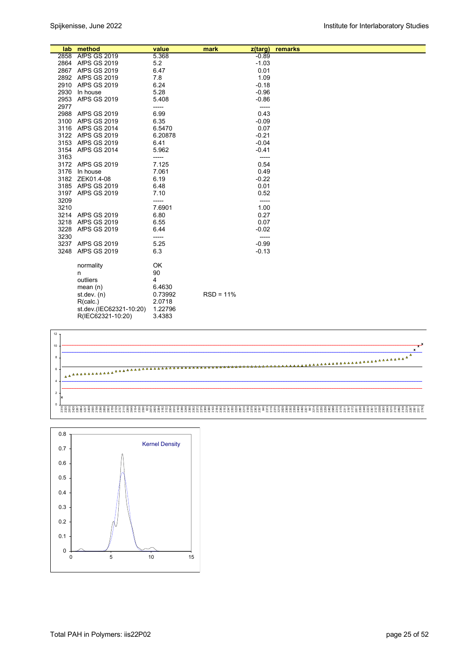|      | lab method              | value   | mark        | z(targ) | remarks |
|------|-------------------------|---------|-------------|---------|---------|
|      | 2858 AfPS GS 2019       | 5.368   |             | $-0.89$ |         |
|      | 2864 AfPS GS 2019       | 5.2     |             | $-1.03$ |         |
|      | 2867 AfPS GS 2019       | 6.47    |             | 0.01    |         |
|      | 2892 AfPS GS 2019       | 7.8     |             | 1.09    |         |
|      | 2910 AfPS GS 2019       | 6.24    |             | $-0.18$ |         |
| 2930 | In house                | 5.28    |             | $-0.96$ |         |
|      | 2953 AfPS GS 2019       | 5.408   |             | $-0.86$ |         |
| 2977 |                         | -----   |             | -----   |         |
|      | 2988 AfPS GS 2019       | 6.99    |             | 0.43    |         |
|      | 3100 AfPS GS 2019       | 6.35    |             | $-0.09$ |         |
|      | 3116 AfPS GS 2014       | 6.5470  |             | 0.07    |         |
|      | 3122 AfPS GS 2019       | 6.20878 |             | $-0.21$ |         |
|      | 3153 AfPS GS 2019       | 6.41    |             | $-0.04$ |         |
|      | 3154 AfPS GS 2014       | 5.962   |             | $-0.41$ |         |
| 3163 |                         | -----   |             | -----   |         |
|      | 3172 AfPS GS 2019       | 7.125   |             | 0.54    |         |
|      | 3176 In house           | 7.061   |             | 0.49    |         |
|      | 3182 ZEK01.4-08         | 6.19    |             | $-0.22$ |         |
|      | 3185 AfPS GS 2019       | 6.48    |             | 0.01    |         |
|      | 3197 AfPS GS 2019       | 7.10    |             | 0.52    |         |
| 3209 |                         | -----   |             | -----   |         |
| 3210 |                         | 7.6901  |             | 1.00    |         |
|      | 3214 AfPS GS 2019       | 6.80    |             | 0.27    |         |
|      | 3218 AfPS GS 2019       | 6.55    |             | 0.07    |         |
|      | 3228 AfPS GS 2019       | 6.44    |             | $-0.02$ |         |
| 3230 |                         | -----   |             | -----   |         |
|      | 3237 AfPS GS 2019       | 5.25    |             | $-0.99$ |         |
|      | 3248 AfPS GS 2019       | 6.3     |             | $-0.13$ |         |
|      |                         |         |             |         |         |
|      | normality               | OK      |             |         |         |
|      | n                       | 90      |             |         |         |
|      | outliers                | 4       |             |         |         |
|      | mean $(n)$              | 6.4630  |             |         |         |
|      | st.dev. $(n)$           | 0.73992 | $RSD = 11%$ |         |         |
|      | R(calc.)                | 2.0718  |             |         |         |
|      | st.dev.(IEC62321-10:20) | 1.22796 |             |         |         |
|      | R(IEC62321-10:20)       | 3.4383  |             |         |         |



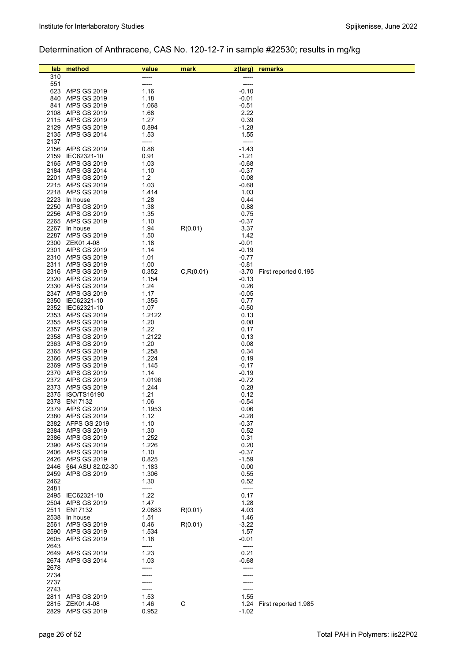# Determination of Anthracene, CAS No. 120-12-7 in sample #22530; results in mg/kg

| lab          | method                                 | value          | mark       | z(targ)         | remarks              |
|--------------|----------------------------------------|----------------|------------|-----------------|----------------------|
| 310          |                                        | -----          |            |                 |                      |
| 551          |                                        | -----          |            | -----           |                      |
|              | 623 AfPS GS 2019                       | 1.16           |            | $-0.10$         |                      |
| 840          | AfPS GS 2019                           | 1.18           |            | $-0.01$         |                      |
| 841          | AfPS GS 2019                           | 1.068          |            | $-0.51$         |                      |
| 2108         | AfPS GS 2019<br>2115 AfPS GS 2019      | 1.68<br>1.27   |            | 2.22<br>0.39    |                      |
| 2129         | AfPS GS 2019                           | 0.894          |            | $-1.28$         |                      |
|              | 2135 AfPS GS 2014                      | 1.53           |            | 1.55            |                      |
| 2137         |                                        | -----          |            | -----           |                      |
|              | 2156 AfPS GS 2019                      | 0.86           |            | $-1.43$         |                      |
| 2159         | IEC62321-10                            | 0.91           |            | $-1.21$         |                      |
|              | 2165 AfPS GS 2019                      | 1.03           |            | $-0.68$         |                      |
|              | 2184 AfPS GS 2014                      | 1.10           |            | $-0.37$         |                      |
|              | 2201 AfPS GS 2019                      | 1.2            |            | 0.08            |                      |
|              | 2215 AfPS GS 2019                      | 1.03           |            | $-0.68$         |                      |
|              | 2218 AfPS GS 2019                      | 1.414          |            | 1.03            |                      |
|              | 2223 In house<br>2250 AfPS GS 2019     | 1.28<br>1.38   |            | 0.44<br>0.88    |                      |
|              | 2256 AfPS GS 2019                      | 1.35           |            | 0.75            |                      |
|              | 2265 AfPS GS 2019                      | 1.10           |            | $-0.37$         |                      |
| 2267         | In house                               | 1.94           | R(0.01)    | 3.37            |                      |
|              | 2287 AfPS GS 2019                      | 1.50           |            | 1.42            |                      |
|              | 2300 ZEK01.4-08                        | 1.18           |            | $-0.01$         |                      |
|              | 2301 AfPS GS 2019                      | 1.14           |            | $-0.19$         |                      |
|              | 2310 AfPS GS 2019                      | 1.01           |            | $-0.77$         |                      |
|              | 2311 AfPS GS 2019                      | 1.00           |            | $-0.81$         |                      |
|              | 2316 AfPS GS 2019                      | 0.352          | C, R(0.01) | $-3.70$         | First reported 0.195 |
|              | 2320 AfPS GS 2019<br>2330 AfPS GS 2019 | 1.154<br>1.24  |            | $-0.13$<br>0.26 |                      |
|              | 2347 AfPS GS 2019                      | 1.17           |            | $-0.05$         |                      |
|              | 2350 IEC62321-10                       | 1.355          |            | 0.77            |                      |
|              | 2352 IEC62321-10                       | 1.07           |            | $-0.50$         |                      |
|              | 2353 AfPS GS 2019                      | 1.2122         |            | 0.13            |                      |
|              | 2355 AfPS GS 2019                      | 1.20           |            | 0.08            |                      |
|              | 2357 AfPS GS 2019                      | 1.22           |            | 0.17            |                      |
|              | 2358 AfPS GS 2019                      | 1.2122         |            | 0.13            |                      |
|              | 2363 AfPS GS 2019                      | 1.20           |            | 0.08            |                      |
|              | 2365 AfPS GS 2019                      | 1.258          |            | 0.34            |                      |
|              | 2366 AfPS GS 2019<br>2369 AfPS GS 2019 | 1.224<br>1.145 |            | 0.19<br>$-0.17$ |                      |
|              | 2370 AfPS GS 2019                      | 1.14           |            | $-0.19$         |                      |
|              | 2372 AfPS GS 2019                      | 1.0196         |            | $-0.72$         |                      |
|              | 2373 AfPS GS 2019                      | 1.244          |            | 0.28            |                      |
|              | 2375 ISO/TS16190                       | 1.21           |            | 0.12            |                      |
| 2378         | EN17132                                | 1.06           |            | $-0.54$         |                      |
|              | 2379 AfPS GS 2019                      | 1.1953         |            | 0.06            |                      |
|              | 2380 AfPS GS 2019                      | 1.12           |            | $-0.28$         |                      |
|              | 2382 AFPS GS 2019<br>2384 AfPS GS 2019 | 1.10<br>1.30   |            | $-0.37$<br>0.52 |                      |
|              | 2386 AfPS GS 2019                      | 1.252          |            | 0.31            |                      |
|              | 2390 AfPS GS 2019                      | 1.226          |            | 0.20            |                      |
|              | 2406 AfPS GS 2019                      | 1.10           |            | $-0.37$         |                      |
|              | 2426 AfPS GS 2019                      | 0.825          |            | $-1.59$         |                      |
| 2446         | §64 ASU 82.02-30                       | 1.183          |            | 0.00            |                      |
| 2459         | AfPS GS 2019                           | 1.306          |            | 0.55            |                      |
| 2462         |                                        | 1.30           |            | 0.52            |                      |
| 2481         |                                        | -----          |            | -----           |                      |
|              | 2495 IEC62321-10<br>2504 AfPS GS 2019  | 1.22<br>1.47   |            | 0.17<br>1.28    |                      |
| 2511         | EN17132                                | 2.0883         | R(0.01)    | 4.03            |                      |
|              | 2538 In house                          | 1.51           |            | 1.46            |                      |
| 2561         | <b>AfPS GS 2019</b>                    | 0.46           | R(0.01)    | $-3.22$         |                      |
| 2590         | AfPS GS 2019                           | 1.534          |            | 1.57            |                      |
| 2605         | AfPS GS 2019                           | 1.18           |            | $-0.01$         |                      |
| 2643         |                                        | -----          |            | -----           |                      |
|              | 2649 AfPS GS 2019                      | 1.23           |            | 0.21            |                      |
| 2674         | <b>AfPS GS 2014</b>                    | 1.03           |            | $-0.68$         |                      |
| 2678<br>2734 |                                        | -----          |            |                 |                      |
| 2737         |                                        |                |            |                 |                      |
| 2743         |                                        |                |            |                 |                      |
| 2811         | AfPS GS 2019                           | 1.53           |            | 1.55            |                      |
| 2815         | ZEK01.4-08                             | 1.46           | C          | 1.24            | First reported 1.985 |
| 2829         | AfPS GS 2019                           | 0.952          |            | $-1.02$         |                      |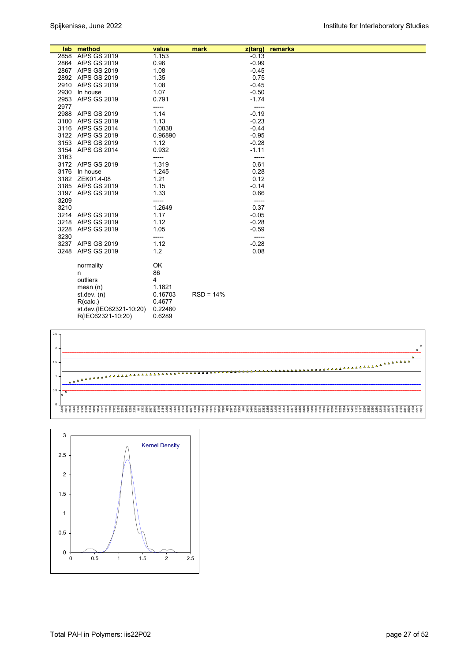|      | lab method              | value         | mark        | z(targ)          | remarks |
|------|-------------------------|---------------|-------------|------------------|---------|
|      | 2858 AfPS GS 2019       | 1.153         |             | $-0.13$          |         |
|      | 2864 AfPS GS 2019       | 0.96          |             | $-0.99$          |         |
|      | 2867 AfPS GS 2019       | 1.08          |             | $-0.45$          |         |
|      | 2892 AfPS GS 2019       | 1.35          |             | 0.75             |         |
|      | 2910 AfPS GS 2019       | 1.08          |             | $-0.45$          |         |
|      | 2930 In house           | 1.07          |             | $-0.50$          |         |
|      | 2953 AfPS GS 2019       | 0.791         |             | $-1.74$          |         |
| 2977 |                         | -----         |             | -----            |         |
|      | 2988 AfPS GS 2019       | 1.14          |             | $-0.19$          |         |
|      | 3100 AfPS GS 2019       | 1.13          |             | $-0.23$          |         |
|      | 3116 AfPS GS 2014       | 1.0838        |             | $-0.44$          |         |
|      | 3122 AfPS GS 2019       | 0.96890       |             | $-0.95$          |         |
|      | 3153 AfPS GS 2019       | 1.12          |             | $-0.28$          |         |
|      | 3154 AfPS GS 2014       | 0.932         |             | $-1.11$          |         |
| 3163 |                         | -----         |             | -----            |         |
|      | 3172 AfPS GS 2019       | 1.319         |             | 0.61             |         |
|      | 3176 In house           | 1.245         |             | 0.28             |         |
|      | 3182 ZEK01.4-08         | 1.21          |             | 0.12             |         |
|      | 3185 AfPS GS 2019       | 1.15          |             | $-0.14$          |         |
|      | 3197 AfPS GS 2019       | 1.33          |             | 0.66             |         |
| 3209 |                         | -----         |             | -----            |         |
| 3210 |                         | 1.2649        |             | 0.37             |         |
|      | 3214 AfPS GS 2019       | 1.17          |             | $-0.05$          |         |
|      | 3218 AfPS GS 2019       | 1.12          |             | $-0.28$          |         |
|      | 3228 AfPS GS 2019       | 1.05          |             | $-0.59$          |         |
| 3230 | 3237 AfPS GS 2019       | -----<br>1.12 |             | -----<br>$-0.28$ |         |
|      | 3248 AfPS GS 2019       |               |             |                  |         |
|      |                         | 1.2           |             | 0.08             |         |
|      | normality               | OK            |             |                  |         |
|      | n                       | 86            |             |                  |         |
|      | outliers                | 4             |             |                  |         |
|      | mean $(n)$              | 1.1821        |             |                  |         |
|      | st.dev. $(n)$           | 0.16703       | $RSD = 14%$ |                  |         |
|      | R(calc.)                | 0.4677        |             |                  |         |
|      | st.dev.(IEC62321-10:20) | 0.22460       |             |                  |         |
|      | R(IEC62321-10:20)       | 0.6289        |             |                  |         |



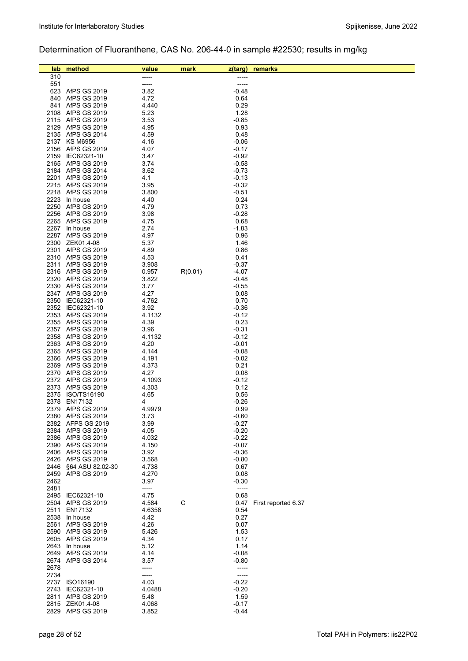# Determination of Fluoranthene, CAS No. 206-44-0 in sample #22530; results in mg/kg

| lab.         | method                                 | value          | mark    | $z$ (targ)         | remarks             |
|--------------|----------------------------------------|----------------|---------|--------------------|---------------------|
| 310          |                                        | -----          |         |                    |                     |
| 551          |                                        | -----          |         | -----              |                     |
|              | 623 AfPS GS 2019                       | 3.82           |         | $-0.48$<br>0.64    |                     |
|              | 840 AfPS GS 2019<br>841 AfPS GS 2019   | 4.72<br>4.440  |         | 0.29               |                     |
|              | 2108 AfPS GS 2019                      | 5.23           |         | 1.28               |                     |
|              | 2115 AfPS GS 2019                      | 3.53           |         | $-0.85$            |                     |
|              | 2129 AfPS GS 2019                      | 4.95           |         | 0.93               |                     |
|              | 2135 AfPS GS 2014                      | 4.59           |         | 0.48               |                     |
|              | 2137 KS M6956<br>2156 AfPS GS 2019     | 4.16<br>4.07   |         | $-0.06$<br>$-0.17$ |                     |
|              | 2159 IEC62321-10                       | 3.47           |         | $-0.92$            |                     |
|              | 2165 AfPS GS 2019                      | 3.74           |         | $-0.58$            |                     |
|              | 2184 AfPS GS 2014                      | 3.62           |         | $-0.73$            |                     |
|              | 2201 AfPS GS 2019                      | 4.1            |         | $-0.13$            |                     |
|              | 2215 AfPS GS 2019<br>2218 AfPS GS 2019 | 3.95<br>3.800  |         | $-0.32$<br>$-0.51$ |                     |
|              | 2223 In house                          | 4.40           |         | 0.24               |                     |
|              | 2250 AfPS GS 2019                      | 4.79           |         | 0.73               |                     |
|              | 2256 AfPS GS 2019                      | 3.98           |         | $-0.28$            |                     |
|              | 2265 AfPS GS 2019                      | 4.75           |         | 0.68               |                     |
|              | 2267 In house<br>2287 AfPS GS 2019     | 2.74<br>4.97   |         | $-1.83$<br>0.96    |                     |
|              | 2300 ZEK01.4-08                        | 5.37           |         | 1.46               |                     |
|              | 2301 AfPS GS 2019                      | 4.89           |         | 0.86               |                     |
|              | 2310 AfPS GS 2019                      | 4.53           |         | 0.41               |                     |
|              | 2311 AfPS GS 2019                      | 3.908          |         | $-0.37$            |                     |
|              | 2316 AfPS GS 2019<br>2320 AfPS GS 2019 | 0.957<br>3.822 | R(0.01) | -4.07<br>$-0.48$   |                     |
|              | 2330 AfPS GS 2019                      | 3.77           |         | $-0.55$            |                     |
|              | 2347 AfPS GS 2019                      | 4.27           |         | 0.08               |                     |
|              | 2350 IEC62321-10                       | 4.762          |         | 0.70               |                     |
|              | 2352 IEC62321-10                       | 3.92           |         | $-0.36$            |                     |
|              | 2353 AfPS GS 2019<br>2355 AfPS GS 2019 | 4.1132<br>4.39 |         | $-0.12$<br>0.23    |                     |
|              | 2357 AfPS GS 2019                      | 3.96           |         | $-0.31$            |                     |
|              | 2358 AfPS GS 2019                      | 4.1132         |         | $-0.12$            |                     |
|              | 2363 AfPS GS 2019                      | 4.20           |         | $-0.01$            |                     |
|              | 2365 AfPS GS 2019                      | 4.144          |         | $-0.08$            |                     |
|              | 2366 AfPS GS 2019<br>2369 AfPS GS 2019 | 4.191<br>4.373 |         | $-0.02$<br>0.21    |                     |
|              | 2370 AfPS GS 2019                      | 4.27           |         | 0.08               |                     |
|              | 2372 AfPS GS 2019                      | 4.1093         |         | $-0.12$            |                     |
|              | 2373 AfPS GS 2019                      | 4.303          |         | 0.12               |                     |
|              | 2375 ISO/TS16190                       | 4.65           |         | 0.56               |                     |
|              | 2378 EN17132<br>2379 AfPS GS 2019      | 4<br>4.9979    |         | $-0.26$<br>0.99    |                     |
|              | 2380 AfPS GS 2019                      | 3.73           |         | $-0.60$            |                     |
|              | 2382 AFPS GS 2019                      | 3.99           |         | $-0.27$            |                     |
|              | 2384 AfPS GS 2019                      | 4.05           |         | $-0.20$            |                     |
|              | 2386 AfPS GS 2019                      | 4.032          |         | $-0.22$            |                     |
|              | 2390 AfPS GS 2019<br>2406 AfPS GS 2019 | 4.150<br>3.92  |         | $-0.07$<br>$-0.36$ |                     |
|              | 2426 AfPS GS 2019                      | 3.568          |         | $-0.80$            |                     |
| 2446         | §64 ASU 82.02-30                       | 4.738          |         | 0.67               |                     |
| 2459         | AfPS GS 2019                           | 4.270          |         | 0.08               |                     |
| 2462<br>2481 |                                        | 3.97<br>-----  |         | $-0.30$<br>-----   |                     |
|              | 2495 IEC62321-10                       | 4.75           |         | 0.68               |                     |
|              | 2504 AfPS GS 2019                      | 4.584          | С       | 0.47               | First reported 6.37 |
| 2511         | EN17132                                | 4.6358         |         | 0.54               |                     |
|              | 2538 In house                          | 4.42           |         | 0.27               |                     |
|              | 2561 AfPS GS 2019<br>2590 AfPS GS 2019 | 4.26<br>5.426  |         | 0.07<br>1.53       |                     |
|              | 2605 AfPS GS 2019                      | 4.34           |         | 0.17               |                     |
|              | 2643 In house                          | 5.12           |         | 1.14               |                     |
|              | 2649 AfPS GS 2019                      | 4.14           |         | $-0.08$            |                     |
|              | 2674 AfPS GS 2014                      | 3.57           |         | $-0.80$            |                     |
| 2678<br>2734 |                                        | -----<br>----- |         | -----              |                     |
|              | 2737 ISO16190                          | 4.03           |         | $-0.22$            |                     |
| 2743         | IEC62321-10                            | 4.0488         |         | $-0.20$            |                     |
| 2811         | AfPS GS 2019                           | 5.48           |         | 1.59               |                     |
|              | 2815 ZEK01.4-08                        | 4.068          |         | $-0.17$            |                     |
|              | 2829 AfPS GS 2019                      | 3.852          |         | $-0.44$            |                     |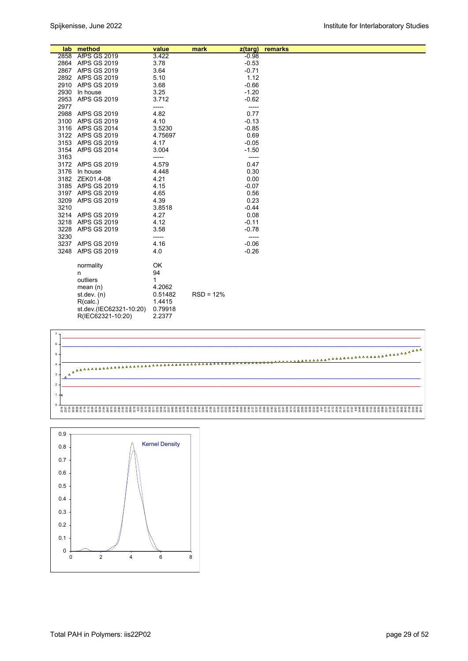|      | lab method              | value   | mark        | z(targ) | remarks |  |
|------|-------------------------|---------|-------------|---------|---------|--|
|      | 2858 AfPS GS 2019       | 3.422   |             | $-0.98$ |         |  |
|      | 2864 AfPS GS 2019       | 3.78    |             | $-0.53$ |         |  |
|      | 2867 AfPS GS 2019       | 3.64    |             | $-0.71$ |         |  |
|      | 2892 AfPS GS 2019       | 5.10    |             | 1.12    |         |  |
|      | 2910 AfPS GS 2019       | 3.68    |             | $-0.66$ |         |  |
|      | 2930 In house           | 3.25    |             | $-1.20$ |         |  |
|      | 2953 AfPS GS 2019       | 3.712   |             | $-0.62$ |         |  |
| 2977 |                         | -----   |             | -----   |         |  |
|      | 2988 AfPS GS 2019       | 4.82    |             | 0.77    |         |  |
|      | 3100 AfPS GS 2019       | 4.10    |             | $-0.13$ |         |  |
|      | 3116 AfPS GS 2014       | 3.5230  |             | $-0.85$ |         |  |
|      | 3122 AfPS GS 2019       | 4.75697 |             | 0.69    |         |  |
|      | 3153 AfPS GS 2019       | 4.17    |             | $-0.05$ |         |  |
|      | 3154 AfPS GS 2014       | 3.004   |             | $-1.50$ |         |  |
| 3163 |                         | -----   |             | -----   |         |  |
|      | 3172 AfPS GS 2019       | 4.579   |             | 0.47    |         |  |
|      | 3176 In house           | 4.448   |             | 0.30    |         |  |
|      | 3182 ZEK01.4-08         | 4.21    |             | 0.00    |         |  |
|      | 3185 AfPS GS 2019       | 4.15    |             | $-0.07$ |         |  |
|      | 3197 AfPS GS 2019       | 4.65    |             | 0.56    |         |  |
|      | 3209 AfPS GS 2019       | 4.39    |             | 0.23    |         |  |
| 3210 |                         | 3.8518  |             | $-0.44$ |         |  |
|      | 3214 AfPS GS 2019       | 4.27    |             | 0.08    |         |  |
|      | 3218 AfPS GS 2019       | 4.12    |             | $-0.11$ |         |  |
|      | 3228 AfPS GS 2019       | 3.58    |             | $-0.78$ |         |  |
| 3230 |                         | -----   |             | -----   |         |  |
|      | 3237 AfPS GS 2019       | 4.16    |             | $-0.06$ |         |  |
|      | 3248 AfPS GS 2019       | 4.0     |             | $-0.26$ |         |  |
|      |                         |         |             |         |         |  |
|      | normality               | OK      |             |         |         |  |
|      | n                       | 94      |             |         |         |  |
|      | outliers                | 1       |             |         |         |  |
|      | mean $(n)$              | 4.2062  |             |         |         |  |
|      | st.dev. $(n)$           | 0.51482 | $RSD = 12%$ |         |         |  |
|      | R(calc.)                | 1.4415  |             |         |         |  |
|      | st.dev.(IEC62321-10:20) | 0.79918 |             |         |         |  |
|      | R(IEC62321-10:20)       | 2.2377  |             |         |         |  |



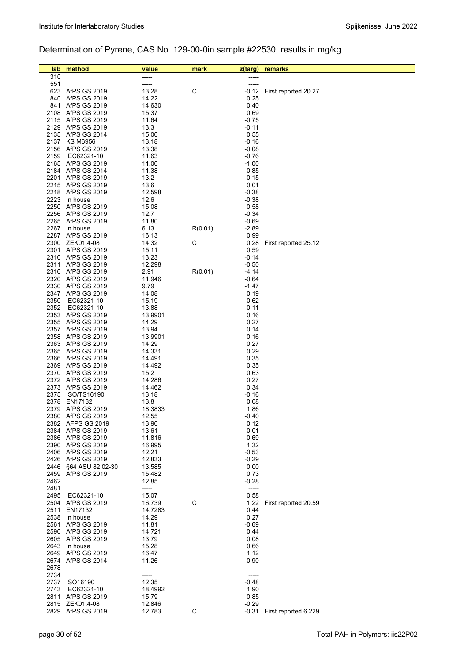# Determination of Pyrene, CAS No. 129-00-0in sample #22530; results in mg/kg

| lab  | method                                 | value            | mark    | z(targ)          | remarks                    |
|------|----------------------------------------|------------------|---------|------------------|----------------------------|
| 310  |                                        |                  |         |                  |                            |
| 551  |                                        | -----            |         | -----            |                            |
|      | 623 AfPS GS 2019                       | 13.28            | C       | -0.12            | First reported 20.27       |
| 840  | AfPS GS 2019                           | 14.22            |         | 0.25             |                            |
|      | 841 AfPS GS 2019                       | 14.630           |         | 0.40             |                            |
|      | 2108 AfPS GS 2019                      | 15.37            |         | 0.69             |                            |
|      | 2115 AfPS GS 2019                      | 11.64            |         | $-0.75$          |                            |
|      | 2129 AfPS GS 2019                      | 13.3             |         | $-0.11$<br>0.55  |                            |
|      | 2135 AfPS GS 2014<br>2137 KS M6956     | 15.00<br>13.18   |         | $-0.16$          |                            |
|      | 2156 AfPS GS 2019                      | 13.38            |         | $-0.08$          |                            |
|      | 2159 IEC62321-10                       | 11.63            |         | $-0.76$          |                            |
|      | 2165 AfPS GS 2019                      | 11.00            |         | $-1.00$          |                            |
|      | 2184 AfPS GS 2014                      | 11.38            |         | $-0.85$          |                            |
| 2201 | AfPS GS 2019                           | 13.2             |         | $-0.15$          |                            |
|      | 2215 AfPS GS 2019                      | 13.6             |         | 0.01             |                            |
|      | 2218 AfPS GS 2019                      | 12.598           |         | $-0.38$          |                            |
|      | 2223 In house<br>2250 AfPS GS 2019     | 12.6             |         | $-0.38$<br>0.58  |                            |
|      | 2256 AfPS GS 2019                      | 15.08<br>12.7    |         | $-0.34$          |                            |
|      | 2265 AfPS GS 2019                      | 11.80            |         | $-0.69$          |                            |
|      | 2267 In house                          | 6.13             | R(0.01) | $-2.89$          |                            |
|      | 2287 AfPS GS 2019                      | 16.13            |         | 0.99             |                            |
|      | 2300 ZEK01.4-08                        | 14.32            | C       | 0.28             | First reported 25.12       |
|      | 2301 AfPS GS 2019                      | 15.11            |         | 0.59             |                            |
|      | 2310 AfPS GS 2019                      | 13.23            |         | $-0.14$          |                            |
|      | 2311 AfPS GS 2019                      | 12.298           |         | $-0.50$          |                            |
|      | 2316 AfPS GS 2019                      | 2.91             | R(0.01) | $-4.14$          |                            |
|      | 2320 AfPS GS 2019<br>2330 AfPS GS 2019 | 11.946<br>9.79   |         | $-0.64$<br>-1.47 |                            |
|      | 2347 AfPS GS 2019                      | 14.08            |         | 0.19             |                            |
|      | 2350 IEC62321-10                       | 15.19            |         | 0.62             |                            |
|      | 2352 IEC62321-10                       | 13.88            |         | 0.11             |                            |
|      | 2353 AfPS GS 2019                      | 13.9901          |         | 0.16             |                            |
|      | 2355 AfPS GS 2019                      | 14.29            |         | 0.27             |                            |
|      | 2357 AfPS GS 2019                      | 13.94            |         | 0.14             |                            |
|      | 2358 AfPS GS 2019                      | 13.9901          |         | 0.16             |                            |
|      | 2363 AfPS GS 2019<br>2365 AfPS GS 2019 | 14.29<br>14.331  |         | 0.27<br>0.29     |                            |
|      | 2366 AfPS GS 2019                      | 14.491           |         | 0.35             |                            |
|      | 2369 AfPS GS 2019                      | 14.492           |         | 0.35             |                            |
|      | 2370 AfPS GS 2019                      | 15.2             |         | 0.63             |                            |
|      | 2372 AfPS GS 2019                      | 14.286           |         | 0.27             |                            |
|      | 2373 AfPS GS 2019                      | 14.462           |         | 0.34             |                            |
| 2375 | ISO/TS16190                            | 13.18            |         | $-0.16$          |                            |
| 2378 | EN17132                                | 13.8             |         | 0.08             |                            |
|      | 2379 AfPS GS 2019<br>2380 AfPS GS 2019 | 18.3833<br>12.55 |         | 1.86<br>-0.40    |                            |
|      | 2382 AFPS GS 2019                      | 13.90            |         | 0.12             |                            |
|      | 2384 AfPS GS 2019                      | 13.61            |         | 0.01             |                            |
|      | 2386 AfPS GS 2019                      | 11.816           |         | $-0.69$          |                            |
|      | 2390 AfPS GS 2019                      | 16.995           |         | 1.32             |                            |
|      | 2406 AfPS GS 2019                      | 12.21            |         | $-0.53$          |                            |
|      | 2426 AfPS GS 2019                      | 12.833           |         | $-0.29$          |                            |
| 2446 | §64 ASU 82.02-30                       | 13.585           |         | 0.00             |                            |
| 2462 | 2459 AfPS GS 2019                      | 15.482<br>12.85  |         | 0.73<br>$-0.28$  |                            |
| 2481 |                                        | -----            |         | -----            |                            |
|      | 2495 IEC62321-10                       | 15.07            |         | 0.58             |                            |
|      | 2504 AfPS GS 2019                      | 16.739           | C       | 1.22             | First reported 20.59       |
| 2511 | EN17132                                | 14.7283          |         | 0.44             |                            |
|      | 2538 In house                          | 14.29            |         | 0.27             |                            |
| 2561 | AfPS GS 2019                           | 11.81            |         | $-0.69$          |                            |
|      | 2590 AfPS GS 2019<br>2605 AfPS GS 2019 | 14.721<br>13.79  |         | 0.44<br>0.08     |                            |
|      | 2643 In house                          | 15.28            |         | 0.66             |                            |
|      | 2649 AfPS GS 2019                      | 16.47            |         | 1.12             |                            |
|      | 2674 AfPS GS 2014                      | 11.26            |         | $-0.90$          |                            |
| 2678 |                                        | -----            |         | -----            |                            |
| 2734 |                                        | -----            |         | -----            |                            |
|      | 2737 ISO16190                          | 12.35            |         | $-0.48$          |                            |
|      | 2743 IEC62321-10                       | 18.4992          |         | 1.90             |                            |
|      | 2811 AfPS GS 2019                      | 15.79            |         | 0.85             |                            |
|      | 2815 ZEK01.4-08<br>2829 AfPS GS 2019   | 12.846<br>12.783 | C       | $-0.29$          | -0.31 First reported 6.229 |
|      |                                        |                  |         |                  |                            |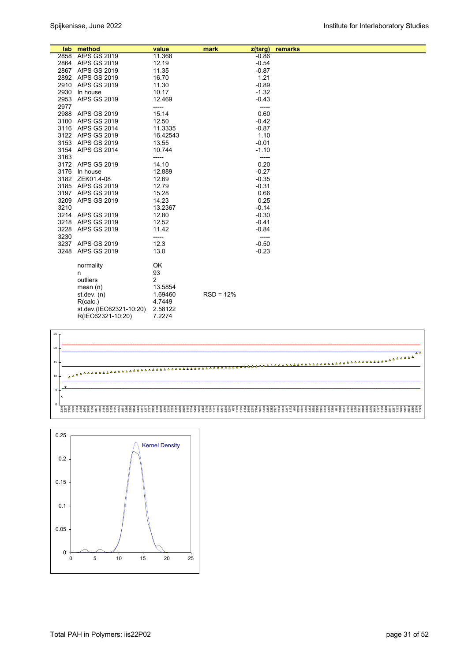|      | lab method              | value    | mark<br>z(targ) | remarks |
|------|-------------------------|----------|-----------------|---------|
|      | 2858 AfPS GS 2019       | 11.368   | $-0.86$         |         |
|      | 2864 AfPS GS 2019       | 12.19    | $-0.54$         |         |
|      | 2867 AfPS GS 2019       | 11.35    | $-0.87$         |         |
|      | 2892 AfPS GS 2019       | 16.70    | 1.21            |         |
|      | 2910 AfPS GS 2019       | 11.30    | $-0.89$         |         |
|      | 2930 In house           | 10.17    | $-1.32$         |         |
|      | 2953 AfPS GS 2019       | 12.469   | $-0.43$         |         |
| 2977 |                         | -----    | -----           |         |
|      | 2988 AfPS GS 2019       | 15.14    | 0.60            |         |
|      | 3100 AfPS GS 2019       | 12.50    | $-0.42$         |         |
|      | 3116 AfPS GS 2014       | 11.3335  | $-0.87$         |         |
|      | 3122 AfPS GS 2019       | 16.42543 | 1.10            |         |
|      | 3153 AfPS GS 2019       | 13.55    | $-0.01$         |         |
|      | 3154 AfPS GS 2014       | 10.744   | $-1.10$         |         |
| 3163 |                         | -----    | -----           |         |
|      | 3172 AfPS GS 2019       | 14.10    | 0.20            |         |
|      | 3176 In house           | 12.889   | $-0.27$         |         |
|      | 3182 ZEK01.4-08         | 12.69    | $-0.35$         |         |
|      | 3185 AfPS GS 2019       | 12.79    | $-0.31$         |         |
|      | 3197 AfPS GS 2019       | 15.28    | 0.66            |         |
|      | 3209 AfPS GS 2019       | 14.23    | 0.25            |         |
| 3210 |                         | 13.2367  | $-0.14$         |         |
|      | 3214 AfPS GS 2019       | 12.80    | $-0.30$         |         |
|      | 3218 AfPS GS 2019       | 12.52    | $-0.41$         |         |
|      | 3228 AfPS GS 2019       | 11.42    | $-0.84$         |         |
| 3230 |                         | -----    | -----           |         |
|      | 3237 AfPS GS 2019       | 12.3     | $-0.50$         |         |
|      | 3248 AfPS GS 2019       | 13.0     | $-0.23$         |         |
|      | normality               | OK       |                 |         |
|      | n                       | 93       |                 |         |
|      | outliers                | 2        |                 |         |
|      | mean $(n)$              | 13.5854  |                 |         |
|      | st.dev. $(n)$           | 1.69460  | $RSD = 12%$     |         |
|      | R(calc.)                | 4.7449   |                 |         |
|      | st.dev.(IEC62321-10:20) | 2.58122  |                 |         |
|      | R(IEC62321-10:20)       | 7.2274   |                 |         |



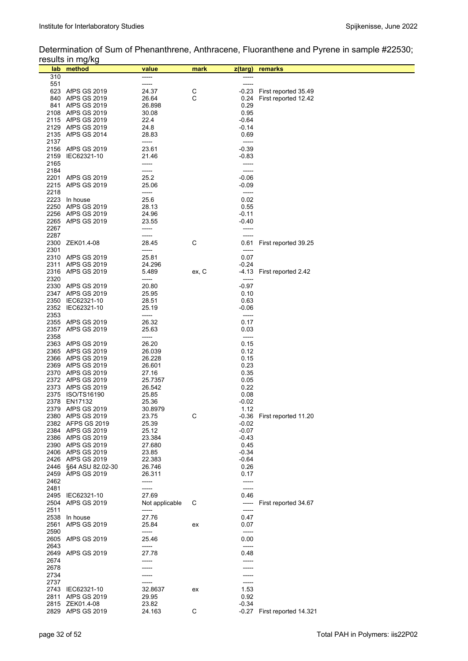## Determination of Sum of Phenanthrene, Anthracene, Fluoranthene and Pyrene in sample #22530; results in mg/kg

|      | פיישווי ייי שייטט<br>lab method         | value          | mark  | z(targ) | remarks                    |
|------|-----------------------------------------|----------------|-------|---------|----------------------------|
| 310  |                                         | -----          |       | ----    |                            |
| 551  |                                         | -----          |       | -----   |                            |
|      | 623 AfPS GS 2019                        | 24.37          | С     | -0.23   | First reported 35.49       |
| 840  | AfPS GS 2019                            | 26.64          | C     | 0.24    | First reported 12.42       |
|      | 841 AfPS GS 2019                        | 26.898         |       | 0.29    |                            |
|      | 2108 AfPS GS 2019                       | 30.08          |       | 0.95    |                            |
|      | 2115 AfPS GS 2019                       | 22.4           |       | $-0.64$ |                            |
|      | 2129 AfPS GS 2019                       | 24.8           |       | $-0.14$ |                            |
|      | 2135 AfPS GS 2014                       | 28.83          |       | 0.69    |                            |
| 2137 |                                         | -----          |       | -----   |                            |
|      | 2156 AfPS GS 2019                       | 23.61          |       | $-0.39$ |                            |
|      |                                         |                |       |         |                            |
| 2159 | IEC62321-10                             | 21.46          |       | $-0.83$ |                            |
| 2165 |                                         | -----          |       | -----   |                            |
| 2184 |                                         | -----          |       | -----   |                            |
|      | 2201 AfPS GS 2019                       | 25.2           |       | $-0.06$ |                            |
| 2215 | AfPS GS 2019                            | 25.06          |       | $-0.09$ |                            |
| 2218 |                                         | -----          |       | -----   |                            |
|      | 2223 In house                           | 25.6           |       | 0.02    |                            |
| 2250 | AfPS GS 2019                            | 28.13          |       | 0.55    |                            |
|      | 2256 AfPS GS 2019                       | 24.96          |       | $-0.11$ |                            |
|      | 2265 AfPS GS 2019                       | 23.55          |       | -0.40   |                            |
| 2267 |                                         | -----          |       | -----   |                            |
| 2287 |                                         | -----          |       | -----   |                            |
|      | 2300 ZEK01.4-08                         | 28.45          | С     | 0.61    | First reported 39.25       |
| 2301 |                                         | -----          |       | -----   |                            |
|      | 2310 AfPS GS 2019                       | 25.81          |       | 0.07    |                            |
| 2311 | <b>AfPS GS 2019</b>                     | 24.296         |       | $-0.24$ |                            |
|      | 2316 AfPS GS 2019                       | 5.489          | ex, C | -4.13   | First reported 2.42        |
| 2320 |                                         | -----          |       | -----   |                            |
|      | 2330 AfPS GS 2019                       | 20.80          |       | $-0.97$ |                            |
|      | 2347 AfPS GS 2019                       | 25.95          |       | 0.10    |                            |
|      | 2350 IEC62321-10                        | 28.51          |       | 0.63    |                            |
|      | 2352 IEC62321-10                        | 25.19          |       | $-0.06$ |                            |
|      |                                         | -----          |       | -----   |                            |
| 2353 |                                         |                |       |         |                            |
|      | 2355 AfPS GS 2019                       | 26.32          |       | 0.17    |                            |
|      | 2357 AfPS GS 2019                       | 25.63          |       | 0.03    |                            |
| 2358 |                                         | -----          |       | -----   |                            |
|      | 2363 AfPS GS 2019                       | 26.20          |       | 0.15    |                            |
|      | 2365 AfPS GS 2019                       | 26.039         |       | 0.12    |                            |
|      | 2366 AfPS GS 2019                       | 26.228         |       | 0.15    |                            |
|      | 2369 AfPS GS 2019                       | 26.601         |       | 0.23    |                            |
|      | 2370 AfPS GS 2019                       | 27.16          |       | 0.35    |                            |
|      | 2372 AfPS GS 2019                       | 25.7357        |       | 0.05    |                            |
|      | 2373 AfPS GS 2019                       | 26.542         |       | 0.22    |                            |
|      | 2375 ISO/TS16190                        | 25.85          |       | 0.08    |                            |
| 2378 | EN17132                                 | 25.36          |       | $-0.02$ |                            |
| 2379 | AfPS GS 2019                            | 30.8979        |       | 1.12    |                            |
|      | 2380 AfPS GS 2019                       | 23.75          | С     |         | -0.36 First reported 11.20 |
|      | 2382 AFPS GS 2019                       | 25.39          |       | $-0.02$ |                            |
|      | 2384 AfPS GS 2019                       | 25.12          |       | $-0.07$ |                            |
|      | 2386 AfPS GS 2019                       | 23.384         |       | $-0.43$ |                            |
|      | 2390 AfPS GS 2019                       | 27.680         |       | 0.45    |                            |
|      | 2406 AfPS GS 2019                       | 23.85          |       | $-0.34$ |                            |
|      | 2426 AfPS GS 2019                       | 22.383         |       | $-0.64$ |                            |
|      |                                         | 26.746         |       |         |                            |
| 2446 | §64 ASU 82.02-30<br><b>AfPS GS 2019</b> |                |       | 0.26    |                            |
| 2459 |                                         | 26.311         |       | 0.17    |                            |
| 2462 |                                         | -----          |       | -----   |                            |
| 2481 |                                         | -----          |       | -----   |                            |
| 2495 | IEC62321-10                             | 27.69          |       | 0.46    |                            |
| 2504 | <b>AfPS GS 2019</b>                     | Not applicable | С     | -----   | First reported 34.67       |
| 2511 |                                         | -----          |       | -----   |                            |
| 2538 | In house                                | 27.76          |       | 0.47    |                            |
|      | 2561 AfPS GS 2019                       | 25.84          | ex    | 0.07    |                            |
| 2590 |                                         | -----          |       | -----   |                            |
|      | 2605 AfPS GS 2019                       | 25.46          |       | 0.00    |                            |
| 2643 |                                         | -----          |       | -----   |                            |
|      | 2649 AfPS GS 2019                       | 27.78          |       | 0.48    |                            |
| 2674 |                                         |                |       |         |                            |
| 2678 |                                         |                |       |         |                            |
| 2734 |                                         |                |       |         |                            |
| 2737 |                                         | -----          |       | -----   |                            |
| 2743 | IEC62321-10                             | 32.8637        | ex    | 1.53    |                            |
| 2811 | AfPS GS 2019                            | 29.95          |       | 0.92    |                            |
|      |                                         |                |       |         |                            |
|      | 2815 ZEK01.4-08<br>2829 AfPS GS 2019    | 23.82          | C     | $-0.34$ |                            |
|      |                                         | 24.163         |       | -0.27   | First reported 14.321      |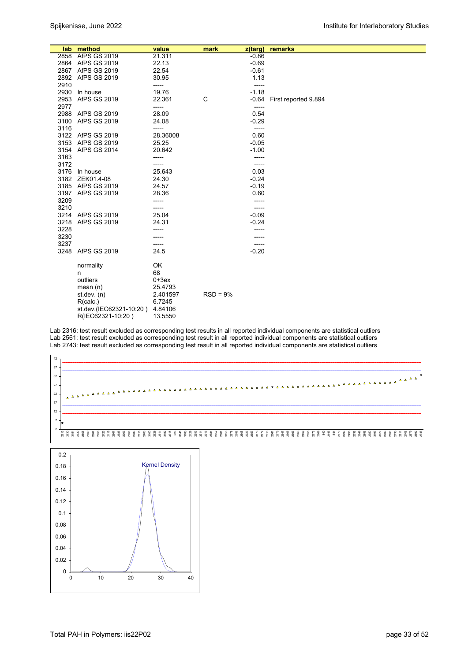|      | lab method                       | value           | mark       | $z$ (targ)      | remarks              |
|------|----------------------------------|-----------------|------------|-----------------|----------------------|
|      | 2858 AfPS GS 2019                | 21.311          |            | $-0.86$         |                      |
|      | 2864 AfPS GS 2019                | 22.13           |            | $-0.69$         |                      |
|      | 2867 AfPS GS 2019                | 22.54           |            | $-0.61$         |                      |
|      | 2892 AfPS GS 2019                | 30.95           |            | 1.13            |                      |
| 2910 |                                  | -----           |            | -----           |                      |
| 2930 | In house                         | 19.76           |            | $-1.18$         |                      |
| 2953 | <b>AfPS GS 2019</b>              | 22.361          | C          | $-0.64$         | First reported 9.894 |
| 2977 |                                  | -----           |            | -----           |                      |
|      | 2988 AfPS GS 2019                | 28.09           |            | 0.54            |                      |
| 3100 | <b>AfPS GS 2019</b>              | 24.08           |            | $-0.29$         |                      |
| 3116 |                                  | -----           |            | -----           |                      |
|      | 3122 AfPS GS 2019                | 28.36008        |            | 0.60            |                      |
| 3153 | AfPS GS 2019                     | 25.25           |            | $-0.05$         |                      |
|      | 3154 AfPS GS 2014                | 20.642          |            | $-1.00$         |                      |
| 3163 |                                  | -----           |            | -----           |                      |
| 3172 |                                  |                 |            | -----           |                      |
|      | 3176 In house<br>3182 ZEK01.4-08 | 25.643<br>24.30 |            | 0.03<br>$-0.24$ |                      |
|      | 3185 AfPS GS 2019                | 24.57           |            | $-0.19$         |                      |
|      | 3197 AfPS GS 2019                | 28.36           |            | 0.60            |                      |
| 3209 |                                  |                 |            | -----           |                      |
| 3210 |                                  |                 |            | -----           |                      |
|      | 3214 AfPS GS 2019                | 25.04           |            | $-0.09$         |                      |
| 3218 | <b>AfPS GS 2019</b>              | 24.31           |            | $-0.24$         |                      |
| 3228 |                                  |                 |            |                 |                      |
| 3230 |                                  |                 |            |                 |                      |
| 3237 |                                  | -----           |            | -----           |                      |
| 3248 | <b>AfPS GS 2019</b>              | 24.5            |            | $-0.20$         |                      |
|      |                                  |                 |            |                 |                      |
|      | normality                        | OK              |            |                 |                      |
|      | n                                | 68              |            |                 |                      |
|      | outliers                         | $0+3ex$         |            |                 |                      |
|      | mean $(n)$                       | 25.4793         |            |                 |                      |
|      | st.dev. $(n)$                    | 2.401597        | $RSD = 9%$ |                 |                      |
|      | R(calc.)                         | 6.7245          |            |                 |                      |
|      | st.dev.(IEC62321-10:20)          | 4.84106         |            |                 |                      |
|      | R(IEC62321-10:20)                | 13.5550         |            |                 |                      |

Lab 2316: test result excluded as corresponding test results in all reported individual components are statistical outliers Lab 2561: test result excluded as corresponding test result in all reported individual components are statistical outliers Lab 2743: test result excluded as corresponding test result in all reported individual components are statistical outliers



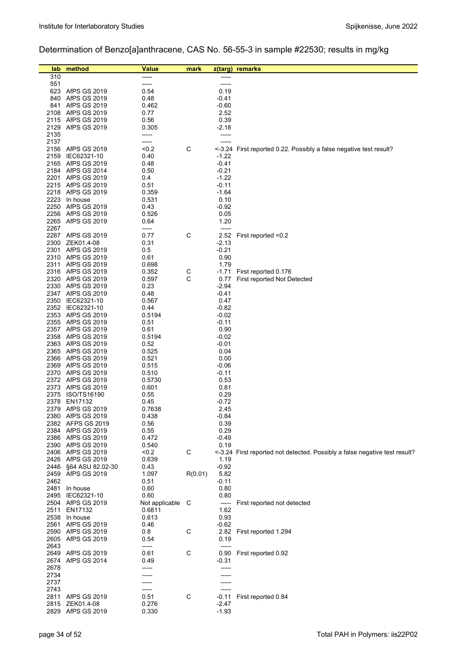# Determination of Benzo[a]anthracene, CAS No. 56-55-3 in sample #22530; results in mg/kg

| lab        | method                                 | <b>Value</b>    | mark    | $z$ (targ)      | remarks                                                                    |
|------------|----------------------------------------|-----------------|---------|-----------------|----------------------------------------------------------------------------|
| 310        |                                        | -----           |         |                 |                                                                            |
| 551        |                                        | -----           |         | -----           |                                                                            |
|            | 623 AfPS GS 2019                       | 0.54            |         | 0.19            |                                                                            |
| 840<br>841 | AfPS GS 2019                           | 0.48            |         | -0.41           |                                                                            |
| 2108       | AfPS GS 2019<br>AfPS GS 2019           | 0.462<br>0.77   |         | $-0.60$<br>2.52 |                                                                            |
|            | 2115 AfPS GS 2019                      | 0.56            |         | 0.39            |                                                                            |
|            | 2129 AfPS GS 2019                      | 0.305           |         | $-2.18$         |                                                                            |
| 2135       |                                        | -----           |         | -----           |                                                                            |
| 2137       |                                        | -----           |         | -----           |                                                                            |
|            | 2156 AfPS GS 2019                      | < 0.2           | C       |                 | <-3.24 First reported 0.22. Possibly a false negative test result?         |
| 2159       | IEC62321-10                            | 0.40            |         | $-1.22$         |                                                                            |
|            | 2165 AfPS GS 2019                      | 0.48            |         | $-0.41$         |                                                                            |
|            | 2184 AfPS GS 2014                      | 0.50            |         | $-0.21$         |                                                                            |
|            | 2201 AfPS GS 2019                      | 0.4             |         | $-1.22$         |                                                                            |
|            | 2215 AfPS GS 2019                      | 0.51            |         | $-0.11$         |                                                                            |
|            | 2218 AfPS GS 2019                      | 0.359           |         | -1.64           |                                                                            |
|            | 2223 In house<br>2250 AfPS GS 2019     | 0.531<br>0.43   |         | 0.10<br>$-0.92$ |                                                                            |
|            | 2256 AfPS GS 2019                      | 0.526           |         | 0.05            |                                                                            |
|            | 2265 AfPS GS 2019                      | 0.64            |         | 1.20            |                                                                            |
| 2267       |                                        | -----           |         | -----           |                                                                            |
|            | 2287 AfPS GS 2019                      | 0.77            | C       | 2.52            | First reported <0.2                                                        |
|            | 2300 ZEK01.4-08                        | 0.31            |         | $-2.13$         |                                                                            |
| 2301       | <b>AfPS GS 2019</b>                    | 0.5             |         | $-0.21$         |                                                                            |
|            | 2310 AfPS GS 2019                      | 0.61            |         | 0.90            |                                                                            |
|            | 2311 AfPS GS 2019                      | 0.698           |         | 1.79            |                                                                            |
|            | 2316 AfPS GS 2019                      | 0.352           | С       | -1.71           | First reported 0.176                                                       |
|            | 2320 AfPS GS 2019                      | 0.597           | C       | 0.77            | First reported Not Detected                                                |
|            | 2330 AfPS GS 2019                      | 0.23            |         | -2.94           |                                                                            |
|            | 2347 AfPS GS 2019<br>2350 IEC62321-10  | 0.48<br>0.567   |         | -0.41<br>0.47   |                                                                            |
|            | 2352 IEC62321-10                       | 0.44            |         | $-0.82$         |                                                                            |
|            | 2353 AfPS GS 2019                      | 0.5194          |         | $-0.02$         |                                                                            |
|            | 2355 AfPS GS 2019                      | 0.51            |         | $-0.11$         |                                                                            |
|            | 2357 AfPS GS 2019                      | 0.61            |         | 0.90            |                                                                            |
|            | 2358 AfPS GS 2019                      | 0.5194          |         | $-0.02$         |                                                                            |
|            | 2363 AfPS GS 2019                      | 0.52            |         | $-0.01$         |                                                                            |
|            | 2365 AfPS GS 2019                      | 0.525           |         | 0.04            |                                                                            |
|            | 2366 AfPS GS 2019                      | 0.521           |         | 0.00            |                                                                            |
|            | 2369 AfPS GS 2019                      | 0.515           |         | $-0.06$         |                                                                            |
|            | 2370 AfPS GS 2019<br>2372 AfPS GS 2019 | 0.510<br>0.5730 |         | -0.11<br>0.53   |                                                                            |
|            | 2373 AfPS GS 2019                      | 0.601           |         | 0.81            |                                                                            |
|            | 2375 ISO/TS16190                       | 0.55            |         | 0.29            |                                                                            |
| 2378       | EN17132                                | 0.45            |         | $-0.72$         |                                                                            |
| 2379       | AfPS GS 2019                           | 0.7638          |         | 2.45            |                                                                            |
|            | 2380 AfPS GS 2019                      | 0.438           |         | $-0.84$         |                                                                            |
|            | 2382 AFPS GS 2019                      | 0.56            |         | 0.39            |                                                                            |
|            | 2384 AfPS GS 2019                      | 0.55            |         | 0.29            |                                                                            |
|            | 2386 AfPS GS 2019                      | 0.472           |         | $-0.49$         |                                                                            |
|            | 2390 AfPS GS 2019                      | 0.540           |         | 0.19            |                                                                            |
|            | 2406 AfPS GS 2019<br>2426 AfPS GS 2019 | < 0.2           | C       |                 | <-3.24 First reported not detected. Possibly a false negative test result? |
| 2446       | §64 ASU 82.02-30                       | 0.639<br>0.43   |         | 1.19<br>$-0.92$ |                                                                            |
|            | 2459 AfPS GS 2019                      | 1.097           | R(0.01) | 5.82            |                                                                            |
| 2462       |                                        | 0.51            |         | $-0.11$         |                                                                            |
|            | 2481 In house                          | 0.60            |         | 0.80            |                                                                            |
|            | 2495 IEC62321-10                       | 0.60            |         | 0.80            |                                                                            |
|            | 2504 AfPS GS 2019                      | Not applicable  | - C     | -----           | First reported not detected                                                |
| 2511       | EN17132                                | 0.6811          |         | 1.62            |                                                                            |
|            | 2538 In house                          | 0.613           |         | 0.93            |                                                                            |
|            | 2561 AfPS GS 2019                      | 0.46            |         | $-0.62$         |                                                                            |
|            | 2590 AfPS GS 2019                      | 0.8             | C       |                 | 2.82 First reported 1.294                                                  |
|            | 2605 AfPS GS 2019                      | 0.54            |         | 0.19            |                                                                            |
| 2643       | 2649 AfPS GS 2019                      | -----<br>0.61   | C       | $-----$<br>0.90 | First reported 0.92                                                        |
| 2674       | AfPS GS 2014                           | 0.49            |         | $-0.31$         |                                                                            |
| 2678       |                                        |                 |         | -----           |                                                                            |
| 2734       |                                        |                 |         |                 |                                                                            |
| 2737       |                                        |                 |         |                 |                                                                            |
| 2743       |                                        |                 |         |                 |                                                                            |
|            | 2811 AfPS GS 2019                      | 0.51            | C       | $-0.11$         | First reported 0.84                                                        |
|            | 2815 ZEK01.4-08                        | 0.276           |         | -2.47           |                                                                            |
|            | 2829 AfPS GS 2019                      | 0.330           |         | $-1.93$         |                                                                            |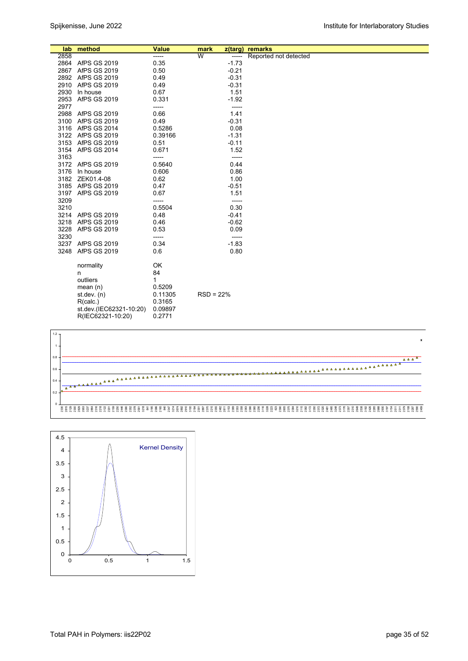|      | lab method              | <b>Value</b> | mark                    | z(targ) | remarks               |
|------|-------------------------|--------------|-------------------------|---------|-----------------------|
| 2858 |                         | -----        | $\overline{\mathsf{w}}$ | -----   | Reported not detected |
|      | 2864 AfPS GS 2019       | 0.35         |                         | $-1.73$ |                       |
|      | 2867 AfPS GS 2019       | 0.50         |                         | $-0.21$ |                       |
|      | 2892 AfPS GS 2019       | 0.49         |                         | $-0.31$ |                       |
|      | 2910 AfPS GS 2019       | 0.49         |                         | $-0.31$ |                       |
| 2930 | In house                | 0.67         |                         | 1.51    |                       |
|      | 2953 AfPS GS 2019       | 0.331        |                         | $-1.92$ |                       |
| 2977 |                         | -----        |                         | -----   |                       |
|      | 2988 AfPS GS 2019       | 0.66         |                         | 1.41    |                       |
|      | 3100 AfPS GS 2019       | 0.49         |                         | $-0.31$ |                       |
|      | 3116 AfPS GS 2014       | 0.5286       |                         | 0.08    |                       |
|      | 3122 AfPS GS 2019       | 0.39166      |                         | $-1.31$ |                       |
|      | 3153 AfPS GS 2019       | 0.51         |                         | $-0.11$ |                       |
|      | 3154 AfPS GS 2014       | 0.671        |                         | 1.52    |                       |
| 3163 |                         | -----        |                         | -----   |                       |
|      | 3172 AfPS GS 2019       | 0.5640       |                         | 0.44    |                       |
|      | 3176 In house           | 0.606        |                         | 0.86    |                       |
|      | 3182 ZEK01.4-08         | 0.62         |                         | 1.00    |                       |
|      | 3185 AfPS GS 2019       | 0.47         |                         | $-0.51$ |                       |
|      | 3197 AfPS GS 2019       | 0.67         |                         | 1.51    |                       |
| 3209 |                         | -----        |                         | -----   |                       |
| 3210 |                         | 0.5504       |                         | 0.30    |                       |
|      | 3214 AfPS GS 2019       | 0.48         |                         | $-0.41$ |                       |
| 3218 | <b>AfPS GS 2019</b>     | 0.46         |                         | $-0.62$ |                       |
| 3228 | <b>AfPS GS 2019</b>     | 0.53         |                         | 0.09    |                       |
| 3230 |                         | -----        |                         | -----   |                       |
|      | 3237 AfPS GS 2019       | 0.34         |                         | $-1.83$ |                       |
| 3248 | AfPS GS 2019            | 0.6          |                         | 0.80    |                       |
|      | normality               | OK           |                         |         |                       |
|      | n                       | 84           |                         |         |                       |
|      | outliers                | 1            |                         |         |                       |
|      | mean $(n)$              | 0.5209       |                         |         |                       |
|      | st.dev. $(n)$           | 0.11305      | $RSD = 22%$             |         |                       |
|      | R(calc.)                | 0.3165       |                         |         |                       |
|      | st.dev.(IEC62321-10:20) | 0.09897      |                         |         |                       |
|      | R(IEC62321-10:20)       | 0.2771       |                         |         |                       |
|      |                         |              |                         |         |                       |



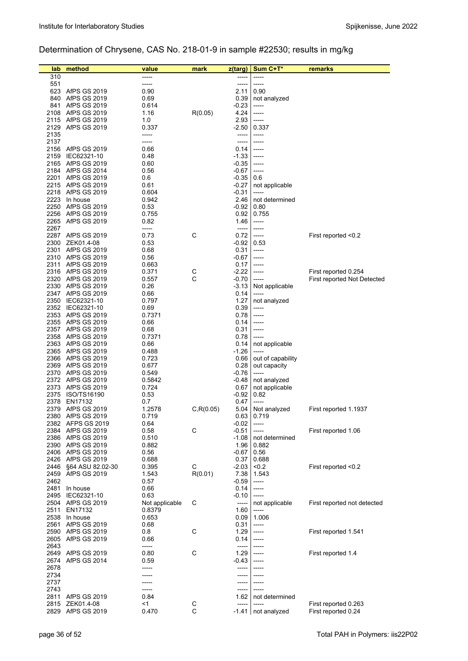# Determination of Chrysene, CAS No. 218-01-9 in sample #22530; results in mg/kg

| lab          | method                                     | value          | mark       | z(targ)            | Sum C+T*              | remarks                     |
|--------------|--------------------------------------------|----------------|------------|--------------------|-----------------------|-----------------------------|
| 310          |                                            |                |            | -----              | -----                 |                             |
| 551          |                                            | -----          |            | -----              | -----                 |                             |
| 623          | AfPS GS 2019                               | 0.90           |            | 2.11               | 0.90                  |                             |
| 840          | AfPS GS 2019                               | 0.69           |            | 0.39               | not analyzed          |                             |
| 841<br>2108  | AfPS GS 2019<br>AfPS GS 2019               | 0.614<br>1.16  | R(0.05)    | $-0.23$<br>4.24    | -----<br>-----        |                             |
|              | 2115 AfPS GS 2019                          | 1.0            |            | 2.93               | -----                 |                             |
|              | 2129 AfPS GS 2019                          | 0.337          |            | $-2.50$            | 0.337                 |                             |
| 2135         |                                            | -----          |            | -----              | -----                 |                             |
| 2137         |                                            | -----          |            | -----              | -----                 |                             |
| 2156         | AfPS GS 2019                               | 0.66           |            | 0.14               | -----                 |                             |
| 2159         | IEC62321-10                                | 0.48           |            | $-1.33$            | -----                 |                             |
| 2165         | AfPS GS 2019                               | 0.60           |            | $-0.35$            | -----                 |                             |
|              | 2184 AfPS GS 2014<br>2201 AfPS GS 2019     | 0.56<br>0.6    |            | $-0.67$<br>$-0.35$ | -----<br>0.6          |                             |
|              | 2215 AfPS GS 2019                          | 0.61           |            | $-0.27$            | not applicable        |                             |
|              | 2218 AfPS GS 2019                          | 0.604          |            | $-0.31$            | -----                 |                             |
|              | 2223 In house                              | 0.942          |            | 2.46               | not determined        |                             |
| 2250         | AfPS GS 2019                               | 0.53           |            | -0.92              | 0.80                  |                             |
|              | 2256 AfPS GS 2019                          | 0.755          |            | 0.92               | 0.755                 |                             |
|              | 2265 AfPS GS 2019                          | 0.82           |            | 1.46               | -----                 |                             |
| 2267<br>2287 | AfPS GS 2019                               | -----          | C          | -----<br>0.72      | -----                 |                             |
| 2300         | ZEK01.4-08                                 | 0.73<br>0.53   |            | -0.92              | -----<br>0.53         | First reported <0.2         |
|              | 2301 AfPS GS 2019                          | 0.68           |            | 0.31               | -----                 |                             |
|              | 2310 AfPS GS 2019                          | 0.56           |            | -0.67              | -----                 |                             |
|              | 2311 AfPS GS 2019                          | 0.663          |            | 0.17               | -----                 |                             |
|              | 2316 AfPS GS 2019                          | 0.371          | C          | $-2.22$            | -----                 | First reported 0.254        |
|              | 2320 AfPS GS 2019                          | 0.557          | C          | $-0.70$            | -----                 | First reported Not Detected |
|              | 2330 AfPS GS 2019                          | 0.26           |            | $-3.13$            | Not applicable        |                             |
|              | 2347 AfPS GS 2019<br>2350 IEC62321-10      | 0.66           |            | 0.14<br>1.27       | -----                 |                             |
|              | 2352 IEC62321-10                           | 0.797<br>0.69  |            | 0.39               | not analyzed<br>----- |                             |
|              | 2353 AfPS GS 2019                          | 0.7371         |            | 0.78               | -----                 |                             |
|              | 2355 AfPS GS 2019                          | 0.66           |            | 0.14               | -----                 |                             |
|              | 2357 AfPS GS 2019                          | 0.68           |            | 0.31               | -----                 |                             |
|              | 2358 AfPS GS 2019                          | 0.7371         |            | 0.78               | -----                 |                             |
|              | 2363 AfPS GS 2019                          | 0.66           |            | 0.14               | not applicable        |                             |
|              | 2365 AfPS GS 2019                          | 0.488          |            | $-1.26$            | -----                 |                             |
|              | 2366 AfPS GS 2019                          | 0.723          |            | 0.66               | out of capability     |                             |
|              | 2369 AfPS GS 2019<br>2370 AfPS GS 2019     | 0.677<br>0.549 |            | 0.28<br>$-0.76$    | out capacity<br>----- |                             |
|              | 2372 AfPS GS 2019                          | 0.5842         |            | -0.48              | not analyzed          |                             |
|              | 2373 AfPS GS 2019                          | 0.724          |            | 0.67               | not applicable        |                             |
| 2375         | ISO/TS16190                                | 0.53           |            | $-0.92$            | 0.82                  |                             |
| 2378         | EN17132                                    | 0.7            |            | 0.47               | -----                 |                             |
| 2379         | AfPS GS 2019                               | 1.2578         | C, R(0.05) | 5.04               | Not analyzed          | First reported 1.1937       |
| 2380         | <b>AfPS GS 2019</b>                        | 0.719          |            | 0.63               | 0.719                 |                             |
| 2382<br>2384 | <b>AFPS GS 2019</b><br>AfPS GS 2019        | 0.64<br>0.58   | C          | $-0.02$<br>$-0.51$ | -----<br>-----        | First reported 1.06         |
|              | 2386 AfPS GS 2019                          | 0.510          |            | $-1.08$            | not determined        |                             |
|              | 2390 AfPS GS 2019                          | 0.882          |            | 1.96               | 0.882                 |                             |
|              | 2406 AfPS GS 2019                          | 0.56           |            | -0.67              | 0.56                  |                             |
|              | 2426 AfPS GS 2019                          | 0.688          |            | 0.37               | 0.688                 |                             |
| 2446         | §64 ASU 82.02-30                           | 0.395          | С          | $-2.03$            | < 0.2                 | First reported <0.2         |
| 2459         | AfPS GS 2019                               | 1.543          | R(0.01)    | 7.38               | 1.543                 |                             |
| 2462         |                                            | 0.57           |            | $-0.59$            | -----                 |                             |
| 2481<br>2495 | In house<br>IEC62321-10                    | 0.66<br>0.63   |            | 0.14<br>$-0.10$    | -----<br>-----        |                             |
|              | 2504 AfPS GS 2019                          | Not applicable | С          | -----              | not applicable        | First reported not detected |
|              | 2511 EN17132                               | 0.8379         |            | 1.60               | -----                 |                             |
|              | 2538 In house                              | 0.653          |            | 0.09               | 1.006                 |                             |
| 2561         | <b>AfPS GS 2019</b>                        | 0.68           |            | 0.31               | -----                 |                             |
| 2590         | AfPS GS 2019                               | 0.8            | С          | 1.29               | -----                 | First reported 1.541        |
|              | 2605 AfPS GS 2019                          | 0.66           |            | 0.14               | -----                 |                             |
| 2643         |                                            | -----          |            | -----              | -----                 |                             |
| 2649         | <b>AfPS GS 2019</b><br><b>AfPS GS 2014</b> | 0.80           | C          | 1.29               | -----                 | First reported 1.4          |
| 2674<br>2678 |                                            | 0.59<br>-----  |            | $-0.43$<br>-----   | -----<br>-----        |                             |
| 2734         |                                            |                |            | -----              |                       |                             |
| 2737         |                                            |                |            | -----              |                       |                             |
| 2743         |                                            | -----          |            |                    | -----                 |                             |
| 2811         | <b>AfPS GS 2019</b>                        | 0.84           |            | 1.62               | not determined        |                             |
| 2815         | ZEK01.4-08                                 | <1             | С          | -----              | -----                 | First reported 0.263        |
| 2829         | AfPS GS 2019                               | 0.470          | C          | $-1.41$            | not analyzed          | First reported 0.24         |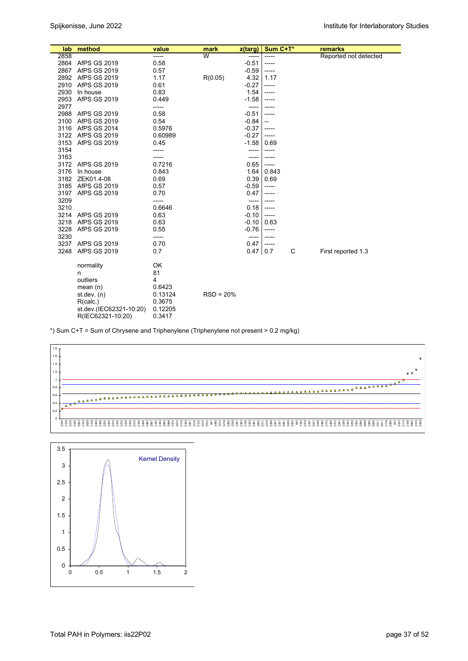| lab  | method                  | value   | mark        | z(targ)    | Sum C+T* |   | remarks               |
|------|-------------------------|---------|-------------|------------|----------|---|-----------------------|
| 2858 |                         | -----   | W           | -----      | -----    |   | Reported not detected |
| 2864 | AfPS GS 2019            | 0.58    |             | $-0.51$    | -----    |   |                       |
| 2867 | AfPS GS 2019            | 0.57    |             | $-0.59$    | -----    |   |                       |
|      | 2892 AfPS GS 2019       | 1.17    | R(0.05)     | 4.32       | 1.17     |   |                       |
| 2910 | AfPS GS 2019            | 0.61    |             | $-0.27$    | -----    |   |                       |
| 2930 | In house                | 0.83    |             | 1.54       | -----    |   |                       |
| 2953 | <b>AfPS GS 2019</b>     | 0.449   |             | $-1.58$    | -----    |   |                       |
| 2977 |                         | -----   |             | -----      |          |   |                       |
| 2988 | <b>AfPS GS 2019</b>     | 0.58    |             | $-0.51$    | -----    |   |                       |
| 3100 | AfPS GS 2019            | 0.54    |             | $-0.84$    | --       |   |                       |
| 3116 | <b>AfPS GS 2014</b>     | 0.5976  |             | $-0.37$    | -----    |   |                       |
|      | 3122 AfPS GS 2019       | 0.60989 |             | $-0.27$    | -----    |   |                       |
| 3153 | <b>AfPS GS 2019</b>     | 0.45    |             | -1.58      | 0.69     |   |                       |
| 3154 |                         | -----   |             | -----      | -----    |   |                       |
| 3163 |                         | -----   |             | -----      | -----    |   |                       |
| 3172 | AfPS GS 2019            | 0.7216  |             | 0.65       | -----    |   |                       |
| 3176 | In house                | 0.843   |             | 1.64       | 0.843    |   |                       |
| 3182 | ZEK01.4-08              | 0.69    |             | 0.39       | 0.69     |   |                       |
|      | 3185 AfPS GS 2019       | 0.57    |             | -0.59      | -----    |   |                       |
| 3197 | AfPS GS 2019            | 0.70    |             | 0.47       | -----    |   |                       |
| 3209 |                         | -----   |             | -----      | -----    |   |                       |
| 3210 |                         | 0.6646  |             | 0.18       | -----    |   |                       |
| 3214 | AfPS GS 2019            | 0.63    |             | $-0.10$    | -----    |   |                       |
| 3218 | <b>AfPS GS 2019</b>     | 0.63    |             | $-0.10$    | 0.63     |   |                       |
| 3228 | <b>AfPS GS 2019</b>     | 0.55    |             | $-0.76$    | -----    |   |                       |
| 3230 |                         | -----   |             | -----      | -----    |   |                       |
| 3237 | AfPS GS 2019            | 0.70    |             | 0.47       | -----    |   |                       |
| 3248 | <b>AfPS GS 2019</b>     | 0.7     |             | $0.47$ 0.7 |          | C | First reported 1.3    |
|      | normality               | OK      |             |            |          |   |                       |
|      | n                       | 81      |             |            |          |   |                       |
|      | outliers                | 4       |             |            |          |   |                       |
|      | mean $(n)$              | 0.6423  |             |            |          |   |                       |
|      | st.dev. $(n)$           | 0.13124 | $RSD = 20%$ |            |          |   |                       |
|      | R(calc.)                | 0.3675  |             |            |          |   |                       |
|      | st.dev.(IEC62321-10:20) | 0.12205 |             |            |          |   |                       |
|      | R(IEC62321-10:20)       | 0.3417  |             |            |          |   |                       |

\*) Sum C+T = Sum of Chrysene and Triphenylene (Triphenylene not present > 0.2 mg/kg)



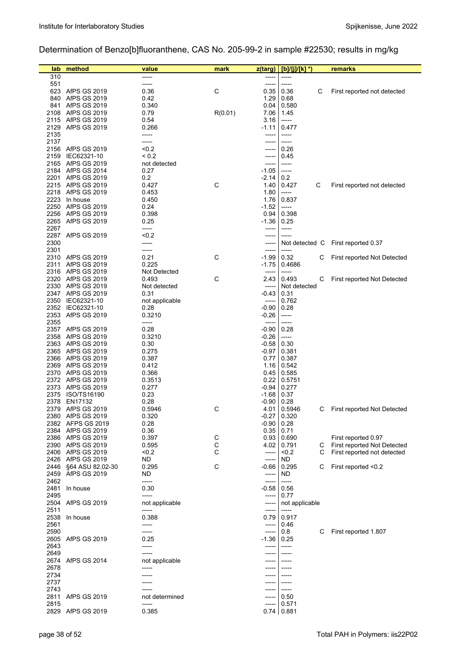# Determination of Benzo[b]fluoranthene, CAS No. 205-99-2 in sample #22530; results in mg/kg

| lab          | method                                 | value          | mark    | z(targ)            | [b]/[j]/[k] *)           | remarks                     |
|--------------|----------------------------------------|----------------|---------|--------------------|--------------------------|-----------------------------|
| 310          |                                        |                |         |                    | -----                    |                             |
| 551          |                                        | -----          |         | -----              | -----                    |                             |
|              | 623 AfPS GS 2019                       | 0.36           | С       | 0.35               | 0.36<br>С                | First reported not detected |
| 840          | AfPS GS 2019                           | 0.42           |         | 1.29               | 0.68                     |                             |
| 841          | AfPS GS 2019                           | 0.340          |         | 0.04               | 0.580                    |                             |
| 2108         | AfPS GS 2019                           | 0.79           | R(0.01) | 7.06               | 1.45                     |                             |
|              | 2115 AfPS GS 2019                      | 0.54           |         | 3.16               | -----                    |                             |
|              | 2129 AfPS GS 2019                      | 0.266          |         | -1.11              | 0.477                    |                             |
| 2135<br>2137 |                                        | -----<br>----- |         | -----<br>-----     | -----<br>-----           |                             |
|              | 2156 AfPS GS 2019                      | < 0.2          |         |                    | 0.26                     |                             |
| 2159         | IEC62321-10                            | < 0.2          |         | -----              | 0.45                     |                             |
| 2165         | AfPS GS 2019                           | not detected   |         | -----              | -----                    |                             |
|              | 2184 AfPS GS 2014                      | 0.27           |         | $-1.05$            | -----                    |                             |
| 2201         | AfPS GS 2019                           | 0.2            |         | $-2.14$            | 0.2                      |                             |
|              | 2215 AfPS GS 2019                      | 0.427          | С       | 1.40               | С<br>0.427               | First reported not detected |
|              | 2218 AfPS GS 2019                      | 0.453          |         | 1.80               | -----                    |                             |
| 2223         | In house                               | 0.450          |         | 1.76               | 0.837                    |                             |
| 2250         | AfPS GS 2019                           | 0.24           |         | $-1.52$            | -----                    |                             |
|              | 2256 AfPS GS 2019                      | 0.398          |         | 0.94               | 0.398                    |                             |
|              | 2265 AfPS GS 2019                      | 0.25           |         | $-1.36$            | 0.25                     |                             |
| 2267         | 2287 AfPS GS 2019                      | -----<br>< 0.2 |         | -----<br>-----     | -----<br>-----           |                             |
| 2300         |                                        | -----          |         | -----              | Not detected C           | First reported 0.37         |
| 2301         |                                        | -----          |         | -----              | -----                    |                             |
|              | 2310 AfPS GS 2019                      | 0.21           | С       | $-1.99$            | 0.32<br>С                | First reported Not Detected |
| 2311         | AfPS GS 2019                           | 0.225          |         | $-1.75$            | 0.4686                   |                             |
|              | 2316 AfPS GS 2019                      | Not Detected   |         | -----              |                          |                             |
|              | 2320 AfPS GS 2019                      | 0.493          | С       | 2.43               | 0.493<br>С               | First reported Not Detected |
|              | 2330 AfPS GS 2019                      | Not detected   |         | -----              | Not detected             |                             |
|              | 2347 AfPS GS 2019                      | 0.31           |         | -0.43              | 0.31                     |                             |
| 2350         | IEC62321-10                            | not applicable |         | -----              | 0.762                    |                             |
|              | 2352 IEC62321-10                       | 0.28           |         | $-0.90$            | 0.28                     |                             |
| 2353         | <b>AfPS GS 2019</b>                    | 0.3210         |         | $-0.26$            | -----                    |                             |
| 2355         |                                        | -----          |         | -----              | -----                    |                             |
|              | 2357 AfPS GS 2019                      | 0.28           |         | $-0.90$            | 0.28                     |                             |
| 2358         | AfPS GS 2019                           | 0.3210         |         | $-0.26$            | -----                    |                             |
| 2363         | AfPS GS 2019<br>2365 AfPS GS 2019      | 0.30<br>0.275  |         | $-0.58$<br>$-0.97$ | 0.30<br>0.381            |                             |
|              | 2366 AfPS GS 2019                      | 0.387          |         | 0.77               | 0.387                    |                             |
| 2369         | AfPS GS 2019                           | 0.412          |         | 1.16               | 0.542                    |                             |
|              | 2370 AfPS GS 2019                      | 0.366          |         | 0.45               | 0.585                    |                             |
|              | 2372 AfPS GS 2019                      | 0.3513         |         | 0.22               | 0.5751                   |                             |
|              | 2373 AfPS GS 2019                      | 0.277          |         | $-0.94$            | 0.277                    |                             |
| 2375         | ISO/TS16190                            | 0.23           |         | $-1.68$            | 0.37                     |                             |
| 2378         | EN17132                                | 0.28           |         | $-0.90$            | 0.28                     |                             |
| 2379         | AfPS GS 2019                           | 0.5946         | С       | 4.01               | 0.5946<br>С              | First reported Not Detected |
|              | 2380 AfPS GS 2019                      | 0.320          |         |                    | $-0.27$ 0.320            |                             |
|              | 2382 AFPS GS 2019                      | 0.28           |         | $-0.90$            | 0.28                     |                             |
|              | 2384 AfPS GS 2019                      | 0.36           |         | 0.35               | 0.71                     |                             |
|              | 2386 AfPS GS 2019                      | 0.397          | С       | 0.93               | 0.690                    | First reported 0.97         |
|              | 2390 AfPS GS 2019<br>2406 AfPS GS 2019 | 0.595<br>< 0.2 | C<br>С  | 4.02<br>-----      | 0.791<br>С<br>< 0.2<br>С | First reported Not Detected |
|              | 2426 AfPS GS 2019                      | ND             |         | -----              | ND                       | First reported not detected |
| 2446         | §64 ASU 82.02-30                       | 0.295          | С       | -0.66              | 0.295<br>С               | First reported <0.2         |
| 2459         | AfPS GS 2019                           | ND             |         | -----              | ND                       |                             |
| 2462         |                                        | -----          |         | -----              | -----                    |                             |
| 2481         | In house                               | 0.30           |         | -0.58              | 0.56                     |                             |
| 2495         |                                        | -----          |         | $-----1$           | 0.77                     |                             |
|              | 2504 AfPS GS 2019                      | not applicable |         | -----              | not applicable           |                             |
| 2511         |                                        | -----          |         | -----              | -----                    |                             |
| 2538         | In house                               | 0.388          |         | 0.79               | 0.917                    |                             |
| 2561         |                                        |                |         | -----              | 0.46                     |                             |
| 2590         |                                        | -----          |         | -----              | 0.8<br>С                 | First reported 1.807        |
| 2605         | AfPS GS 2019                           | 0.25           |         | $-1.36$            | 0.25                     |                             |
| 2643         |                                        | -----          |         | -----              | -----                    |                             |
| 2649         |                                        |                |         |                    |                          |                             |
| 2678         | 2674 AfPS GS 2014                      | not applicable |         |                    |                          |                             |
| 2734         |                                        |                |         |                    |                          |                             |
| 2737         |                                        |                |         |                    |                          |                             |
| 2743         |                                        |                |         |                    | -----                    |                             |
| 2811         | AfPS GS 2019                           | not determined |         | -----              | 0.50                     |                             |
| 2815         |                                        | -----          |         | -----              | 0.571                    |                             |
|              | 2829 AfPS GS 2019                      | 0.385          |         |                    | $0.74$ 0.881             |                             |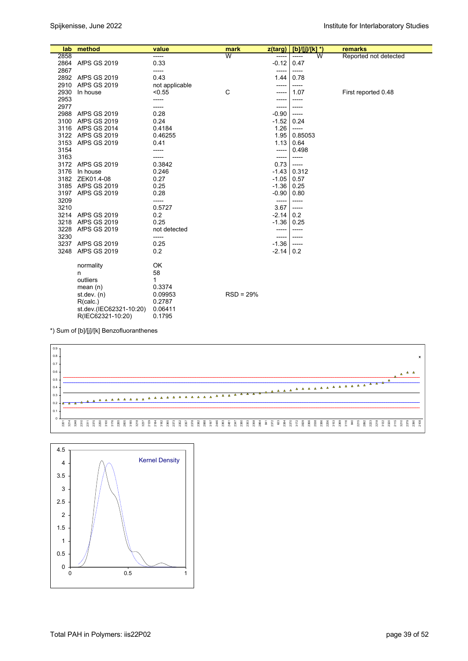|      | lab method              | value          | mark        | z(targ)       | $[b]/[i]/[k]$ <sup>*</sup> ) |                         | remarks               |
|------|-------------------------|----------------|-------------|---------------|------------------------------|-------------------------|-----------------------|
| 2858 |                         | -----          | W           | -----         | $- - - - -$                  | $\overline{\mathsf{w}}$ | Reported not detected |
|      | 2864 AfPS GS 2019       | 0.33           |             | $-0.12$       | 0.47                         |                         |                       |
| 2867 |                         | -----          |             | -----         | -----                        |                         |                       |
|      | 2892 AfPS GS 2019       | 0.43           |             | 1.44          | 0.78                         |                         |                       |
| 2910 | <b>AfPS GS 2019</b>     | not applicable |             | -----         | -----                        |                         |                       |
| 2930 | In house                | < 0.55         | C           | -----         | 1.07                         |                         | First reported 0.48   |
| 2953 |                         | -----          |             | -----         | -----                        |                         |                       |
| 2977 |                         | -----          |             | -----         | -----                        |                         |                       |
|      | 2988 AfPS GS 2019       | 0.28           |             | $-0.90$       | $-----$                      |                         |                       |
| 3100 | AfPS GS 2019            | 0.24           |             | $-1.52$       | 0.24                         |                         |                       |
| 3116 | <b>AfPS GS 2014</b>     | 0.4184         |             | 1.26          | $-----$                      |                         |                       |
|      | 3122 AfPS GS 2019       | 0.46255        |             | 1.95          | 0.85053                      |                         |                       |
| 3153 | AfPS GS 2019            | 0.41           |             | $1.13$ 0.64   |                              |                         |                       |
| 3154 |                         | -----          |             | -----         | 0.498                        |                         |                       |
| 3163 |                         | -----          |             | -----         | -----                        |                         |                       |
|      | 3172 AfPS GS 2019       | 0.3842         |             | 0.73          | $-----$                      |                         |                       |
| 3176 | In house                | 0.246          |             | $-1.43$ 0.312 |                              |                         |                       |
|      | 3182 ZEK01.4-08         | 0.27           |             | $-1.05$       | 0.57                         |                         |                       |
|      | 3185 AfPS GS 2019       | 0.25           |             | $-1.36$ 0.25  |                              |                         |                       |
|      | 3197 AfPS GS 2019       | 0.28           |             | $-0.90$       | 0.80                         |                         |                       |
| 3209 |                         | -----          |             | -----         | -----                        |                         |                       |
| 3210 |                         | 0.5727         |             | 3.67          | $-----$                      |                         |                       |
|      | 3214 AfPS GS 2019       | 0.2            |             | $-2.14$ 0.2   |                              |                         |                       |
| 3218 | AfPS GS 2019            | 0.25           |             | $-1.36$       | 0.25                         |                         |                       |
| 3228 | AfPS GS 2019            | not detected   |             | -----         | -----                        |                         |                       |
| 3230 |                         | -----          |             | -----         | -----                        |                         |                       |
|      | 3237 AfPS GS 2019       | 0.25           |             | $-1.36$       | $-----$                      |                         |                       |
| 3248 | <b>AfPS GS 2019</b>     | 0.2            |             | $-2.14$ 0.2   |                              |                         |                       |
|      | normality               | OK             |             |               |                              |                         |                       |
|      | n                       | 58             |             |               |                              |                         |                       |
|      | outliers                | 1              |             |               |                              |                         |                       |
|      | mean $(n)$              | 0.3374         |             |               |                              |                         |                       |
|      | st.dev. $(n)$           | 0.09953        | $RSD = 29%$ |               |                              |                         |                       |
|      | R(calc.)                | 0.2787         |             |               |                              |                         |                       |
|      | st.dev.(IEC62321-10:20) | 0.06411        |             |               |                              |                         |                       |
|      | R(IEC62321-10:20)       | 0.1795         |             |               |                              |                         |                       |

\*) Sum of [b]/[j]/[k] Benzofluoranthenes



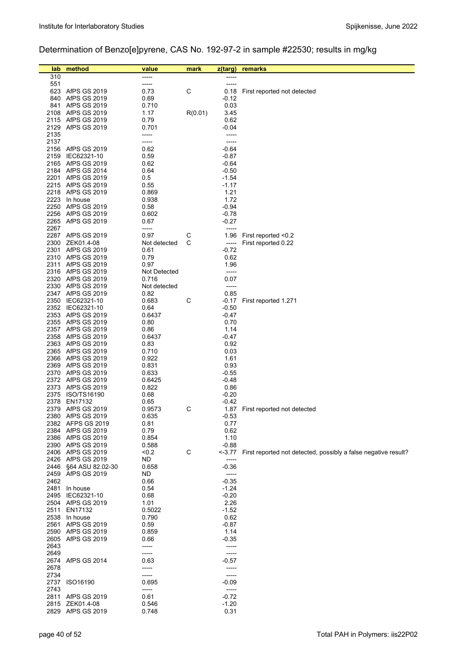# Determination of Benzo[e]pyrene, CAS No. 192-97-2 in sample #22530; results in mg/kg

| lab          | method                                 | value                | mark    | z(targ)            | remarks                                                        |
|--------------|----------------------------------------|----------------------|---------|--------------------|----------------------------------------------------------------|
| 310          |                                        |                      |         |                    |                                                                |
| 551          |                                        | -----                |         | -----              |                                                                |
|              | 623 AfPS GS 2019                       | 0.73                 | С       | 0.18               | First reported not detected                                    |
| 840          | AfPS GS 2019                           | 0.69                 |         | -0.12              |                                                                |
|              | 841 AfPS GS 2019                       | 0.710                |         | 0.03               |                                                                |
|              | 2108 AfPS GS 2019                      | 1.17                 | R(0.01) | 3.45               |                                                                |
|              | 2115 AfPS GS 2019                      | 0.79                 |         | 0.62               |                                                                |
|              | 2129 AfPS GS 2019                      | 0.701                |         | $-0.04$            |                                                                |
| 2135         |                                        | -----                |         | -----              |                                                                |
| 2137         |                                        | -----                |         | -----              |                                                                |
| 2159         | 2156 AfPS GS 2019<br>IEC62321-10       | 0.62<br>0.59         |         | $-0.64$<br>$-0.87$ |                                                                |
|              | 2165 AfPS GS 2019                      | 0.62                 |         | $-0.64$            |                                                                |
|              | 2184 AfPS GS 2014                      | 0.64                 |         | $-0.50$            |                                                                |
|              | 2201 AfPS GS 2019                      | 0.5                  |         | $-1.54$            |                                                                |
|              | 2215 AfPS GS 2019                      | 0.55                 |         | $-1.17$            |                                                                |
|              | 2218 AfPS GS 2019                      | 0.869                |         | 1.21               |                                                                |
|              | 2223 In house                          | 0.938                |         | 1.72               |                                                                |
|              | 2250 AfPS GS 2019                      | 0.58                 |         | $-0.94$            |                                                                |
|              | 2256 AfPS GS 2019                      | 0.602                |         | $-0.78$            |                                                                |
|              | 2265 AfPS GS 2019                      | 0.67                 |         | $-0.27$            |                                                                |
| 2267         |                                        | -----                |         | -----              |                                                                |
|              | 2287 AfPS GS 2019                      | 0.97                 | C<br>С  | 1.96               | First reported <0.2                                            |
|              | 2300 ZEK01.4-08<br>2301 AfPS GS 2019   | Not detected<br>0.61 |         | -----<br>$-0.72$   | First reported 0.22                                            |
|              | 2310 AfPS GS 2019                      | 0.79                 |         | 0.62               |                                                                |
|              | 2311 AfPS GS 2019                      | 0.97                 |         | 1.96               |                                                                |
|              | 2316 AfPS GS 2019                      | Not Detected         |         | -----              |                                                                |
|              | 2320 AfPS GS 2019                      | 0.716                |         | 0.07               |                                                                |
|              | 2330 AfPS GS 2019                      | Not detected         |         | -----              |                                                                |
|              | 2347 AfPS GS 2019                      | 0.82                 |         | 0.85               |                                                                |
|              | 2350 IEC62321-10                       | 0.683                | С       | -0.17              | First reported 1.271                                           |
|              | 2352 IEC62321-10                       | 0.64                 |         | $-0.50$            |                                                                |
|              | 2353 AfPS GS 2019                      | 0.6437               |         | -0.47              |                                                                |
|              | 2355 AfPS GS 2019                      | 0.80                 |         | 0.70               |                                                                |
|              | 2357 AfPS GS 2019<br>2358 AfPS GS 2019 | 0.86                 |         | 1.14               |                                                                |
|              | 2363 AfPS GS 2019                      | 0.6437<br>0.83       |         | -0.47<br>0.92      |                                                                |
|              | 2365 AfPS GS 2019                      | 0.710                |         | 0.03               |                                                                |
|              | 2366 AfPS GS 2019                      | 0.922                |         | 1.61               |                                                                |
|              | 2369 AfPS GS 2019                      | 0.831                |         | 0.93               |                                                                |
|              | 2370 AfPS GS 2019                      | 0.633                |         | $-0.55$            |                                                                |
|              | 2372 AfPS GS 2019                      | 0.6425               |         | $-0.48$            |                                                                |
|              | 2373 AfPS GS 2019                      | 0.822                |         | 0.86               |                                                                |
|              | 2375 ISO/TS16190                       | 0.68                 |         | $-0.20$            |                                                                |
|              | 2378 EN17132                           | 0.65                 |         | $-0.42$            |                                                                |
|              | 2379 AfPS GS 2019                      | 0.9573               | С       |                    | 1.87 First reported not detected                               |
|              | 2380 AfPS GS 2019<br>2382 AFPS GS 2019 | 0.635<br>0.81        |         | $-0.53$<br>0.77    |                                                                |
|              | 2384 AfPS GS 2019                      | 0.79                 |         | 0.62               |                                                                |
|              | 2386 AfPS GS 2019                      | 0.854                |         | 1.10               |                                                                |
|              | 2390 AfPS GS 2019                      | 0.588                |         | $-0.88$            |                                                                |
|              | 2406 AfPS GS 2019                      | < 0.2                | C       | $-3.77$            | First reported not detected, possibly a false negative result? |
|              | 2426 AfPS GS 2019                      | ND.                  |         | -----              |                                                                |
| 2446         | §64 ASU 82.02-30                       | 0.658                |         | $-0.36$            |                                                                |
| 2459         | AfPS GS 2019                           | ND.                  |         | -----              |                                                                |
| 2462         |                                        | 0.66                 |         | $-0.35$            |                                                                |
| 2481         | In house                               | 0.54                 |         | $-1.24$            |                                                                |
| 2495         | IEC62321-10<br>2504 AfPS GS 2019       | 0.68<br>1.01         |         | $-0.20$<br>2.26    |                                                                |
| 2511         | EN17132                                | 0.5022               |         | $-1.52$            |                                                                |
| 2538         | In house                               | 0.790                |         | 0.62               |                                                                |
| 2561         | AfPS GS 2019                           | 0.59                 |         | $-0.87$            |                                                                |
| 2590         | AfPS GS 2019                           | 0.859                |         | 1.14               |                                                                |
| 2605         | AfPS GS 2019                           | 0.66                 |         | $-0.35$            |                                                                |
| 2643         |                                        | -----                |         |                    |                                                                |
| 2649         |                                        | -----                |         |                    |                                                                |
|              | 2674 AfPS GS 2014                      | 0.63                 |         | $-0.57$            |                                                                |
| 2678         |                                        | -----                |         | -----              |                                                                |
| 2734         |                                        | -----                |         | $-0.09$            |                                                                |
| 2737<br>2743 | ISO16190                               | 0.695<br>-----       |         | $-----$            |                                                                |
|              | 2811 AfPS GS 2019                      | 0.61                 |         | $-0.72$            |                                                                |
|              | 2815 ZEK01.4-08                        | 0.546                |         | $-1.20$            |                                                                |
|              | 2829 AfPS GS 2019                      | 0.748                |         | 0.31               |                                                                |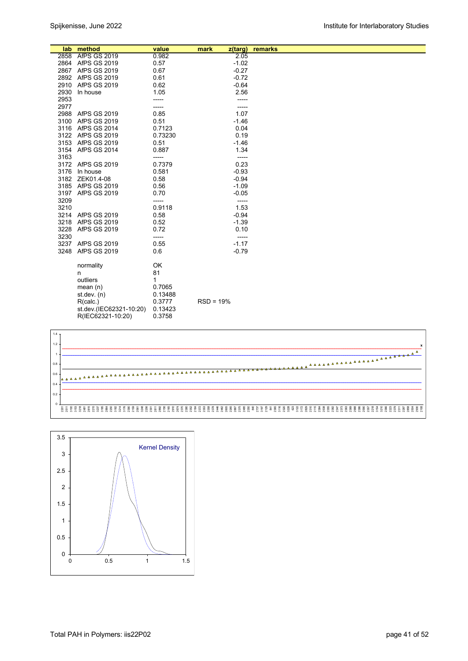|      | lab method              | value        | mark        | z(targ) | remarks |  |
|------|-------------------------|--------------|-------------|---------|---------|--|
|      | 2858 AfPS GS 2019       | 0.982        |             | 2.05    |         |  |
|      | 2864 AfPS GS 2019       | 0.57         |             | $-1.02$ |         |  |
|      | 2867 AfPS GS 2019       | 0.67         |             | $-0.27$ |         |  |
|      | 2892 AfPS GS 2019       | 0.61         |             | $-0.72$ |         |  |
|      | 2910 AfPS GS 2019       | 0.62         |             | $-0.64$ |         |  |
| 2930 | In house                | 1.05         |             | 2.56    |         |  |
| 2953 |                         | -----        |             | -----   |         |  |
| 2977 |                         | -----        |             |         |         |  |
|      | 2988 AfPS GS 2019       | 0.85         |             | 1.07    |         |  |
| 3100 | AfPS GS 2019            | 0.51         |             | $-1.46$ |         |  |
|      | 3116 AfPS GS 2014       | 0.7123       |             | 0.04    |         |  |
|      | 3122 AfPS GS 2019       | 0.73230      |             | 0.19    |         |  |
|      | 3153 AfPS GS 2019       | 0.51         |             | $-1.46$ |         |  |
|      | 3154 AfPS GS 2014       | 0.887        |             | 1.34    |         |  |
| 3163 |                         | -----        |             |         |         |  |
|      | 3172 AfPS GS 2019       | 0.7379       |             | 0.23    |         |  |
|      | 3176 In house           | 0.581        |             | $-0.93$ |         |  |
|      | 3182 ZEK01.4-08         | 0.58         |             | $-0.94$ |         |  |
|      | 3185 AfPS GS 2019       | 0.56         |             | $-1.09$ |         |  |
|      | 3197 AfPS GS 2019       | 0.70         |             | $-0.05$ |         |  |
| 3209 |                         | -----        |             | -----   |         |  |
| 3210 |                         | 0.9118       |             | 1.53    |         |  |
|      | 3214 AfPS GS 2019       | 0.58         |             | $-0.94$ |         |  |
| 3218 | AfPS GS 2019            | 0.52         |             | $-1.39$ |         |  |
| 3228 | <b>AfPS GS 2019</b>     | 0.72         |             | 0.10    |         |  |
| 3230 |                         | -----        |             | -----   |         |  |
|      | 3237 AfPS GS 2019       | 0.55         |             | $-1.17$ |         |  |
| 3248 | <b>AfPS GS 2019</b>     | 0.6          |             | $-0.79$ |         |  |
|      | normality               | OK           |             |         |         |  |
|      | n                       | 81           |             |         |         |  |
|      | outliers                | $\mathbf{1}$ |             |         |         |  |
|      | mean $(n)$              | 0.7065       |             |         |         |  |
|      | st. dev. (n)            | 0.13488      |             |         |         |  |
|      | R(calc.)                | 0.3777       | $RSD = 19%$ |         |         |  |
|      | st.dev.(IEC62321-10:20) | 0.13423      |             |         |         |  |
|      | R(IEC62321-10:20)       | 0.3758       |             |         |         |  |



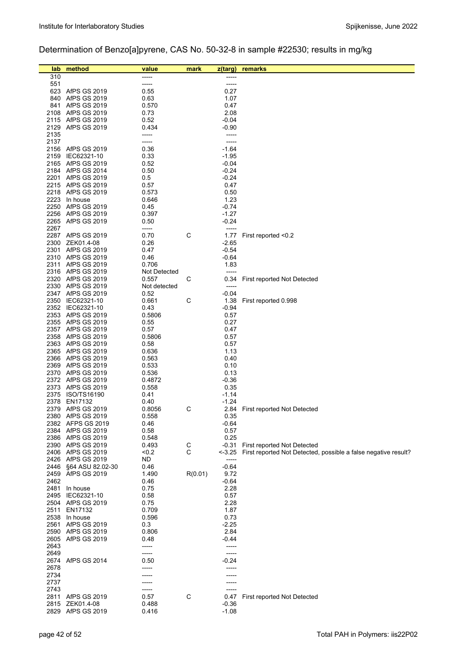# Determination of Benzo[a]pyrene, CAS No. 50-32-8 in sample #22530; results in mg/kg

| lab          | method                                     | value           | mark    | z(targ)            | remarks                                                        |
|--------------|--------------------------------------------|-----------------|---------|--------------------|----------------------------------------------------------------|
| 310          |                                            |                 |         |                    |                                                                |
| 551          |                                            | -----           |         | -----              |                                                                |
| 623          | AfPS GS 2019                               | 0.55            |         | 0.27               |                                                                |
| 840          | AfPS GS 2019                               | 0.63            |         | 1.07               |                                                                |
| 841          | <b>AfPS GS 2019</b>                        | 0.570           |         | 0.47               |                                                                |
| 2108         | AfPS GS 2019<br>2115 AfPS GS 2019          | 0.73<br>0.52    |         | 2.08<br>$-0.04$    |                                                                |
|              | 2129 AfPS GS 2019                          | 0.434           |         | -0.90              |                                                                |
| 2135         |                                            | -----           |         |                    |                                                                |
| 2137         |                                            | -----           |         | -----              |                                                                |
|              | 2156 AfPS GS 2019                          | 0.36            |         | $-1.64$            |                                                                |
| 2159         | IEC62321-10                                | 0.33            |         | $-1.95$            |                                                                |
|              | 2165 AfPS GS 2019                          | 0.52            |         | $-0.04$            |                                                                |
|              | 2184 AfPS GS 2014                          | 0.50            |         | $-0.24$            |                                                                |
| 2201         | <b>AfPS GS 2019</b>                        | 0.5             |         | $-0.24$            |                                                                |
|              | 2215 AfPS GS 2019                          | 0.57            |         | 0.47               |                                                                |
|              | 2218 AfPS GS 2019                          | 0.573           |         | 0.50               |                                                                |
|              | 2223 In house<br>2250 AfPS GS 2019         | 0.646<br>0.45   |         | 1.23<br>$-0.74$    |                                                                |
|              | 2256 AfPS GS 2019                          | 0.397           |         | $-1.27$            |                                                                |
|              | 2265 AfPS GS 2019                          | 0.50            |         | $-0.24$            |                                                                |
| 2267         |                                            | -----           |         |                    |                                                                |
|              | 2287 AfPS GS 2019                          | 0.70            | С       | 1.77               | First reported <0.2                                            |
|              | 2300 ZEK01.4-08                            | 0.26            |         | $-2.65$            |                                                                |
|              | 2301 AfPS GS 2019                          | 0.47            |         | $-0.54$            |                                                                |
|              | 2310 AfPS GS 2019                          | 0.46            |         | $-0.64$            |                                                                |
|              | 2311 AfPS GS 2019                          | 0.706           |         | 1.83               |                                                                |
|              | 2316 AfPS GS 2019                          | Not Detected    |         | -----              |                                                                |
|              | 2320 AfPS GS 2019                          | 0.557           | С       | 0.34               | First reported Not Detected                                    |
|              | 2330 AfPS GS 2019                          | Not detected    |         | -----              |                                                                |
|              | 2347 AfPS GS 2019<br>2350 IEC62321-10      | 0.52<br>0.661   | C       | $-0.04$<br>1.38    | First reported 0.998                                           |
|              | 2352 IEC62321-10                           | 0.43            |         | $-0.94$            |                                                                |
|              | 2353 AfPS GS 2019                          | 0.5806          |         | 0.57               |                                                                |
|              | 2355 AfPS GS 2019                          | 0.55            |         | 0.27               |                                                                |
|              | 2357 AfPS GS 2019                          | 0.57            |         | 0.47               |                                                                |
|              | 2358 AfPS GS 2019                          | 0.5806          |         | 0.57               |                                                                |
|              | 2363 AfPS GS 2019                          | 0.58            |         | 0.57               |                                                                |
|              | 2365 AfPS GS 2019                          | 0.636           |         | 1.13               |                                                                |
|              | 2366 AfPS GS 2019                          | 0.563           |         | 0.40               |                                                                |
|              | 2369 AfPS GS 2019                          | 0.533           |         | 0.10               |                                                                |
|              | 2370 AfPS GS 2019<br>2372 AfPS GS 2019     | 0.536<br>0.4872 |         | 0.13<br>$-0.36$    |                                                                |
|              | 2373 AfPS GS 2019                          | 0.558           |         | 0.35               |                                                                |
|              | 2375 ISO/TS16190                           | 0.41            |         | $-1.14$            |                                                                |
|              | 2378 EN17132                               | 0.40            |         | $-1.24$            |                                                                |
|              | 2379 AfPS GS 2019                          | 0.8056          | C       |                    | 2.84 First reported Not Detected                               |
|              | 2380 AfPS GS 2019                          | 0.558           |         | 0.35               |                                                                |
|              | 2382 AFPS GS 2019                          | 0.46            |         | $-0.64$            |                                                                |
|              | 2384 AfPS GS 2019                          | 0.58            |         | 0.57               |                                                                |
|              | 2386 AfPS GS 2019                          | 0.548           |         | 0.25               |                                                                |
|              | 2390 AfPS GS 2019                          | 0.493           | С<br>C  | -0.31              | First reported Not Detected                                    |
|              | 2406 AfPS GS 2019<br>2426 AfPS GS 2019     | < 0.2<br>ND.    |         | --3.25<br>-----    | First reported Not Detected, possible a false negative result? |
| 2446         | §64 ASU 82.02-30                           | 0.46            |         | $-0.64$            |                                                                |
| 2459         | AfPS GS 2019                               | 1.490           | R(0.01) | 9.72               |                                                                |
| 2462         |                                            | 0.46            |         | -0.64              |                                                                |
| 2481         | In house                                   | 0.75            |         | 2.28               |                                                                |
| 2495         | IEC62321-10                                | 0.58            |         | 0.57               |                                                                |
|              | 2504 AfPS GS 2019                          | 0.75            |         | 2.28               |                                                                |
| 2511         | EN17132                                    | 0.709           |         | 1.87               |                                                                |
|              | 2538 In house                              | 0.596           |         | 0.73               |                                                                |
| 2561         | <b>AfPS GS 2019</b>                        | 0.3             |         | $-2.25$            |                                                                |
| 2590<br>2605 | <b>AfPS GS 2019</b><br><b>AfPS GS 2019</b> | 0.806<br>0.48   |         | 2.84<br>$-0.44$    |                                                                |
| 2643         |                                            | -----           |         |                    |                                                                |
| 2649         |                                            | -----           |         |                    |                                                                |
|              | 2674 AfPS GS 2014                          | 0.50            |         | $-0.24$            |                                                                |
| 2678         |                                            | -----           |         |                    |                                                                |
| 2734         |                                            |                 |         |                    |                                                                |
| 2737         |                                            |                 |         |                    |                                                                |
| 2743         |                                            |                 |         |                    |                                                                |
|              | 2811 AfPS GS 2019                          | 0.57            | C       | 0.47               | First reported Not Detected                                    |
| 2829         | 2815 ZEK01.4-08<br>AfPS GS 2019            | 0.488<br>0.416  |         | $-0.36$<br>$-1.08$ |                                                                |
|              |                                            |                 |         |                    |                                                                |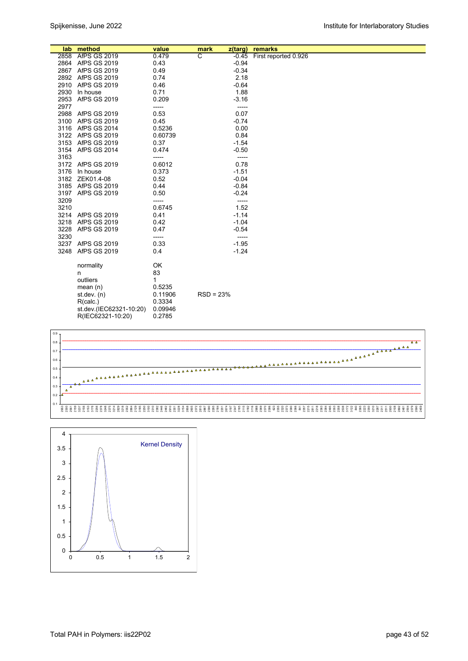|      | lab method              | value   | mark        | $z$ (targ) | remarks              |
|------|-------------------------|---------|-------------|------------|----------------------|
|      | 2858 AfPS GS 2019       | 0.479   | ਟ           | $-0.45$    | First reported 0.926 |
|      | 2864 AfPS GS 2019       | 0.43    |             | $-0.94$    |                      |
|      | 2867 AfPS GS 2019       | 0.49    |             | $-0.34$    |                      |
|      | 2892 AfPS GS 2019       | 0.74    |             | 2.18       |                      |
|      | 2910 AfPS GS 2019       | 0.46    |             | $-0.64$    |                      |
| 2930 | In house                | 0.71    |             | 1.88       |                      |
| 2953 | AfPS GS 2019            | 0.209   |             | $-3.16$    |                      |
| 2977 |                         | -----   |             | -----      |                      |
|      | 2988 AfPS GS 2019       | 0.53    |             | 0.07       |                      |
|      | 3100 AfPS GS 2019       | 0.45    |             | $-0.74$    |                      |
|      | 3116 AfPS GS 2014       | 0.5236  |             | 0.00       |                      |
|      | 3122 AfPS GS 2019       | 0.60739 |             | 0.84       |                      |
|      | 3153 AfPS GS 2019       | 0.37    |             | $-1.54$    |                      |
|      | 3154 AfPS GS 2014       | 0.474   |             | $-0.50$    |                      |
| 3163 |                         | -----   |             | -----      |                      |
|      | 3172 AfPS GS 2019       | 0.6012  |             | 0.78       |                      |
|      | 3176 In house           | 0.373   |             | $-1.51$    |                      |
|      | 3182 ZEK01.4-08         | 0.52    |             | $-0.04$    |                      |
|      | 3185 AfPS GS 2019       | 0.44    |             | $-0.84$    |                      |
|      | 3197 AfPS GS 2019       | 0.50    |             | $-0.24$    |                      |
| 3209 |                         | -----   |             | -----      |                      |
| 3210 |                         | 0.6745  |             | 1.52       |                      |
|      | 3214 AfPS GS 2019       | 0.41    |             | $-1.14$    |                      |
|      | 3218 AfPS GS 2019       | 0.42    |             | $-1.04$    |                      |
| 3228 | AfPS GS 2019            | 0.47    |             | $-0.54$    |                      |
| 3230 |                         | -----   |             | -----      |                      |
|      | 3237 AfPS GS 2019       | 0.33    |             | $-1.95$    |                      |
| 3248 | <b>AfPS GS 2019</b>     | 0.4     |             | $-1.24$    |                      |
|      |                         |         |             |            |                      |
|      | normality               | OK      |             |            |                      |
|      | n                       | 83      |             |            |                      |
|      | outliers                | 1       |             |            |                      |
|      | mean $(n)$              | 0.5235  |             |            |                      |
|      | st.dev. $(n)$           | 0.11906 | $RSD = 23%$ |            |                      |
|      | R(calc.)                | 0.3334  |             |            |                      |
|      | st.dev.(IEC62321-10:20) | 0.09946 |             |            |                      |
|      | R(IEC62321-10:20)       | 0.2785  |             |            |                      |



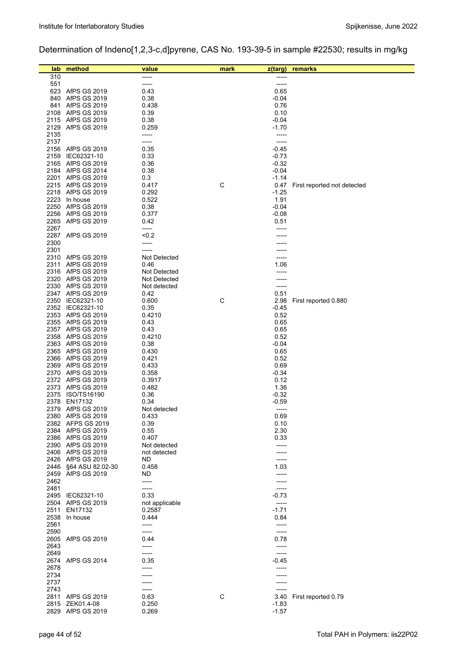# Determination of Indeno[1,2,3-c,d]pyrene, CAS No. 193-39-5 in sample #22530; results in mg/kg

| lab          | method                                | value          | mark | $z$ (targ)         | remarks                     |
|--------------|---------------------------------------|----------------|------|--------------------|-----------------------------|
| 310          |                                       | -----          |      | -----              |                             |
| 551          |                                       | -----          |      | -----              |                             |
|              | 623 AfPS GS 2019                      | 0.43           |      | 0.65               |                             |
|              | 840 AfPS GS 2019                      | 0.38           |      | $-0.04$            |                             |
|              | 841 AfPS GS 2019                      | 0.438          |      | 0.76               |                             |
|              | 2108 AfPS GS 2019                     | 0.39           |      | 0.10               |                             |
|              | 2115 AfPS GS 2019                     | 0.38           |      | $-0.04$            |                             |
|              | 2129 AfPS GS 2019                     | 0.259          |      | $-1.70$            |                             |
| 2135<br>2137 |                                       | -----<br>----- |      | -----<br>-----     |                             |
|              | 2156 AfPS GS 2019                     | 0.35           |      | $-0.45$            |                             |
|              | 2159 IEC62321-10                      | 0.33           |      | $-0.73$            |                             |
|              | 2165 AfPS GS 2019                     | 0.36           |      | $-0.32$            |                             |
|              | 2184 AfPS GS 2014                     | 0.38           |      | $-0.04$            |                             |
| 2201         | <b>AfPS GS 2019</b>                   | 0.3            |      | $-1.14$            |                             |
|              | 2215 AfPS GS 2019                     | 0.417          | C    | 0.47               | First reported not detected |
|              | 2218 AfPS GS 2019                     | 0.292          |      | $-1.25$            |                             |
|              | 2223 In house                         | 0.522          |      | 1.91               |                             |
|              | 2250 AfPS GS 2019                     | 0.38           |      | $-0.04$            |                             |
|              | 2256 AfPS GS 2019                     | 0.377          |      | $-0.08$            |                             |
| 2267         | 2265 AfPS GS 2019                     | 0.42<br>-----  |      | 0.51               |                             |
|              | 2287 AfPS GS 2019                     | <0.2           |      |                    |                             |
| 2300         |                                       | -----          |      |                    |                             |
| 2301         |                                       | -----          |      |                    |                             |
|              | 2310 AfPS GS 2019                     | Not Detected   |      |                    |                             |
| 2311         | <b>AfPS GS 2019</b>                   | 0.46           |      | 1.06               |                             |
|              | 2316 AfPS GS 2019                     | Not Detected   |      |                    |                             |
|              | 2320 AfPS GS 2019                     | Not Detected   |      |                    |                             |
|              | 2330 AfPS GS 2019                     | Not detected   |      |                    |                             |
|              | 2347 AfPS GS 2019                     | 0.42           |      | 0.51               |                             |
|              | 2350 IEC62321-10                      | 0.600          | C    | 2.98               | First reported 0.880        |
|              | 2352 IEC62321-10<br>2353 AfPS GS 2019 | 0.35           |      | $-0.45$<br>0.52    |                             |
|              | 2355 AfPS GS 2019                     | 0.4210<br>0.43 |      | 0.65               |                             |
|              | 2357 AfPS GS 2019                     | 0.43           |      | 0.65               |                             |
|              | 2358 AfPS GS 2019                     | 0.4210         |      | 0.52               |                             |
|              | 2363 AfPS GS 2019                     | 0.38           |      | $-0.04$            |                             |
|              | 2365 AfPS GS 2019                     | 0.430          |      | 0.65               |                             |
|              | 2366 AfPS GS 2019                     | 0.421          |      | 0.52               |                             |
|              | 2369 AfPS GS 2019                     | 0.433          |      | 0.69               |                             |
|              | 2370 AfPS GS 2019                     | 0.358          |      | $-0.34$            |                             |
|              | 2372 AfPS GS 2019                     | 0.3917         |      | 0.12               |                             |
|              | 2373 AfPS GS 2019                     | 0.482          |      | 1.36               |                             |
| 2375         | ISO/TS16190<br>2378 EN17132           | 0.36<br>0.34   |      | $-0.32$<br>$-0.59$ |                             |
|              | 2379 AfPS GS 2019                     | Not detected   |      | -----              |                             |
|              | 2380 AfPS GS 2019                     | 0.433          |      | 0.69               |                             |
|              | 2382 AFPS GS 2019                     | 0.39           |      | 0.10               |                             |
|              | 2384 AfPS GS 2019                     | 0.55           |      | 2.30               |                             |
|              | 2386 AfPS GS 2019                     | 0.407          |      | 0.33               |                             |
|              | 2390 AfPS GS 2019                     | Not detected   |      |                    |                             |
|              | 2406 AfPS GS 2019                     | not detected   |      |                    |                             |
|              | 2426 AfPS GS 2019                     | ND             |      |                    |                             |
| 2446         | §64 ASU 82.02-30                      | 0.458          |      | 1.03               |                             |
| 2459<br>2462 | AfPS GS 2019                          | ND<br>-----    |      |                    |                             |
| 2481         |                                       | -----          |      | -----              |                             |
|              | 2495 IEC62321-10                      | 0.33           |      | $-0.73$            |                             |
|              | 2504 AfPS GS 2019                     | not applicable |      | $-----$            |                             |
| 2511         | EN17132                               | 0.2587         |      | $-1.71$            |                             |
|              | 2538 In house                         | 0.444          |      | 0.84               |                             |
| 2561         |                                       | -----          |      |                    |                             |
| 2590         |                                       | -----          |      | -----              |                             |
|              | 2605 AfPS GS 2019                     | 0.44           |      | 0.78               |                             |
| 2643         |                                       | -----          |      | $--- -$            |                             |
| 2649         |                                       | -----          |      | -----              |                             |
| 2678         | 2674 AfPS GS 2014                     | 0.35<br>-----  |      | -0.45<br>-----     |                             |
| 2734         |                                       |                |      |                    |                             |
| 2737         |                                       |                |      |                    |                             |
| 2743         |                                       | -----          |      |                    |                             |
|              | 2811 AfPS GS 2019                     | 0.63           | C    | 3.40               | First reported 0.79         |
|              | 2815 ZEK01.4-08                       | 0.250          |      | $-1.83$            |                             |
| 2829         | AfPS GS 2019                          | 0.269          |      | $-1.57$            |                             |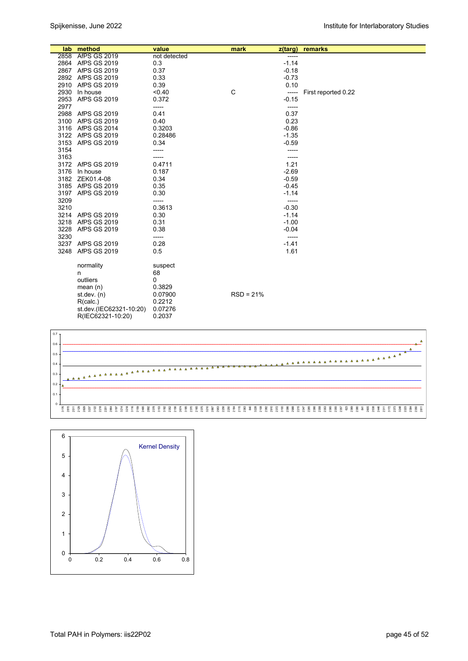|      | lab method              | value        | mark        | z(targ) | remarks             |
|------|-------------------------|--------------|-------------|---------|---------------------|
|      | 2858 AfPS GS 2019       | not detected |             | -----   |                     |
|      | 2864 AfPS GS 2019       | 0.3          |             | $-1.14$ |                     |
|      | 2867 AfPS GS 2019       | 0.37         |             | $-0.18$ |                     |
|      | 2892 AfPS GS 2019       | 0.33         |             | $-0.73$ |                     |
|      | 2910 AfPS GS 2019       | 0.39         |             | 0.10    |                     |
| 2930 | In house                | < 0.40       | C           | -----   | First reported 0.22 |
| 2953 | AfPS GS 2019            | 0.372        |             | $-0.15$ |                     |
| 2977 |                         | -----        |             | $-----$ |                     |
|      | 2988 AfPS GS 2019       | 0.41         |             | 0.37    |                     |
|      | 3100 AfPS GS 2019       | 0.40         |             | 0.23    |                     |
|      | 3116 AfPS GS 2014       | 0.3203       |             | $-0.86$ |                     |
|      | 3122 AfPS GS 2019       | 0.28486      |             | $-1.35$ |                     |
| 3153 | <b>AfPS GS 2019</b>     | 0.34         |             | $-0.59$ |                     |
| 3154 |                         | -----        |             |         |                     |
| 3163 |                         | -----        |             | -----   |                     |
|      | 3172 AfPS GS 2019       | 0.4711       |             | 1.21    |                     |
|      | 3176 In house           | 0.187        |             | $-2.69$ |                     |
|      | 3182 ZEK01.4-08         | 0.34         |             | $-0.59$ |                     |
|      | 3185 AfPS GS 2019       | 0.35         |             | $-0.45$ |                     |
|      | 3197 AfPS GS 2019       | 0.30         |             | $-1.14$ |                     |
| 3209 |                         | -----        |             | -----   |                     |
| 3210 |                         | 0.3613       |             | $-0.30$ |                     |
|      | 3214 AfPS GS 2019       | 0.30         |             | $-1.14$ |                     |
|      | 3218 AfPS GS 2019       | 0.31         |             | $-1.00$ |                     |
| 3228 | AfPS GS 2019            | 0.38         |             | $-0.04$ |                     |
| 3230 |                         | -----        |             | -----   |                     |
|      | 3237 AfPS GS 2019       | 0.28         |             | $-1.41$ |                     |
| 3248 | AfPS GS 2019            | 0.5          |             | 1.61    |                     |
|      | normality               | suspect      |             |         |                     |
|      | n                       | 68           |             |         |                     |
|      | outliers                | 0            |             |         |                     |
|      | mean $(n)$              | 0.3829       |             |         |                     |
|      | st.dev. (n)             | 0.07900      | $RSD = 21%$ |         |                     |
|      | R(calc.)                | 0.2212       |             |         |                     |
|      | st.dev.(IEC62321-10:20) | 0.07276      |             |         |                     |
|      | R(IEC62321-10:20)       | 0.2037       |             |         |                     |



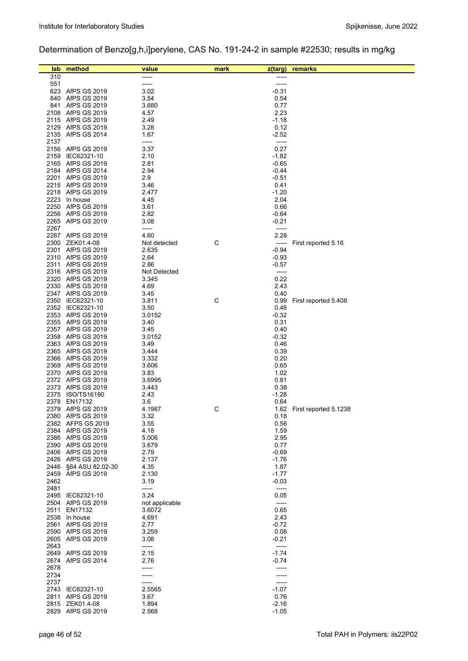# Determination of Benzo[g,h,i]perylene, CAS No. 191-24-2 in sample #22530; results in mg/kg

| lab          | method                                 | value          | mark | z(targ)            | remarks                    |
|--------------|----------------------------------------|----------------|------|--------------------|----------------------------|
| 310<br>551   |                                        | -----          |      | -----              |                            |
|              | 623 AfPS GS 2019                       | -----<br>3.02  |      | -----<br>$-0.31$   |                            |
|              | 840 AfPS GS 2019                       | 3.54           |      | 0.54               |                            |
| 841          | AfPS GS 2019                           | 3.680          |      | 0.77               |                            |
|              | 2108 AfPS GS 2019                      | 4.57           |      | 2.23               |                            |
|              | 2115 AfPS GS 2019                      | 2.49           |      | $-1.18$            |                            |
|              | 2129 AfPS GS 2019                      | 3.28           |      | 0.12               |                            |
|              | 2135 AfPS GS 2014                      | 1.67           |      | $-2.52$            |                            |
| 2137         |                                        | -----          |      | -----              |                            |
|              | 2156 AfPS GS 2019                      | 3.37           |      | 0.27               |                            |
|              | 2159 IEC62321-10                       | 2.10           |      | $-1.82$            |                            |
|              | 2165 AfPS GS 2019                      | 2.81           |      | $-0.65$            |                            |
|              | 2184 AfPS GS 2014                      | 2.94           |      | $-0.44$            |                            |
|              | 2201 AfPS GS 2019                      | 2.9            |      | $-0.51$            |                            |
|              | 2215 AfPS GS 2019<br>2218 AfPS GS 2019 | 3.46           |      | 0.41<br>$-1.20$    |                            |
|              | 2223 In house                          | 2.477<br>4.45  |      | 2.04               |                            |
|              | 2250 AfPS GS 2019                      | 3.61           |      | 0.66               |                            |
|              | 2256 AfPS GS 2019                      | 2.82           |      | $-0.64$            |                            |
|              | 2265 AfPS GS 2019                      | 3.08           |      | $-0.21$            |                            |
| 2267         |                                        | -----          |      | -----              |                            |
|              | 2287 AfPS GS 2019                      | 4.60           |      | 2.28               |                            |
|              | 2300 ZEK01.4-08                        | Not detected   | С    | -----              | First reported 5.16        |
|              | 2301 AfPS GS 2019                      | 2.635          |      | $-0.94$            |                            |
|              | 2310 AfPS GS 2019                      | 2.64           |      | $-0.93$            |                            |
|              | 2311 AfPS GS 2019                      | 2.86           |      | $-0.57$            |                            |
|              | 2316 AfPS GS 2019                      | Not Detected   |      | -----              |                            |
|              | 2320 AfPS GS 2019                      | 3.345          |      | 0.22               |                            |
|              | 2330 AfPS GS 2019                      | 4.69           |      | 2.43               |                            |
|              | 2347 AfPS GS 2019                      | 3.45           |      | 0.40               |                            |
|              | 2350 IEC62321-10                       | 3.811          | С    | 0.99               | First reported 5.408       |
|              | 2352 IEC62321-10                       | 3.50           |      | 0.48               |                            |
|              | 2353 AfPS GS 2019                      | 3.0152         |      | $-0.32$            |                            |
|              | 2355 AfPS GS 2019                      | 3.40           |      | 0.31               |                            |
|              | 2357 AfPS GS 2019<br>2358 AfPS GS 2019 | 3.45           |      | 0.40<br>$-0.32$    |                            |
|              | 2363 AfPS GS 2019                      | 3.0152<br>3.49 |      | 0.46               |                            |
|              | 2365 AfPS GS 2019                      | 3.444          |      | 0.39               |                            |
|              | 2366 AfPS GS 2019                      | 3.332          |      | 0.20               |                            |
|              | 2369 AfPS GS 2019                      | 3.606          |      | 0.65               |                            |
|              | 2370 AfPS GS 2019                      | 3.83           |      | 1.02               |                            |
|              | 2372 AfPS GS 2019                      | 3.6995         |      | 0.81               |                            |
|              | 2373 AfPS GS 2019                      | 3.443          |      | 0.38               |                            |
|              | 2375 ISO/TS16190                       | 2.43           |      | -1.28              |                            |
|              | 2378 EN17132                           | 3.6            |      | 0.64               |                            |
|              | 2379 AfPS GS 2019                      | 4.1987         | С    |                    | 1.62 First reported 5.1238 |
|              | 2380 AfPS GS 2019                      | 3.32           |      | 0.18               |                            |
|              | 2382 AFPS GS 2019                      | 3.55           |      | 0.56               |                            |
|              | 2384 AfPS GS 2019                      | 4.18           |      | 1.59               |                            |
|              | 2386 AfPS GS 2019                      | 5.006          |      | 2.95               |                            |
|              | 2390 AfPS GS 2019<br>2406 AfPS GS 2019 | 3.679          |      | 0.77               |                            |
|              | 2426 AfPS GS 2019                      | 2.79<br>2.137  |      | $-0.69$<br>$-1.76$ |                            |
|              | 2446 §64 ASU 82.02-30                  | 4.35           |      | 1.87               |                            |
|              | 2459 AfPS GS 2019                      | 2.130          |      | $-1.77$            |                            |
| 2462         |                                        | 3.19           |      | $-0.03$            |                            |
| 2481         |                                        | -----          |      | $-----$            |                            |
|              | 2495 IEC62321-10                       | 3.24           |      | 0.05               |                            |
|              | 2504 AfPS GS 2019                      | not applicable |      | -----              |                            |
| 2511         | EN17132                                | 3.6072         |      | 0.65               |                            |
|              | 2538 In house                          | 4.691          |      | 2.43               |                            |
| 2561         | <b>AfPS GS 2019</b>                    | 2.77           |      | $-0.72$            |                            |
|              | 2590 AfPS GS 2019                      | 3.259          |      | 0.08               |                            |
|              | 2605 AfPS GS 2019                      | 3.08           |      | $-0.21$            |                            |
| 2643         |                                        | -----          |      | -----              |                            |
|              | 2649 AfPS GS 2019                      | 2.15           |      | $-1.74$            |                            |
| 2674         | <b>AfPS GS 2014</b>                    | 2.76           |      | $-0.74$            |                            |
| 2678         |                                        |                |      |                    |                            |
| 2734<br>2737 |                                        | -----          |      |                    |                            |
|              | 2743 IEC62321-10                       | 2.5565         |      | $-1.07$            |                            |
| 2811         | AfPS GS 2019                           | 3.67           |      | 0.76               |                            |
|              | 2815 ZEK01.4-08                        | 1.894          |      | $-2.16$            |                            |
|              | 2829 AfPS GS 2019                      | 2.568          |      | $-1.05$            |                            |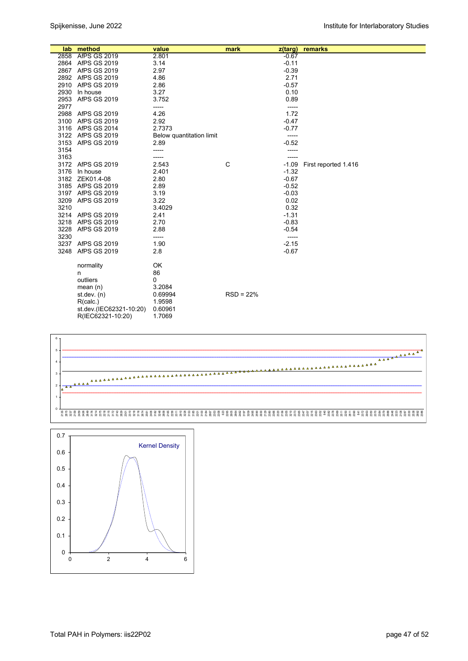|      | lab method              | value                    | mark        | z(targ) | remarks              |
|------|-------------------------|--------------------------|-------------|---------|----------------------|
|      | 2858 AfPS GS 2019       | 2.801                    |             | $-0.67$ |                      |
|      | 2864 AfPS GS 2019       | 3.14                     |             | $-0.11$ |                      |
|      | 2867 AfPS GS 2019       | 2.97                     |             | $-0.39$ |                      |
|      | 2892 AfPS GS 2019       | 4.86                     |             | 2.71    |                      |
|      | 2910 AfPS GS 2019       | 2.86                     |             | $-0.57$ |                      |
|      | 2930 In house           | 3.27                     |             | 0.10    |                      |
|      | 2953 AfPS GS 2019       | 3.752                    |             | 0.89    |                      |
| 2977 |                         | -----                    |             | -----   |                      |
|      | 2988 AfPS GS 2019       | 4.26                     |             | 1.72    |                      |
|      | 3100 AfPS GS 2019       | 2.92                     |             | $-0.47$ |                      |
|      | 3116 AfPS GS 2014       | 2.7373                   |             | $-0.77$ |                      |
|      | 3122 AfPS GS 2019       | Below quantitation limit |             | -----   |                      |
| 3153 | AfPS GS 2019            | 2.89                     |             | $-0.52$ |                      |
| 3154 |                         | -----                    |             | -----   |                      |
| 3163 |                         | -----                    |             |         |                      |
|      | 3172 AfPS GS 2019       | 2.543                    | C           | $-1.09$ | First reported 1.416 |
|      | 3176 In house           | 2.401                    |             | $-1.32$ |                      |
|      | 3182 ZEK01.4-08         | 2.80                     |             | $-0.67$ |                      |
|      | 3185 AfPS GS 2019       | 2.89                     |             | $-0.52$ |                      |
|      | 3197 AfPS GS 2019       | 3.19                     |             | $-0.03$ |                      |
|      | 3209 AfPS GS 2019       | 3.22                     |             | 0.02    |                      |
| 3210 |                         | 3.4029                   |             | 0.32    |                      |
|      | 3214 AfPS GS 2019       | 2.41                     |             | $-1.31$ |                      |
|      | 3218 AfPS GS 2019       | 2.70                     |             | $-0.83$ |                      |
|      | 3228 AfPS GS 2019       | 2.88                     |             | $-0.54$ |                      |
| 3230 |                         | -----                    |             | -----   |                      |
|      | 3237 AfPS GS 2019       | 1.90                     |             | $-2.15$ |                      |
|      | 3248 AfPS GS 2019       | 2.8                      |             | $-0.67$ |                      |
|      | normality               | OK                       |             |         |                      |
|      | n                       | 86                       |             |         |                      |
|      | outliers                | 0                        |             |         |                      |
|      | mean $(n)$              | 3.2084                   |             |         |                      |
|      | st.dev. $(n)$           | 0.69994                  | $RSD = 22%$ |         |                      |
|      | R(calc.)                | 1.9598                   |             |         |                      |
|      | st.dev.(IEC62321-10:20) | 0.60961                  |             |         |                      |
|      | R(IEC62321-10:20)       | 1.7069                   |             |         |                      |



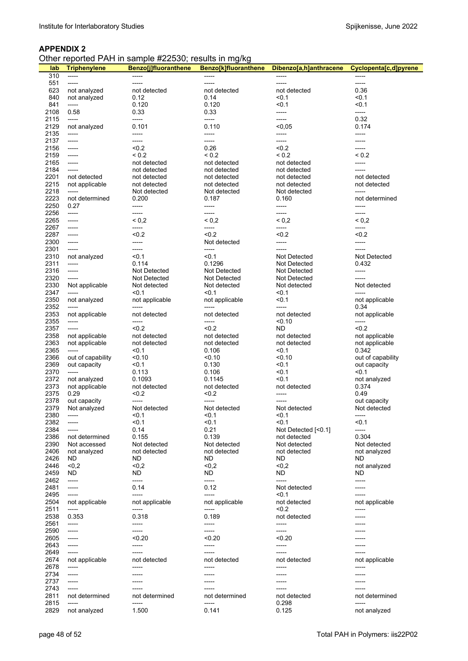|  | Other reported PAH in sample #22530; results in mg/kg |
|--|-------------------------------------------------------|
|--|-------------------------------------------------------|

| lab          | <b>Triphenylene</b>              | <b>Benzo[j]fluoranthene</b>  | Benzo[k]fluoranthene         | Dibenzo[a,h]anthracene       | Cyclopenta[c,d]pyrene        |
|--------------|----------------------------------|------------------------------|------------------------------|------------------------------|------------------------------|
| 310          | -----                            | -----                        | -----                        |                              |                              |
| 551          | -----                            | -----                        | -----                        | -----                        | -----                        |
| 623<br>840   | not analyzed<br>not analyzed     | not detected<br>0.12         | not detected<br>0.14         | not detected<br>$0.1$        | 0.36<br>< 0.1                |
| 841          | -----                            | 0.120                        | 0.120                        | < 0.1                        | < 0.1                        |
| 2108         | 0.58                             | 0.33                         | 0.33                         | -----                        | -----                        |
| 2115         | -----                            | -----                        | -----                        | -----                        | 0.32                         |
| 2129         | not analyzed                     | 0.101                        | 0.110                        | < 0,05                       | 0.174                        |
| 2135         | -----                            | -----                        | -----                        | -----                        | -----                        |
| 2137         | -----                            | -----                        | -----                        | -----                        | -----                        |
| 2156         | -----                            | < 0.2                        | 0.26                         | < 0.2                        | -----                        |
| 2159<br>2165 | -----<br>-----                   | ${}_{0.2}$<br>not detected   | ${}_{0.2}$<br>not detected   | ${}_{0.2}$<br>not detected   | ${}_{0.2}$<br>-----          |
| 2184         | -----                            | not detected                 | not detected                 | not detected                 | -----                        |
| 2201         | not detected                     | not detected                 | not detected                 | not detected                 | not detected                 |
| 2215         | not applicable                   | not detected                 | not detected                 | not detected                 | not detected                 |
| 2218         | -----                            | Not detected                 | Not detected                 | Not detected                 | -----                        |
| 2223         | not determined                   | 0.200                        | 0.187                        | 0.160                        | not determined               |
| 2250         | 0.27                             | -----                        | -----                        | -----                        | -----                        |
| 2256<br>2265 | -----<br>-----                   | -----<br>${}_{0,2}$          | -----<br>${}_{0,2}$          | -----<br>${}_{0,2}$          | -----<br>${}^{5}$ 0.2        |
| 2267         | -----                            | -----                        | -----                        | -----                        | -----                        |
| 2287         | -----                            | <0.2                         | < 0.2                        | &0.2                         | < 0.2                        |
| 2300         | -----                            | -----                        | Not detected                 | -----                        | -----                        |
| 2301         | -----                            | -----                        | -----                        | -----                        | -----                        |
| 2310         | not analyzed                     | < 0.1                        | < 0.1                        | Not Detected                 | Not Detected                 |
| 2311         | $-----$                          | 0.114                        | 0.1296                       | Not Detected                 | 0.432                        |
| 2316         | -----                            | Not Detected                 | Not Detected                 | Not Detected                 | -----                        |
| 2320<br>2330 | -----<br>Not applicable          | Not Detected<br>Not detected | Not Detected<br>Not detected | Not Detected<br>Not detected | -----<br>Not detected        |
| 2347         |                                  | $0.1$                        | < 0.1                        | $0.1$                        | -----                        |
| 2350         | not analyzed                     | not applicable               | not applicable               | 50.1                         | not applicable               |
| 2352         | -----                            |                              |                              | -----                        | 0.34                         |
| 2353         | not applicable                   | not detected                 | not detected                 | not detected                 | not applicable               |
| 2355         | -----                            | -----                        | -----                        | < 0.10                       |                              |
| 2357         | -----                            | < 0.2                        | < 0.2                        | ND                           | < 0.2                        |
| 2358<br>2363 | not applicable<br>not applicable | not detected<br>not detected | not detected<br>not detected | not detected<br>not detected | not applicable               |
| 2365         |                                  | $0.1$                        | 0.106                        | < 0.1                        | not applicable<br>0.342      |
| 2366         | out of capability                | < 0.10                       | 50.10                        | <0.10                        | out of capability            |
| 2369         | out capacity                     | 50.1                         | 0.130                        | < 0.1                        | out capacity                 |
| 2370         | $-----$                          | 0.113                        | 0.106                        | $0.1$                        | < 0.1                        |
| 2372         | not analyzed                     | 0.1093                       | 0.1145                       | < 0.1                        | not analyzed                 |
| 2373         | not applicable                   | not detected                 | not detected                 | not detected                 | 0.374                        |
| 2375         | 0.29                             | <0.2                         | <0.2                         | -----                        | 0.49                         |
| 2378<br>2379 | out capacity<br>Not analyzed     | Not detected                 | Not detected                 | Not detected                 | out capacity<br>Not detected |
| 2380         |                                  | < 0.1                        | < 0.1                        | < 0.1                        |                              |
| 2382         | -----                            | < 0.1                        | 50.1                         | < 0.1                        | < 0.1                        |
| 2384         | -----                            | 0.14                         | 0.21                         | Not Detected [<0.1]          | -----                        |
| 2386         | not determined                   | 0.155                        | 0.139                        | not detected                 | 0.304                        |
| 2390         | Not accessed                     | Not detected                 | Not detected                 | Not detected                 | Not detected                 |
| 2406<br>2426 | not analyzed                     | not detected                 | not detected<br>ND           | not detected<br>ND           | not analyzed<br>ND           |
| 2446         | ND.<br>< 0,2                     | ND<br>< 0.2                  | < 0.2                        | < 0.2                        | not analyzed                 |
| 2459         | ND                               | <b>ND</b>                    | <b>ND</b>                    | <b>ND</b>                    | ND                           |
| 2462         | -----                            | -----                        | -----                        | -----                        | -----                        |
| 2481         | -----                            | 0.14                         | 0.12                         | Not detected                 | -----                        |
| 2495         | -----                            | -----                        | -----                        | $0.1$                        |                              |
| 2504         | not applicable                   | not applicable               | not applicable               | not detected                 | not applicable               |
| 2511         | -----                            | -----                        | -----                        | < 0.2                        | -----                        |
| 2538<br>2561 | 0.353<br>-----                   | 0.318<br>-----               | 0.189<br>-----               | not detected<br>-----        | -----                        |
| 2590         | -----                            | -----                        | -----                        | -----                        |                              |
| 2605         | -----                            | < 0.20                       | < 0.20                       | < 0.20                       |                              |
| 2643         | -----                            | -----                        | -----                        | -----                        |                              |
| 2649         | -----                            | -----                        | -----                        | -----                        |                              |
| 2674         | not applicable                   | not detected                 | not detected                 | not detected                 | not applicable               |
| 2678         | -----                            |                              |                              |                              | -----                        |
| 2734<br>2737 | -----<br>-----                   | -----                        | -----                        | -----<br>-----               | -----<br>-----               |
| 2743         | -----                            |                              |                              |                              |                              |
| 2811         | not determined                   | not determined               | not determined               | not detected                 | not determined               |
| 2815         | -----                            | -----                        | -----                        | 0.298                        | -----                        |
| 2829         | not analyzed                     | 1.500                        | 0.141                        | 0.125                        | not analyzed                 |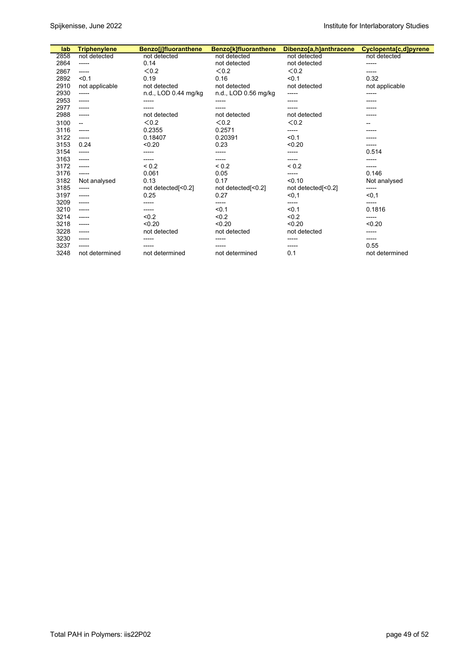| lab  | <b>Triphenylene</b> | <b>Benzo[j]fluoranthene</b> | Benzo[k]fluoranthene | Dibenzo[a,h]anthracene | Cyclopenta[c,d]pyrene |
|------|---------------------|-----------------------------|----------------------|------------------------|-----------------------|
| 2858 | not detected        | not detected                | not detected         | not detected           | not detected          |
| 2864 | -----               | 0.14                        | not detected         | not detected           | -----                 |
| 2867 | ------              | < 0.2                       | < 0.2                | < 0.2                  | -----                 |
| 2892 | < 0.1               | 0.19                        | 0.16                 | < 0.1                  | 0.32                  |
| 2910 | not applicable      | not detected                | not detected         | not detected           | not applicable        |
| 2930 | -----               | n.d., LOD 0.44 mg/kg        | n.d., LOD 0.56 mg/kg | -----                  | -----                 |
| 2953 | -----               | -----                       | -----                | -----                  | -----                 |
| 2977 | -----               |                             |                      |                        |                       |
| 2988 | ------              | not detected                | not detected         | not detected           |                       |
| 3100 | --                  | < 0.2                       | <0.2                 | < 0.2                  |                       |
| 3116 | ------              | 0.2355                      | 0.2571               | -----                  |                       |
| 3122 | ------              | 0.18407                     | 0.20391              | < 0.1                  |                       |
| 3153 | 0.24                | < 0.20                      | 0.23                 | < 0.20                 | -----                 |
| 3154 | -----               |                             | -----                | -----                  | 0.514                 |
| 3163 | $- - - - -$         | -----                       | -----                | -----                  |                       |
| 3172 | -----               | ${}_{0.2}$                  | ${}_{0.2}$           | ${}_{0.2}$             |                       |
| 3176 | ------              | 0.061                       | 0.05                 | -----                  | 0.146                 |
| 3182 | Not analysed        | 0.13                        | 0.17                 | < 0.10                 | Not analysed          |
| 3185 | ------              | not detected[<0.2]          | not detected[<0.2]   | not detected[<0.2]     | -----                 |
| 3197 | -----               | 0.25                        | 0.27                 | < 0, 1                 | $0,1$                 |
| 3209 | -----               | -----                       | -----                | -----                  | -----                 |
| 3210 | -----               | -----                       | < 0.1                | < 0.1                  | 0.1816                |
| 3214 | -----               | < 0.2                       | < 0.2                | < 0.2                  | -----                 |
| 3218 | ------              | < 0.20                      | < 0.20               | < 0.20                 | < 0.20                |
| 3228 | ------              | not detected                | not detected         | not detected           | -----                 |
| 3230 | -----               | -----                       | -----                | -----                  | -----                 |
| 3237 | ------              |                             |                      | -----                  | 0.55                  |
| 3248 | not determined      | not determined              | not determined       | 0.1                    | not determined        |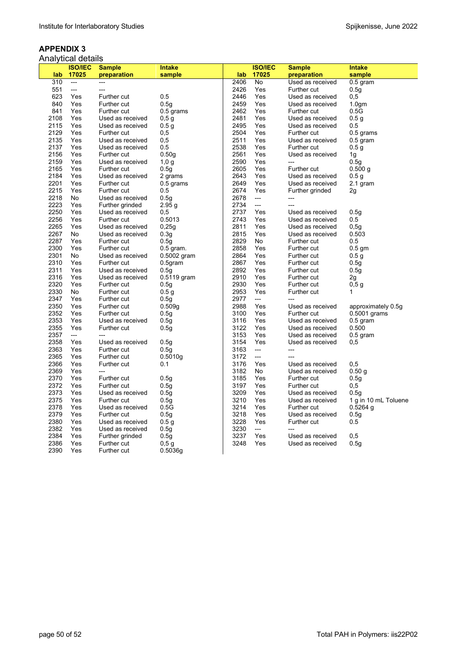|      | Analytical details |                    |                   |      |                |                    |                      |
|------|--------------------|--------------------|-------------------|------|----------------|--------------------|----------------------|
|      | <b>ISO/IEC</b>     | <b>Sample</b>      | <b>Intake</b>     |      | <b>ISO/IEC</b> | <b>Sample</b>      | <b>Intake</b>        |
| lab  | 17025              | preparation        | sample            | lab  | 17025          | preparation        | sample               |
| 310  | $---$              | $---$              |                   | 2406 | <b>No</b>      | Used as received   | $0.5$ gram           |
| 551  | ---                |                    |                   | 2426 | Yes            | Further cut        | 0.5q                 |
| 623  | Yes                | Further cut        | 0.5               | 2446 | Yes            | Used as received   | 0,5                  |
| 840  | Yes                | Further cut        | 0.5 <sub>g</sub>  | 2459 | Yes            | Used as received   | 1.0 <sub>gm</sub>    |
| 841  | Yes                | Further cut        | $0.5$ grams       | 2462 | Yes            | Further cut        | 0.5G                 |
| 2108 | Yes                | Used as received   | 0,5g              | 2481 | Yes            | Used as received   | 0.5 <sub>g</sub>     |
| 2115 | Yes                | Used as received   | 0.5 <sub>g</sub>  | 2495 | Yes            | Used as received   | 0.5                  |
| 2129 | Yes                | Further cut        | 0,5               | 2504 | Yes            | Further cut        | 0.5 grams            |
| 2135 | Yes                | Used as received   | 0,5               | 2511 | Yes            | Used as received   | $0.5$ gram           |
| 2137 | Yes                | Used as received   | 0.5               | 2538 | Yes            | Further cut        | 0.5 <sub>g</sub>     |
| 2156 | Yes                | Further cut        | 0.50 <sub>g</sub> | 2561 | Yes            | Used as received   | 1g                   |
| 2159 | Yes                | Used as received   | $1,0$ g           | 2590 | Yes            | $---$              | 0.5g                 |
| 2165 | Yes                | Further cut        | 0.5g              | 2605 | Yes            | <b>Further cut</b> | 0.500 g              |
| 2184 | Yes                | Used as received   | 2 grams           | 2643 | Yes            | Used as received   | 0.5 g                |
| 2201 | Yes                | Further cut        | 0.5 grams         | 2649 | Yes            | Used as received   | 2.1 gram             |
| 2215 | Yes                | Further cut        | 0.5               | 2674 | Yes            | Further grinded    | 2g                   |
| 2218 | No                 | Used as received   | 0.5g              | 2678 | ---            | ---                |                      |
| 2223 | Yes                | Further grinded    | 2.95q             | 2734 | $\overline{a}$ | $---$              |                      |
| 2250 | Yes                | Used as received   | 0,5               | 2737 | Yes            | Used as received   | 0.5q                 |
| 2256 | Yes                | Further cut        | 0.5013            | 2743 | Yes            | Used as received   | $0.5\,$              |
| 2265 | Yes                | Used as received   | 0,25q             | 2811 | Yes            | Used as received   | 0,5q                 |
| 2267 | No                 | Used as received   | 0.3q              | 2815 | Yes            | Used as received   | 0.503                |
| 2287 | Yes                | Further cut        | 0.5g              | 2829 | No             | Further cut        | 0.5                  |
| 2300 | Yes                | Further cut        | $0.5$ gram.       | 2858 | Yes            | Further cut        | $0.5$ gm             |
| 2301 | No                 | Used as received   | $0.5002$ gram     | 2864 | Yes            | Further cut        | 0.5g                 |
| 2310 | Yes                | Further cut        | $0.5$ gram        | 2867 | Yes            | Further cut        | 0.5g                 |
| 2311 | Yes                | Used as received   | 0.5q              | 2892 | Yes            | Further cut        | 0.5q                 |
| 2316 | Yes                | Used as received   | $0.5119$ gram     | 2910 | Yes            | Further cut        | 2g                   |
| 2320 | Yes                | Further cut        | 0.5 <sub>g</sub>  | 2930 | Yes            | Further cut        | 0,5g                 |
| 2330 | No                 | Further cut        | 0.5 g             | 2953 | Yes            | Further cut        | 1                    |
| 2347 | Yes                | Further cut        | 0.5g              | 2977 | ---            | $\overline{a}$     |                      |
| 2350 | Yes                | Further cut        | 0.509g            | 2988 | Yes            | Used as received   | approximately 0.5g   |
| 2352 | Yes                | Further cut        | 0.5g              | 3100 | Yes            | <b>Further cut</b> | $0.5001$ grams       |
| 2353 | Yes                | Used as received   | 0.5g              | 3116 | Yes            | Used as received   | $0.5$ gram           |
| 2355 | Yes                | Further cut        | 0.5g              | 3122 | Yes            | Used as received   | 0.500                |
| 2357 | $---$              | $---$              |                   | 3153 | Yes            | Used as received   | $0.5$ gram           |
| 2358 | Yes                | Used as received   | 0.5q              | 3154 | Yes            | Used as received   | 0,5                  |
| 2363 | Yes                | Further cut        | 0.5g              | 3163 | ---            | ---                |                      |
| 2365 | Yes                | Further cut        | 0.5010q           | 3172 | ---            | $\overline{a}$     |                      |
| 2366 | Yes                | <b>Further cut</b> | 0.1               | 3176 | Yes            | Used as received   | 0,5                  |
| 2369 | Yes                | $---$              |                   | 3182 | No             | Used as received   | 0.50 g               |
| 2370 | Yes                | Further cut        | 0.5g              | 3185 | Yes            | Further cut        | 0.5g                 |
| 2372 | Yes                | Further cut        | 0.5g              | 3197 | Yes            | Further cut        | 0,5                  |
| 2373 | Yes                | Used as received   | 0.5g              | 3209 | Yes            | Used as received   | 0.5a                 |
| 2375 | Yes                | Further cut        | 0.5g              | 3210 | Yes            | Used as received   | 1 g in 10 mL Toluene |
| 2378 | Yes                | Used as received   | 0.5G              | 3214 | Yes            | Further cut        | $0.5264$ q           |
| 2379 | Yes                | Further cut        | 0.5g              | 3218 | Yes            | Used as received   | 0.5g                 |
| 2380 | Yes                | Used as received   | 0.5 <sub>g</sub>  | 3228 | Yes            | Further cut        | 0.5                  |
| 2382 | Yes                | Used as received   | 0.5q              | 3230 | $\overline{a}$ | $\overline{a}$     |                      |
| 2384 | Yes                | Further grinded    | 0.5q              | 3237 | Yes            | Used as received   | 0,5                  |
| 2386 | Yes                | Further cut        | 0,5g              | 3248 | Yes            | Used as received   | 0.5q                 |
| 2390 | Yes                | Further cut        | 0.5036g           |      |                |                    |                      |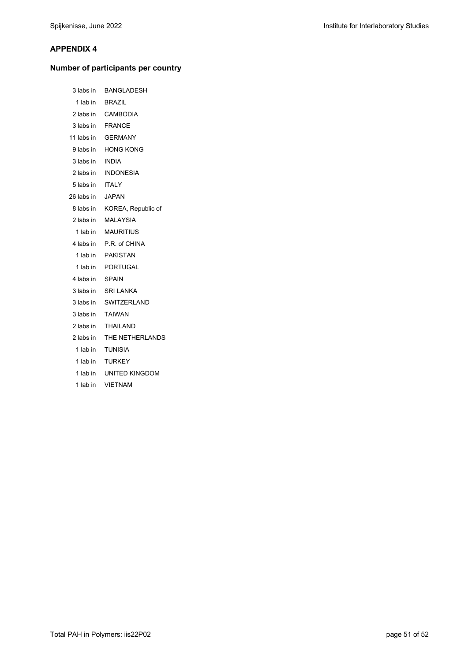# **Number of participants per country**

| 3 labs in        | BANGLADESH                   |
|------------------|------------------------------|
|                  | 1 lab in BRAZIL              |
|                  | 2 labs in CAMBODIA           |
|                  | 3 labs in FRANCE             |
|                  | 11 labs in <b>GERMANY</b>    |
|                  | 9 labs in HONG KONG          |
| 3 labs in INDIA  |                              |
| 2 labs in        | <b>INDONESIA</b>             |
| 5 labs in ITALY  |                              |
| 26 labs in JAPAN |                              |
|                  | 8 labs in KOREA, Republic of |
|                  | 2 labs in MALAYSIA           |
|                  | 1 lab in MAURITIUS           |
|                  |                              |
|                  | 4 labs in P.R. of CHINA      |
|                  | 1 lab in PAKISTAN            |
|                  | 1 lab in PORTUGAL            |
| 4 labs in SPAIN  |                              |
|                  | 3 labs in SRI LANKA          |
|                  | 3 labs in SWITZERLAND        |
|                  | 3 labs in TAIWAN             |
|                  | 2 labs in THAILAND           |
|                  | 2 labs in THE NETHERLANDS    |
|                  | 1 lab in TUNISIA             |
|                  | 1 lab in TURKEY              |
|                  | 1 lab in UNITED KINGDOM      |